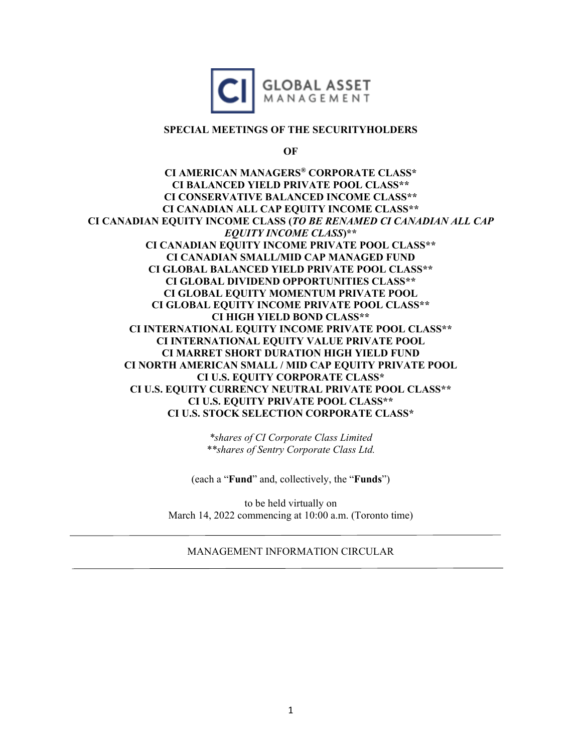

### **SPECIAL MEETINGS OF THE SECURITYHOLDERS**

**OF**

**CI AMERICAN MANAGERS® CORPORATE CLASS\* CI BALANCED YIELD PRIVATE POOL CLASS\*\* CI CONSERVATIVE BALANCED INCOME CLASS\*\* CI CANADIAN ALL CAP EQUITY INCOME CLASS\*\* CI CANADIAN EQUITY INCOME CLASS (***TO BE RENAMED CI CANADIAN ALL CAP EQUITY INCOME CLASS***)\*\* CI CANADIAN EQUITY INCOME PRIVATE POOL CLASS\*\* CI CANADIAN SMALL/MID CAP MANAGED FUND CI GLOBAL BALANCED YIELD PRIVATE POOL CLASS\*\* CI GLOBAL DIVIDEND OPPORTUNITIES CLASS\*\* CI GLOBAL EQUITY MOMENTUM PRIVATE POOL CI GLOBAL EQUITY INCOME PRIVATE POOL CLASS\*\* CI HIGH YIELD BOND CLASS\*\* CI INTERNATIONAL EQUITY INCOME PRIVATE POOL CLASS\*\* CI INTERNATIONAL EQUITY VALUE PRIVATE POOL CI MARRET SHORT DURATION HIGH YIELD FUND CI NORTH AMERICAN SMALL / MID CAP EQUITY PRIVATE POOL CI U.S. EQUITY CORPORATE CLASS\* CI U.S. EQUITY CURRENCY NEUTRAL PRIVATE POOL CLASS\*\* CI U.S. EQUITY PRIVATE POOL CLASS\*\* CI U.S. STOCK SELECTION CORPORATE CLASS\*** 

> *\*shares of CI Corporate Class Limited \*\*shares of Sentry Corporate Class Ltd.*

(each a "**Fund**" and, collectively, the "**Funds**")

to be held virtually on March 14, 2022 commencing at 10:00 a.m. (Toronto time)

## MANAGEMENT INFORMATION CIRCULAR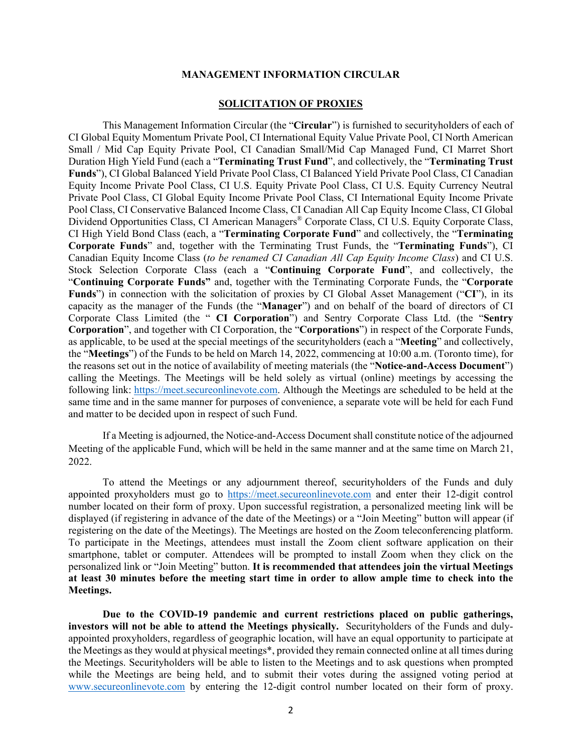#### **MANAGEMENT INFORMATION CIRCULAR**

#### **SOLICITATION OF PROXIES**

This Management Information Circular (the "**Circular**") is furnished to securityholders of each of CI Global Equity Momentum Private Pool, CI International Equity Value Private Pool, CI North American Small / Mid Cap Equity Private Pool, CI Canadian Small/Mid Cap Managed Fund, CI Marret Short Duration High Yield Fund (each a "**Terminating Trust Fund**", and collectively, the "**Terminating Trust Funds**"), CI Global Balanced Yield Private Pool Class, CI Balanced Yield Private Pool Class, CI Canadian Equity Income Private Pool Class, CI U.S. Equity Private Pool Class, CI U.S. Equity Currency Neutral Private Pool Class, CI Global Equity Income Private Pool Class, CI International Equity Income Private Pool Class, CI Conservative Balanced Income Class, CI Canadian All Cap Equity Income Class, CI Global Dividend Opportunities Class, CI American Managers® Corporate Class, CI U.S. Equity Corporate Class, CI High Yield Bond Class (each, a "**Terminating Corporate Fund**" and collectively, the "**Terminating Corporate Funds**" and, together with the Terminating Trust Funds, the "**Terminating Funds**"), CI Canadian Equity Income Class (*to be renamed CI Canadian All Cap Equity Income Class*) and CI U.S. Stock Selection Corporate Class (each a "**Continuing Corporate Fund**", and collectively, the "**Continuing Corporate Funds"** and, together with the Terminating Corporate Funds, the "**Corporate Funds**") in connection with the solicitation of proxies by CI Global Asset Management ("**CI**"), in its capacity as the manager of the Funds (the "**Manager**") and on behalf of the board of directors of CI Corporate Class Limited (the " **CI Corporation**") and Sentry Corporate Class Ltd. (the "**Sentry Corporation**", and together with CI Corporation, the "**Corporations**") in respect of the Corporate Funds, as applicable, to be used at the special meetings of the securityholders (each a "**Meeting**" and collectively, the "**Meetings**") of the Funds to be held on March 14, 2022, commencing at 10:00 a.m. (Toronto time), for the reasons set out in the notice of availability of meeting materials (the "**Notice-and-Access Document**") calling the Meetings. The Meetings will be held solely as virtual (online) meetings by accessing the following link: [https://meet.secureonlinevote.com.](https://meet.secureonlinevote.com/) Although the Meetings are scheduled to be held at the same time and in the same manner for purposes of convenience, a separate vote will be held for each Fund and matter to be decided upon in respect of such Fund.

If a Meeting is adjourned, the Notice-and-Access Document shall constitute notice of the adjourned Meeting of the applicable Fund, which will be held in the same manner and at the same time on March 21, 2022.

To attend the Meetings or any adjournment thereof, securityholders of the Funds and duly appointed proxyholders must go to [https://meet.secureonlinevote.com](https://meet.secureonlinevote.com/) and enter their 12-digit control number located on their form of proxy. Upon successful registration, a personalized meeting link will be displayed (if registering in advance of the date of the Meetings) or a "Join Meeting" button will appear (if registering on the date of the Meetings). The Meetings are hosted on the Zoom teleconferencing platform. To participate in the Meetings, attendees must install the Zoom client software application on their smartphone, tablet or computer. Attendees will be prompted to install Zoom when they click on the personalized link or "Join Meeting" button. **It is recommended that attendees join the virtual Meetings at least 30 minutes before the meeting start time in order to allow ample time to check into the Meetings.**

**Due to the COVID-19 pandemic and current restrictions placed on public gatherings, investors will not be able to attend the Meetings physically.** Securityholders of the Funds and dulyappointed proxyholders, regardless of geographic location, will have an equal opportunity to participate at the Meetings asthey would at physical meetings\*, provided they remain connected online at all times during the Meetings. Securityholders will be able to listen to the Meetings and to ask questions when prompted while the Meetings are being held, and to submit their votes during the assigned voting period at [www.secureonlinevote.com](http://www.secureonlinevote.com/) by entering the 12-digit control number located on their form of proxy.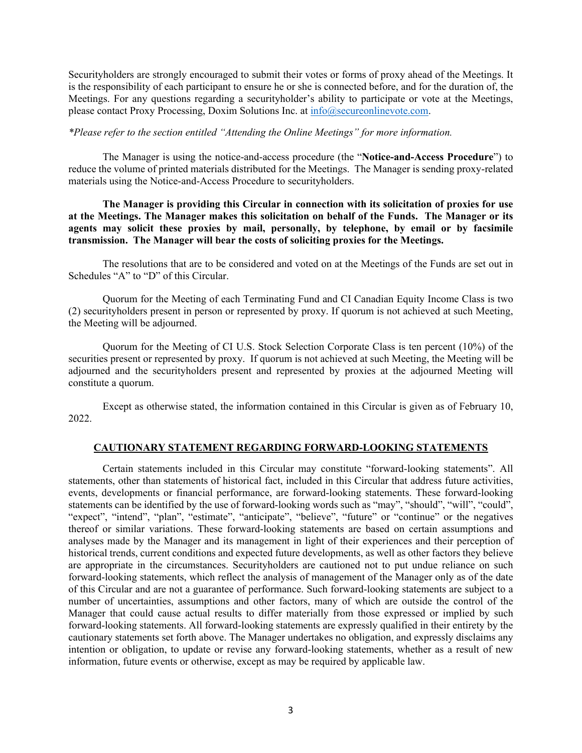Securityholders are strongly encouraged to submit their votes or forms of proxy ahead of the Meetings. It is the responsibility of each participant to ensure he or she is connected before, and for the duration of, the Meetings. For any questions regarding a securityholder's ability to participate or vote at the Meetings, please contact Proxy Processing, Doxim Solutions Inc. at [info@secureonlinevote.com.](mailto:info@secureonlinevote.com)

#### *\*Please refer to the section entitled "Attending the Online Meetings" for more information.*

The Manager is using the notice-and-access procedure (the "**Notice-and-Access Procedure**") to reduce the volume of printed materials distributed for the Meetings. The Manager is sending proxy-related materials using the Notice-and-Access Procedure to securityholders.

**The Manager is providing this Circular in connection with its solicitation of proxies for use at the Meetings. The Manager makes this solicitation on behalf of the Funds. The Manager or its agents may solicit these proxies by mail, personally, by telephone, by email or by facsimile transmission. The Manager will bear the costs of soliciting proxies for the Meetings.**

The resolutions that are to be considered and voted on at the Meetings of the Funds are set out in Schedules "A" to "D" of this Circular.

Quorum for the Meeting of each Terminating Fund and CI Canadian Equity Income Class is two (2) securityholders present in person or represented by proxy. If quorum is not achieved at such Meeting, the Meeting will be adjourned.

Quorum for the Meeting of CI U.S. Stock Selection Corporate Class is ten percent (10%) of the securities present or represented by proxy. If quorum is not achieved at such Meeting, the Meeting will be adjourned and the securityholders present and represented by proxies at the adjourned Meeting will constitute a quorum.

Except as otherwise stated, the information contained in this Circular is given as of February 10, 2022.

#### **CAUTIONARY STATEMENT REGARDING FORWARD-LOOKING STATEMENTS**

Certain statements included in this Circular may constitute "forward-looking statements". All statements, other than statements of historical fact, included in this Circular that address future activities, events, developments or financial performance, are forward-looking statements. These forward-looking statements can be identified by the use of forward-looking words such as "may", "should", "will", "could", "expect", "intend", "plan", "estimate", "anticipate", "believe", "future" or "continue" or the negatives thereof or similar variations. These forward-looking statements are based on certain assumptions and analyses made by the Manager and its management in light of their experiences and their perception of historical trends, current conditions and expected future developments, as well as other factors they believe are appropriate in the circumstances. Securityholders are cautioned not to put undue reliance on such forward-looking statements, which reflect the analysis of management of the Manager only as of the date of this Circular and are not a guarantee of performance. Such forward-looking statements are subject to a number of uncertainties, assumptions and other factors, many of which are outside the control of the Manager that could cause actual results to differ materially from those expressed or implied by such forward-looking statements. All forward-looking statements are expressly qualified in their entirety by the cautionary statements set forth above. The Manager undertakes no obligation, and expressly disclaims any intention or obligation, to update or revise any forward-looking statements, whether as a result of new information, future events or otherwise, except as may be required by applicable law.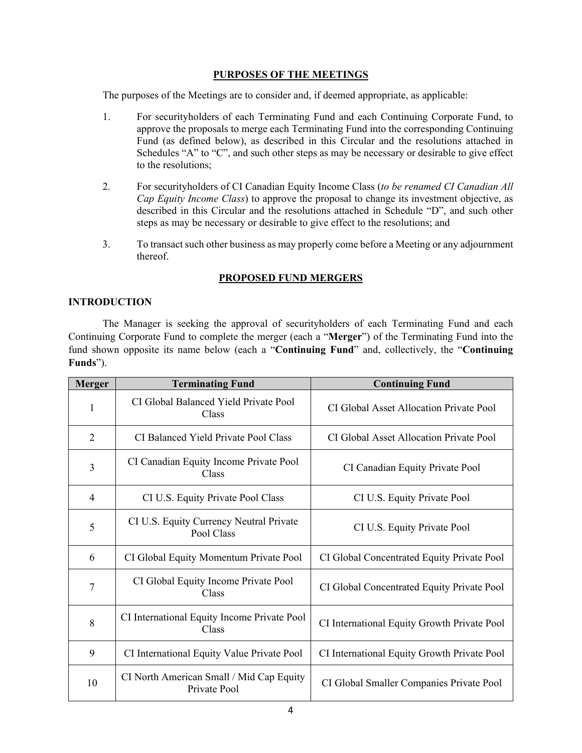## **PURPOSES OF THE MEETINGS**

The purposes of the Meetings are to consider and, if deemed appropriate, as applicable:

- 1. For securityholders of each Terminating Fund and each Continuing Corporate Fund, to approve the proposals to merge each Terminating Fund into the corresponding Continuing Fund (as defined below), as described in this Circular and the resolutions attached in Schedules "A" to "C", and such other steps as may be necessary or desirable to give effect to the resolutions;
- 2. For securityholders of CI Canadian Equity Income Class (*to be renamed CI Canadian All Cap Equity Income Class*) to approve the proposal to change its investment objective, as described in this Circular and the resolutions attached in Schedule "D", and such other steps as may be necessary or desirable to give effect to the resolutions; and
- 3. To transact such other business as may properly come before a Meeting or any adjournment thereof.

# **PROPOSED FUND MERGERS**

# **INTRODUCTION**

The Manager is seeking the approval of securityholders of each Terminating Fund and each Continuing Corporate Fund to complete the merger (each a "**Merger**") of the Terminating Fund into the fund shown opposite its name below (each a "**Continuing Fund**" and, collectively, the "**Continuing Funds**").

| <b>Merger</b>  | <b>Terminating Fund</b>                                  | <b>Continuing Fund</b>                      |
|----------------|----------------------------------------------------------|---------------------------------------------|
| 1              | CI Global Balanced Yield Private Pool<br>Class           | CI Global Asset Allocation Private Pool     |
| $\overline{2}$ | CI Balanced Yield Private Pool Class                     | CI Global Asset Allocation Private Pool     |
| 3              | CI Canadian Equity Income Private Pool<br>Class          | CI Canadian Equity Private Pool             |
| $\overline{4}$ | CI U.S. Equity Private Pool Class                        | CI U.S. Equity Private Pool                 |
| 5              | CI U.S. Equity Currency Neutral Private<br>Pool Class    | CI U.S. Equity Private Pool                 |
| 6              | CI Global Equity Momentum Private Pool                   | CI Global Concentrated Equity Private Pool  |
| 7              | CI Global Equity Income Private Pool<br>Class            | CI Global Concentrated Equity Private Pool  |
| 8              | CI International Equity Income Private Pool<br>Class     | CI International Equity Growth Private Pool |
| 9              | CI International Equity Value Private Pool               | CI International Equity Growth Private Pool |
| 10             | CI North American Small / Mid Cap Equity<br>Private Pool | CI Global Smaller Companies Private Pool    |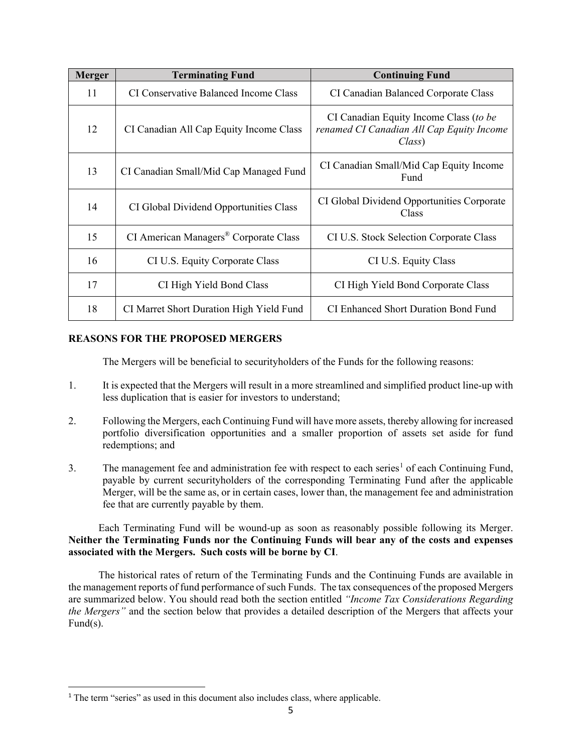| <b>Merger</b> | <b>Terminating Fund</b>                  | <b>Continuing Fund</b>                                                                        |
|---------------|------------------------------------------|-----------------------------------------------------------------------------------------------|
| 11            | CI Conservative Balanced Income Class    | CI Canadian Balanced Corporate Class                                                          |
| 12            | CI Canadian All Cap Equity Income Class  | CI Canadian Equity Income Class (to be<br>renamed CI Canadian All Cap Equity Income<br>Class) |
| 13            | CI Canadian Small/Mid Cap Managed Fund   | CI Canadian Small/Mid Cap Equity Income<br>Fund                                               |
| 14            | CI Global Dividend Opportunities Class   | CI Global Dividend Opportunities Corporate<br>Class                                           |
| 15            | CI American Managers® Corporate Class    | CI U.S. Stock Selection Corporate Class                                                       |
| 16            | CI U.S. Equity Corporate Class           | CI U.S. Equity Class                                                                          |
| 17            | CI High Yield Bond Class                 | CI High Yield Bond Corporate Class                                                            |
| 18            | CI Marret Short Duration High Yield Fund | CI Enhanced Short Duration Bond Fund                                                          |

### **REASONS FOR THE PROPOSED MERGERS**

The Mergers will be beneficial to securityholders of the Funds for the following reasons:

- 1. It is expected that the Mergers will result in a more streamlined and simplified product line-up with less duplication that is easier for investors to understand;
- 2. Following the Mergers, each Continuing Fund will have more assets, thereby allowing for increased portfolio diversification opportunities and a smaller proportion of assets set aside for fund redemptions; and
- 3. The management fee and administration fee with respect to each series<sup>[1](#page-4-0)</sup> of each Continuing Fund, payable by current securityholders of the corresponding Terminating Fund after the applicable Merger, will be the same as, or in certain cases, lower than, the management fee and administration fee that are currently payable by them.

Each Terminating Fund will be wound-up as soon as reasonably possible following its Merger. **Neither the Terminating Funds nor the Continuing Funds will bear any of the costs and expenses associated with the Mergers. Such costs will be borne by CI**.

The historical rates of return of the Terminating Funds and the Continuing Funds are available in the management reports of fund performance of such Funds. The tax consequences of the proposed Mergers are summarized below. You should read both the section entitled *"Income Tax Considerations Regarding the Mergers"* and the section below that provides a detailed description of the Mergers that affects your Fund(s).

<span id="page-4-0"></span><sup>&</sup>lt;sup>1</sup> The term "series" as used in this document also includes class, where applicable.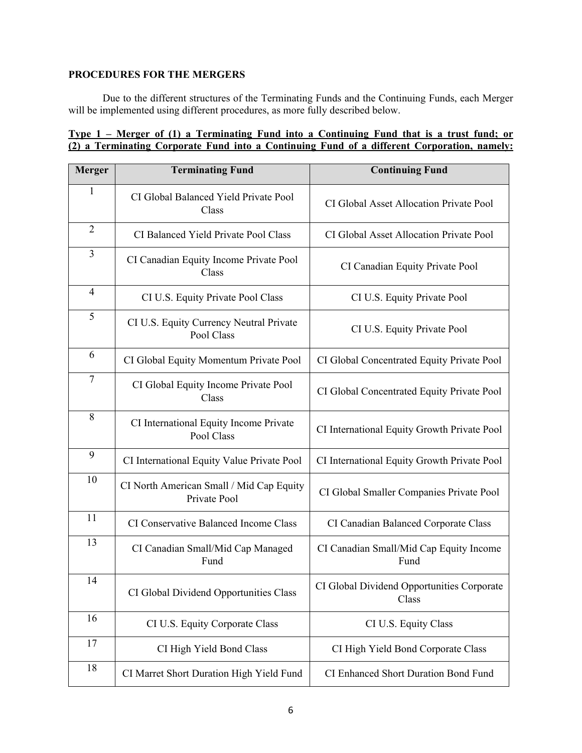# **PROCEDURES FOR THE MERGERS**

Due to the different structures of the Terminating Funds and the Continuing Funds, each Merger will be implemented using different procedures, as more fully described below.

|  | Type 1 – Merger of (1) a Terminating Fund into a Continuing Fund that is a trust fund; or   |
|--|---------------------------------------------------------------------------------------------|
|  | (2) a Terminating Corporate Fund into a Continuing Fund of a different Corporation, namely: |

| <b>Merger</b>            | <b>Terminating Fund</b>                                  | <b>Continuing Fund</b>                              |
|--------------------------|----------------------------------------------------------|-----------------------------------------------------|
| 1                        | CI Global Balanced Yield Private Pool<br>Class           | CI Global Asset Allocation Private Pool             |
| $\overline{2}$           | CI Balanced Yield Private Pool Class                     | CI Global Asset Allocation Private Pool             |
| $\overline{3}$           | CI Canadian Equity Income Private Pool<br>Class          | CI Canadian Equity Private Pool                     |
| $\overline{\mathcal{A}}$ | CI U.S. Equity Private Pool Class                        | CI U.S. Equity Private Pool                         |
| 5                        | CI U.S. Equity Currency Neutral Private<br>Pool Class    | CI U.S. Equity Private Pool                         |
| 6                        | CI Global Equity Momentum Private Pool                   | CI Global Concentrated Equity Private Pool          |
| $\tau$                   | CI Global Equity Income Private Pool<br>Class            | CI Global Concentrated Equity Private Pool          |
| 8                        | CI International Equity Income Private<br>Pool Class     | CI International Equity Growth Private Pool         |
| 9                        | CI International Equity Value Private Pool               | CI International Equity Growth Private Pool         |
| 10                       | CI North American Small / Mid Cap Equity<br>Private Pool | CI Global Smaller Companies Private Pool            |
| 11                       | CI Conservative Balanced Income Class                    | CI Canadian Balanced Corporate Class                |
| 13                       | CI Canadian Small/Mid Cap Managed<br>Fund                | CI Canadian Small/Mid Cap Equity Income<br>Fund     |
| 14                       | CI Global Dividend Opportunities Class                   | CI Global Dividend Opportunities Corporate<br>Class |
| 16                       | CI U.S. Equity Corporate Class                           | CI U.S. Equity Class                                |
| 17                       | CI High Yield Bond Class                                 | CI High Yield Bond Corporate Class                  |
| 18                       | CI Marret Short Duration High Yield Fund                 | CI Enhanced Short Duration Bond Fund                |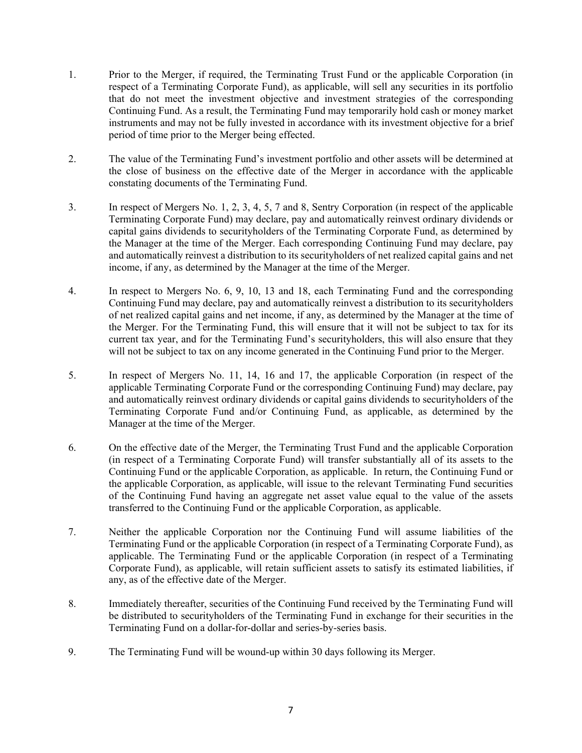- 1. Prior to the Merger, if required, the Terminating Trust Fund or the applicable Corporation (in respect of a Terminating Corporate Fund), as applicable, will sell any securities in its portfolio that do not meet the investment objective and investment strategies of the corresponding Continuing Fund. As a result, the Terminating Fund may temporarily hold cash or money market instruments and may not be fully invested in accordance with its investment objective for a brief period of time prior to the Merger being effected.
- 2. The value of the Terminating Fund's investment portfolio and other assets will be determined at the close of business on the effective date of the Merger in accordance with the applicable constating documents of the Terminating Fund.
- 3. In respect of Mergers No. 1, 2, 3, 4, 5, 7 and 8, Sentry Corporation (in respect of the applicable Terminating Corporate Fund) may declare, pay and automatically reinvest ordinary dividends or capital gains dividends to securityholders of the Terminating Corporate Fund, as determined by the Manager at the time of the Merger. Each corresponding Continuing Fund may declare, pay and automatically reinvest a distribution to its securityholders of net realized capital gains and net income, if any, as determined by the Manager at the time of the Merger.
- 4. In respect to Mergers No. 6, 9, 10, 13 and 18, each Terminating Fund and the corresponding Continuing Fund may declare, pay and automatically reinvest a distribution to its securityholders of net realized capital gains and net income, if any, as determined by the Manager at the time of the Merger. For the Terminating Fund, this will ensure that it will not be subject to tax for its current tax year, and for the Terminating Fund's securityholders, this will also ensure that they will not be subject to tax on any income generated in the Continuing Fund prior to the Merger.
- 5. In respect of Mergers No. 11, 14, 16 and 17, the applicable Corporation (in respect of the applicable Terminating Corporate Fund or the corresponding Continuing Fund) may declare, pay and automatically reinvest ordinary dividends or capital gains dividends to securityholders of the Terminating Corporate Fund and/or Continuing Fund, as applicable, as determined by the Manager at the time of the Merger.
- 6. On the effective date of the Merger, the Terminating Trust Fund and the applicable Corporation (in respect of a Terminating Corporate Fund) will transfer substantially all of its assets to the Continuing Fund or the applicable Corporation, as applicable. In return, the Continuing Fund or the applicable Corporation, as applicable, will issue to the relevant Terminating Fund securities of the Continuing Fund having an aggregate net asset value equal to the value of the assets transferred to the Continuing Fund or the applicable Corporation, as applicable.
- 7. Neither the applicable Corporation nor the Continuing Fund will assume liabilities of the Terminating Fund or the applicable Corporation (in respect of a Terminating Corporate Fund), as applicable. The Terminating Fund or the applicable Corporation (in respect of a Terminating Corporate Fund), as applicable, will retain sufficient assets to satisfy its estimated liabilities, if any, as of the effective date of the Merger.
- 8. Immediately thereafter, securities of the Continuing Fund received by the Terminating Fund will be distributed to securityholders of the Terminating Fund in exchange for their securities in the Terminating Fund on a dollar-for-dollar and series-by-series basis.
- 9. The Terminating Fund will be wound-up within 30 days following its Merger.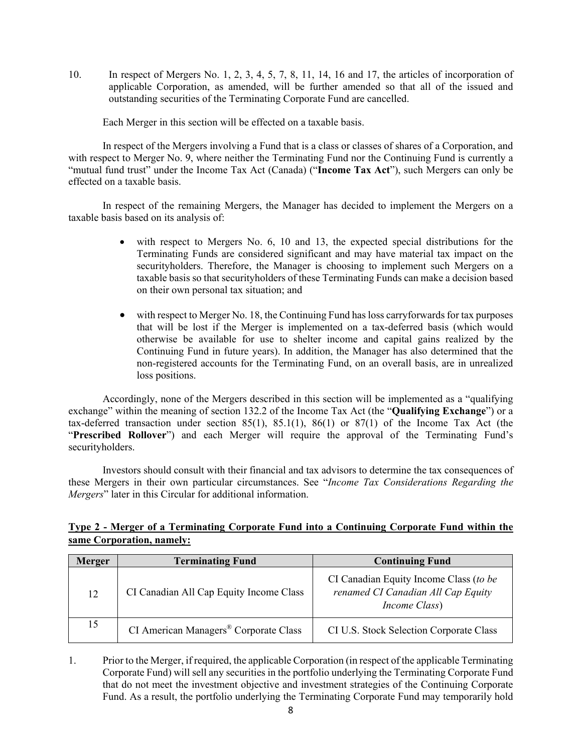10. In respect of Mergers No. 1, 2, 3, 4, 5, 7, 8, 11, 14, 16 and 17, the articles of incorporation of applicable Corporation, as amended, will be further amended so that all of the issued and outstanding securities of the Terminating Corporate Fund are cancelled.

Each Merger in this section will be effected on a taxable basis.

In respect of the Mergers involving a Fund that is a class or classes of shares of a Corporation, and with respect to Merger No. 9, where neither the Terminating Fund nor the Continuing Fund is currently a "mutual fund trust" under the Income Tax Act (Canada) ("**Income Tax Act**"), such Mergers can only be effected on a taxable basis.

In respect of the remaining Mergers, the Manager has decided to implement the Mergers on a taxable basis based on its analysis of:

- with respect to Mergers No. 6, 10 and 13, the expected special distributions for the Terminating Funds are considered significant and may have material tax impact on the securityholders. Therefore, the Manager is choosing to implement such Mergers on a taxable basis so that securityholders of these Terminating Funds can make a decision based on their own personal tax situation; and
- with respect to Merger No. 18, the Continuing Fund has loss carryforwards for tax purposes that will be lost if the Merger is implemented on a tax-deferred basis (which would otherwise be available for use to shelter income and capital gains realized by the Continuing Fund in future years). In addition, the Manager has also determined that the non-registered accounts for the Terminating Fund, on an overall basis, are in unrealized loss positions.

Accordingly, none of the Mergers described in this section will be implemented as a "qualifying exchange" within the meaning of section 132.2 of the Income Tax Act (the "**Qualifying Exchange**") or a tax-deferred transaction under section 85(1), 85.1(1), 86(1) or 87(1) of the Income Tax Act (the "**Prescribed Rollover**") and each Merger will require the approval of the Terminating Fund's securityholders.

Investors should consult with their financial and tax advisors to determine the tax consequences of these Mergers in their own particular circumstances. See "*Income Tax Considerations Regarding the Mergers*" later in this Circular for additional information.

# **Type 2 - Merger of a Terminating Corporate Fund into a Continuing Corporate Fund within the same Corporation, namely:**

| <b>Merger</b> | <b>Terminating Fund</b>                           | <b>Continuing Fund</b>                                                                                |
|---------------|---------------------------------------------------|-------------------------------------------------------------------------------------------------------|
| 12            | CI Canadian All Cap Equity Income Class           | CI Canadian Equity Income Class (to be<br>renamed CI Canadian All Cap Equity<br><i>Income Class</i> ) |
| 15            | CI American Managers <sup>®</sup> Corporate Class | CI U.S. Stock Selection Corporate Class                                                               |

1. Prior to the Merger, if required, the applicable Corporation (in respect of the applicable Terminating Corporate Fund) will sell any securities in the portfolio underlying the Terminating Corporate Fund that do not meet the investment objective and investment strategies of the Continuing Corporate Fund. As a result, the portfolio underlying the Terminating Corporate Fund may temporarily hold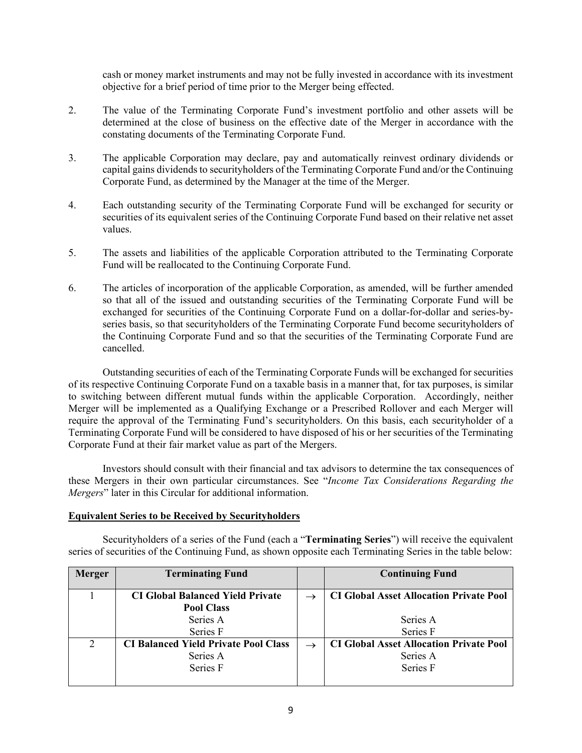cash or money market instruments and may not be fully invested in accordance with its investment objective for a brief period of time prior to the Merger being effected.

- 2. The value of the Terminating Corporate Fund's investment portfolio and other assets will be determined at the close of business on the effective date of the Merger in accordance with the constating documents of the Terminating Corporate Fund.
- 3. The applicable Corporation may declare, pay and automatically reinvest ordinary dividends or capital gains dividends to securityholders of the Terminating Corporate Fund and/or the Continuing Corporate Fund, as determined by the Manager at the time of the Merger.
- 4. Each outstanding security of the Terminating Corporate Fund will be exchanged for security or securities of its equivalent series of the Continuing Corporate Fund based on their relative net asset values.
- 5. The assets and liabilities of the applicable Corporation attributed to the Terminating Corporate Fund will be reallocated to the Continuing Corporate Fund.
- 6. The articles of incorporation of the applicable Corporation, as amended, will be further amended so that all of the issued and outstanding securities of the Terminating Corporate Fund will be exchanged for securities of the Continuing Corporate Fund on a dollar-for-dollar and series-byseries basis, so that securityholders of the Terminating Corporate Fund become securityholders of the Continuing Corporate Fund and so that the securities of the Terminating Corporate Fund are cancelled.

Outstanding securities of each of the Terminating Corporate Funds will be exchanged for securities of its respective Continuing Corporate Fund on a taxable basis in a manner that, for tax purposes, is similar to switching between different mutual funds within the applicable Corporation. Accordingly, neither Merger will be implemented as a Qualifying Exchange or a Prescribed Rollover and each Merger will require the approval of the Terminating Fund's securityholders. On this basis, each securityholder of a Terminating Corporate Fund will be considered to have disposed of his or her securities of the Terminating Corporate Fund at their fair market value as part of the Mergers.

Investors should consult with their financial and tax advisors to determine the tax consequences of these Mergers in their own particular circumstances. See "*Income Tax Considerations Regarding the Mergers*" later in this Circular for additional information.

### **Equivalent Series to be Received by Securityholders**

Securityholders of a series of the Fund (each a "**Terminating Series**") will receive the equivalent series of securities of the Continuing Fund, as shown opposite each Terminating Series in the table below:

| <b>Merger</b> | <b>Terminating Fund</b>                     | <b>Continuing Fund</b>                         |
|---------------|---------------------------------------------|------------------------------------------------|
|               |                                             |                                                |
|               | <b>CI Global Balanced Yield Private</b>     | <b>CI Global Asset Allocation Private Pool</b> |
|               | <b>Pool Class</b>                           |                                                |
|               | Series A                                    | Series A                                       |
|               | Series F                                    | Series F                                       |
| $\mathcal{D}$ | <b>CI Balanced Yield Private Pool Class</b> | <b>CI Global Asset Allocation Private Pool</b> |
|               | Series A                                    | Series A                                       |
|               | Series F                                    | Series F                                       |
|               |                                             |                                                |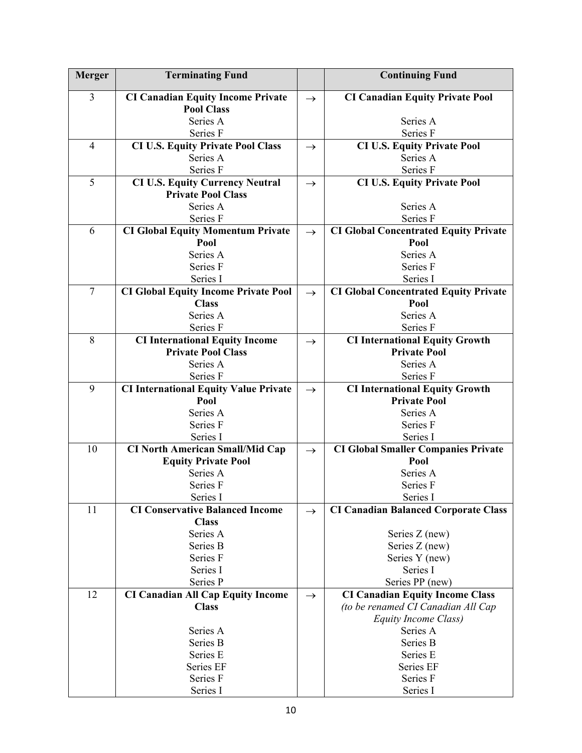| <b>Merger</b>  | <b>Terminating Fund</b>                                            |               | <b>Continuing Fund</b>                                       |
|----------------|--------------------------------------------------------------------|---------------|--------------------------------------------------------------|
| $\overline{3}$ | <b>CI Canadian Equity Income Private</b>                           | $\rightarrow$ | <b>CI Canadian Equity Private Pool</b>                       |
|                | <b>Pool Class</b>                                                  |               |                                                              |
|                | Series A                                                           |               | Series A                                                     |
|                | Series F                                                           |               | Series F                                                     |
| $\overline{4}$ | <b>CI U.S. Equity Private Pool Class</b>                           | $\rightarrow$ | <b>CI U.S. Equity Private Pool</b>                           |
|                | Series A                                                           |               | Series A                                                     |
|                | Series F                                                           |               | Series F                                                     |
| 5              | <b>CI U.S. Equity Currency Neutral</b>                             | $\rightarrow$ | <b>CI U.S. Equity Private Pool</b>                           |
|                | <b>Private Pool Class</b>                                          |               |                                                              |
|                | Series A                                                           |               | Series A                                                     |
|                | Series F                                                           |               | Series F                                                     |
| 6              | <b>CI Global Equity Momentum Private</b>                           | $\rightarrow$ | <b>CI Global Concentrated Equity Private</b>                 |
|                | Pool                                                               |               | Pool                                                         |
|                | Series A                                                           |               | Series A                                                     |
|                | Series F                                                           |               | Series F                                                     |
|                | Series I                                                           |               | Series I                                                     |
| $\overline{7}$ | <b>CI Global Equity Income Private Pool</b>                        | $\rightarrow$ | <b>CI Global Concentrated Equity Private</b>                 |
|                | <b>Class</b>                                                       |               | Pool                                                         |
|                | Series A                                                           |               | Series A                                                     |
|                | Series F                                                           |               | Series F                                                     |
| 8              | <b>CI International Equity Income</b><br><b>Private Pool Class</b> | $\rightarrow$ | <b>CI International Equity Growth</b><br><b>Private Pool</b> |
|                | Series A                                                           |               | Series A                                                     |
|                | Series F                                                           |               | Series F                                                     |
| 9              | <b>CI International Equity Value Private</b>                       |               | <b>CI International Equity Growth</b>                        |
|                | Pool                                                               | $\rightarrow$ | <b>Private Pool</b>                                          |
|                | Series A                                                           |               | Series A                                                     |
|                | Series F                                                           |               | Series F                                                     |
|                | Series I                                                           |               | Series I                                                     |
| 10             | <b>CI North American Small/Mid Cap</b>                             | $\rightarrow$ | <b>CI Global Smaller Companies Private</b>                   |
|                | <b>Equity Private Pool</b>                                         |               | Pool                                                         |
|                | Series A                                                           |               | Series A                                                     |
|                | Series F                                                           |               | Series F                                                     |
|                | Series I                                                           |               | Series I                                                     |
| 11             | <b>CI Conservative Balanced Income</b>                             | $\rightarrow$ | <b>CI Canadian Balanced Corporate Class</b>                  |
|                | <b>Class</b>                                                       |               |                                                              |
|                | Series A                                                           |               | Series Z (new)                                               |
|                | Series B                                                           |               | Series Z (new)                                               |
|                | Series F                                                           |               | Series Y (new)                                               |
|                | Series I                                                           |               | Series I                                                     |
|                | Series P                                                           |               | Series PP (new)                                              |
| 12             | <b>CI Canadian All Cap Equity Income</b>                           | $\rightarrow$ | <b>CI Canadian Equity Income Class</b>                       |
|                | <b>Class</b>                                                       |               | (to be renamed CI Canadian All Cap                           |
|                |                                                                    |               | Equity Income Class)                                         |
|                | Series A                                                           |               | Series A                                                     |
|                | Series B                                                           |               | Series B                                                     |
|                | Series E<br>Series EF                                              |               | Series E<br>Series EF                                        |
|                | Series F                                                           |               | Series F                                                     |
|                | Series I                                                           |               | Series I                                                     |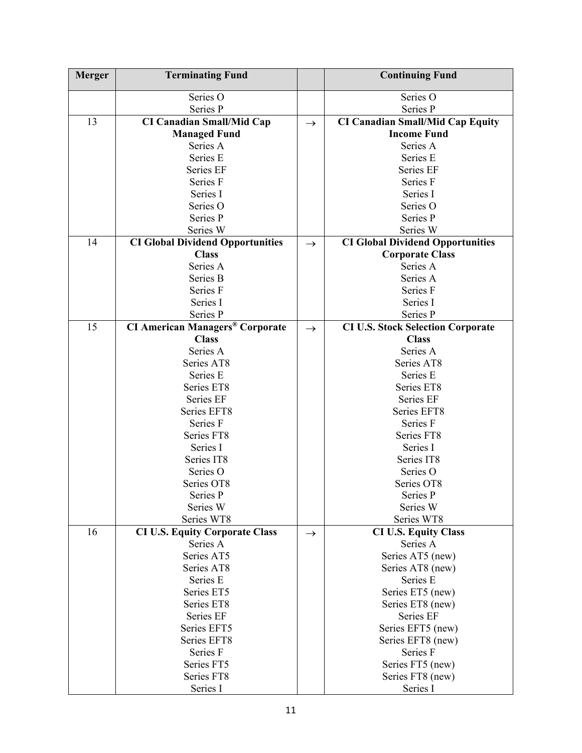| <b>Merger</b> | <b>Terminating Fund</b>                           |               | <b>Continuing Fund</b>                   |
|---------------|---------------------------------------------------|---------------|------------------------------------------|
|               | Series O                                          |               | Series O                                 |
|               | Series P                                          |               | Series P                                 |
| 13            | <b>CI Canadian Small/Mid Cap</b>                  | $\rightarrow$ | <b>CI Canadian Small/Mid Cap Equity</b>  |
|               | <b>Managed Fund</b>                               |               | <b>Income Fund</b>                       |
|               | Series A                                          |               | Series A                                 |
|               | Series E                                          |               | Series E                                 |
|               | Series EF                                         |               | Series EF                                |
|               | Series F                                          |               | Series F                                 |
|               | Series I                                          |               | Series I                                 |
|               | Series O                                          |               | Series O                                 |
|               | Series P                                          |               | Series P                                 |
|               | Series W                                          |               | Series W                                 |
| 14            | <b>CI Global Dividend Opportunities</b>           | $\rightarrow$ | <b>CI Global Dividend Opportunities</b>  |
|               | <b>Class</b>                                      |               | <b>Corporate Class</b>                   |
|               | Series A                                          |               | Series A                                 |
|               | Series B                                          |               | Series A                                 |
|               | Series F                                          |               | Series F                                 |
|               | Series I                                          |               | Series I                                 |
|               | Series P                                          |               | Series P                                 |
| 15            | <b>CI American Managers<sup>®</sup> Corporate</b> | $\rightarrow$ | <b>CI U.S. Stock Selection Corporate</b> |
|               | <b>Class</b>                                      |               | <b>Class</b>                             |
|               | Series A                                          |               | Series A                                 |
|               | Series AT8                                        |               | Series AT8                               |
|               | Series E                                          |               | Series E                                 |
|               | Series ET8                                        |               | Series ET8                               |
|               | Series EF                                         |               | Series EF                                |
|               | Series EFT8                                       |               | Series EFT8                              |
|               | Series F                                          |               | Series F                                 |
|               | Series FT8                                        |               | Series FT8                               |
|               | Series I                                          |               | Series I                                 |
|               | Series IT8                                        |               | Series IT8                               |
|               | Series O                                          |               | Series O                                 |
|               | Series OT8                                        |               | Series OT8                               |
|               | Series P                                          |               | Series P                                 |
|               | Series W                                          |               | Series W                                 |
|               | Series WT8                                        |               | Series WT8                               |
| 16            | <b>CI U.S. Equity Corporate Class</b>             | $\rightarrow$ | <b>CI U.S. Equity Class</b>              |
|               | Series A                                          |               | Series A                                 |
|               | Series AT5                                        |               | Series AT5 (new)                         |
|               | Series AT8                                        |               | Series AT8 (new)                         |
|               | Series E                                          |               | Series E                                 |
|               | Series ET5                                        |               | Series ET5 (new)                         |
|               | Series ET8                                        |               | Series ET8 (new)                         |
|               | Series EF                                         |               | Series EF                                |
|               | Series EFT5                                       |               | Series EFT5 (new)                        |
|               | Series EFT8                                       |               | Series EFT8 (new)                        |
|               | Series F                                          |               | Series F                                 |
|               | Series FT5                                        |               | Series FT5 (new)                         |
|               | Series FT8                                        |               | Series FT8 (new)                         |
|               | Series I                                          |               | Series I                                 |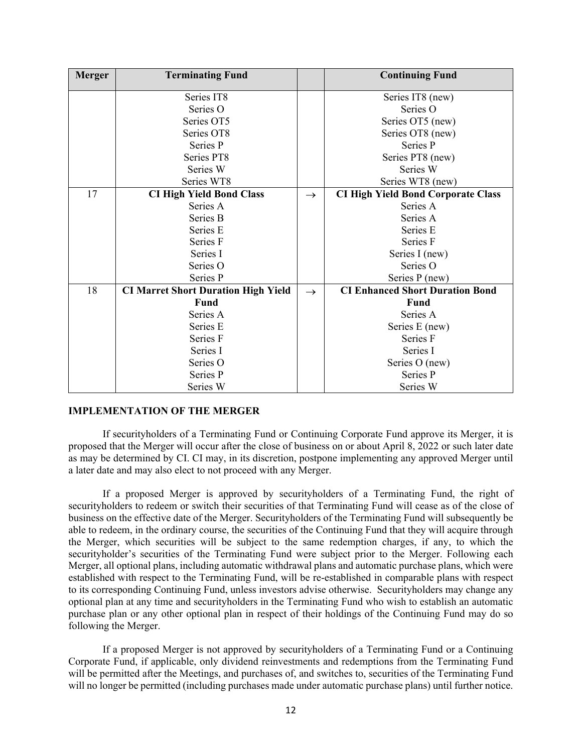| <b>Merger</b> | <b>Terminating Fund</b>                    |               | <b>Continuing Fund</b>                    |
|---------------|--------------------------------------------|---------------|-------------------------------------------|
|               | Series IT8                                 |               | Series IT8 (new)                          |
|               | Series O                                   |               | Series O                                  |
|               | Series OT5                                 |               | Series OT5 (new)                          |
|               | Series OT8                                 |               | Series OT8 (new)                          |
|               | Series P                                   |               | Series P                                  |
|               | Series PT8                                 |               | Series PT8 (new)                          |
|               | Series W                                   |               | Series W                                  |
|               | Series WT8                                 |               | Series WT8 (new)                          |
| 17            | <b>CI High Yield Bond Class</b>            | $\rightarrow$ | <b>CI High Yield Bond Corporate Class</b> |
|               | Series A                                   |               | Series A                                  |
|               | Series B                                   |               | Series A                                  |
|               | Series E                                   |               | Series E                                  |
|               | Series F                                   |               | Series F                                  |
|               | Series I                                   |               | Series I (new)                            |
|               | Series O                                   |               | Series O                                  |
|               | Series P                                   |               | Series P (new)                            |
| 18            | <b>CI Marret Short Duration High Yield</b> | $\rightarrow$ | <b>CI Enhanced Short Duration Bond</b>    |
|               | <b>Fund</b>                                |               | Fund                                      |
|               | Series A                                   |               | Series A                                  |
|               | Series E                                   |               | Series E (new)                            |
|               | Series F                                   |               | Series F                                  |
|               | Series I                                   |               | Series I                                  |
|               | Series O                                   |               | Series O (new)                            |
|               | Series P                                   |               | Series P                                  |
|               | Series W                                   |               | Series W                                  |

#### **IMPLEMENTATION OF THE MERGER**

If securityholders of a Terminating Fund or Continuing Corporate Fund approve its Merger, it is proposed that the Merger will occur after the close of business on or about April 8, 2022 or such later date as may be determined by CI. CI may, in its discretion, postpone implementing any approved Merger until a later date and may also elect to not proceed with any Merger.

If a proposed Merger is approved by securityholders of a Terminating Fund, the right of securityholders to redeem or switch their securities of that Terminating Fund will cease as of the close of business on the effective date of the Merger. Securityholders of the Terminating Fund will subsequently be able to redeem, in the ordinary course, the securities of the Continuing Fund that they will acquire through the Merger, which securities will be subject to the same redemption charges, if any, to which the securityholder's securities of the Terminating Fund were subject prior to the Merger. Following each Merger, all optional plans, including automatic withdrawal plans and automatic purchase plans, which were established with respect to the Terminating Fund, will be re-established in comparable plans with respect to its corresponding Continuing Fund, unless investors advise otherwise. Securityholders may change any optional plan at any time and securityholders in the Terminating Fund who wish to establish an automatic purchase plan or any other optional plan in respect of their holdings of the Continuing Fund may do so following the Merger.

If a proposed Merger is not approved by securityholders of a Terminating Fund or a Continuing Corporate Fund, if applicable, only dividend reinvestments and redemptions from the Terminating Fund will be permitted after the Meetings, and purchases of, and switches to, securities of the Terminating Fund will no longer be permitted (including purchases made under automatic purchase plans) until further notice.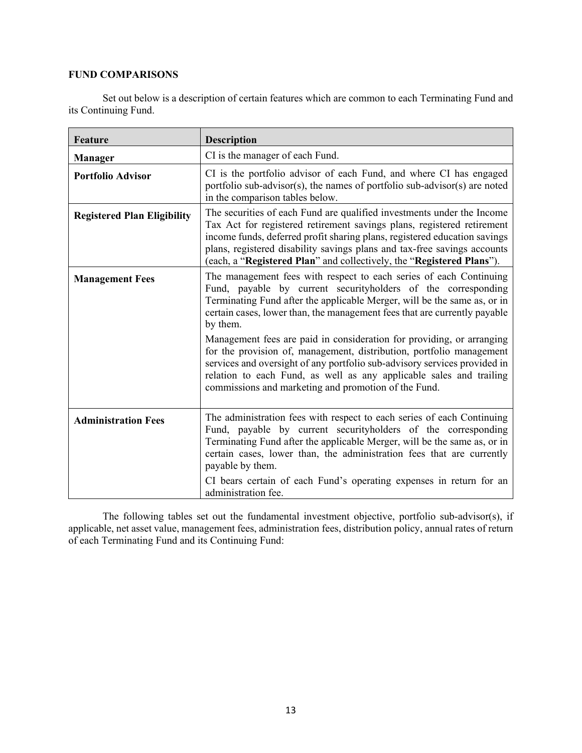# **FUND COMPARISONS**

Set out below is a description of certain features which are common to each Terminating Fund and its Continuing Fund.

| <b>Feature</b>                     | <b>Description</b>                                                                                                                                                                                                                                                                                                                                                                                                                                                                                                                                                                                                                                                    |
|------------------------------------|-----------------------------------------------------------------------------------------------------------------------------------------------------------------------------------------------------------------------------------------------------------------------------------------------------------------------------------------------------------------------------------------------------------------------------------------------------------------------------------------------------------------------------------------------------------------------------------------------------------------------------------------------------------------------|
| <b>Manager</b>                     | CI is the manager of each Fund.                                                                                                                                                                                                                                                                                                                                                                                                                                                                                                                                                                                                                                       |
| <b>Portfolio Advisor</b>           | CI is the portfolio advisor of each Fund, and where CI has engaged<br>portfolio sub-advisor(s), the names of portfolio sub-advisor(s) are noted<br>in the comparison tables below.                                                                                                                                                                                                                                                                                                                                                                                                                                                                                    |
| <b>Registered Plan Eligibility</b> | The securities of each Fund are qualified investments under the Income<br>Tax Act for registered retirement savings plans, registered retirement<br>income funds, deferred profit sharing plans, registered education savings<br>plans, registered disability savings plans and tax-free savings accounts<br>(each, a "Registered Plan" and collectively, the "Registered Plans").                                                                                                                                                                                                                                                                                    |
| <b>Management Fees</b>             | The management fees with respect to each series of each Continuing<br>Fund, payable by current securityholders of the corresponding<br>Terminating Fund after the applicable Merger, will be the same as, or in<br>certain cases, lower than, the management fees that are currently payable<br>by them.<br>Management fees are paid in consideration for providing, or arranging<br>for the provision of, management, distribution, portfolio management<br>services and oversight of any portfolio sub-advisory services provided in<br>relation to each Fund, as well as any applicable sales and trailing<br>commissions and marketing and promotion of the Fund. |
| <b>Administration Fees</b>         | The administration fees with respect to each series of each Continuing<br>Fund, payable by current securityholders of the corresponding<br>Terminating Fund after the applicable Merger, will be the same as, or in<br>certain cases, lower than, the administration fees that are currently<br>payable by them.<br>CI bears certain of each Fund's operating expenses in return for an<br>administration fee.                                                                                                                                                                                                                                                        |

The following tables set out the fundamental investment objective, portfolio sub-advisor(s), if applicable, net asset value, management fees, administration fees, distribution policy, annual rates of return of each Terminating Fund and its Continuing Fund: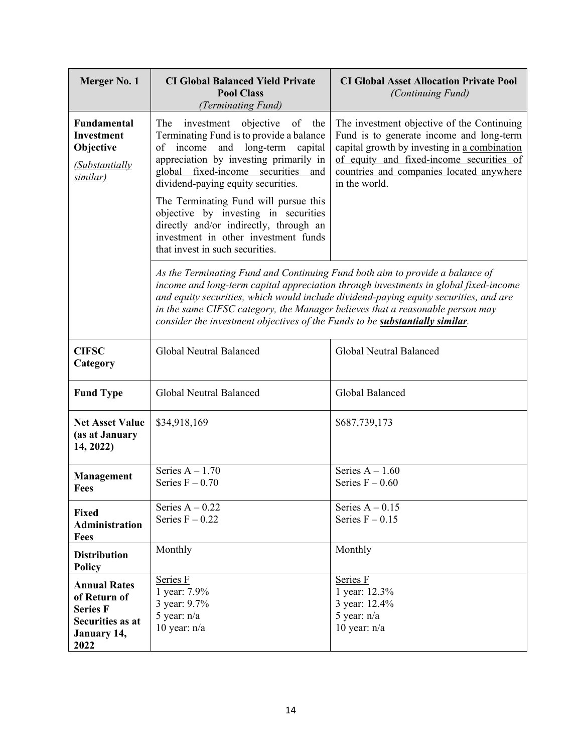| Merger No. 1                                                                                             | <b>CI Global Balanced Yield Private</b><br><b>Pool Class</b><br>(Terminating Fund)                                                                                                                                                                                                                                                                                                                                                                           | <b>CI Global Asset Allocation Private Pool</b><br><i>(Continuing Fund)</i>                                                                                                                                                                      |
|----------------------------------------------------------------------------------------------------------|--------------------------------------------------------------------------------------------------------------------------------------------------------------------------------------------------------------------------------------------------------------------------------------------------------------------------------------------------------------------------------------------------------------------------------------------------------------|-------------------------------------------------------------------------------------------------------------------------------------------------------------------------------------------------------------------------------------------------|
| <b>Fundamental</b><br><b>Investment</b><br>Objective<br><i>(Substantially</i><br>similar)                | The<br>investment objective<br>of<br>the<br>Terminating Fund is to provide a balance<br>and long-term capital<br>of<br>income<br>appreciation by investing primarily in<br>global fixed-income securities<br>and<br>dividend-paying equity securities.<br>The Terminating Fund will pursue this<br>objective by investing in securities<br>directly and/or indirectly, through an<br>investment in other investment funds<br>that invest in such securities. | The investment objective of the Continuing<br>Fund is to generate income and long-term<br>capital growth by investing in a combination<br>of equity and fixed-income securities of<br>countries and companies located anywhere<br>in the world. |
|                                                                                                          | As the Terminating Fund and Continuing Fund both aim to provide a balance of<br>in the same CIFSC category, the Manager believes that a reasonable person may<br>consider the investment objectives of the Funds to be <b>substantially similar</b> .                                                                                                                                                                                                        | income and long-term capital appreciation through investments in global fixed-income<br>and equity securities, which would include dividend-paying equity securities, and are                                                                   |
| <b>CIFSC</b><br>Category                                                                                 | Global Neutral Balanced                                                                                                                                                                                                                                                                                                                                                                                                                                      | Global Neutral Balanced                                                                                                                                                                                                                         |
| <b>Fund Type</b>                                                                                         | Global Neutral Balanced                                                                                                                                                                                                                                                                                                                                                                                                                                      | Global Balanced                                                                                                                                                                                                                                 |
| <b>Net Asset Value</b><br>(as at January<br>14, 2022)                                                    | \$34,918,169                                                                                                                                                                                                                                                                                                                                                                                                                                                 | \$687,739,173                                                                                                                                                                                                                                   |
| <b>Management</b><br>Fees                                                                                | Series $A - 1.70$<br>Series $F - 0.70$                                                                                                                                                                                                                                                                                                                                                                                                                       | Series $A - 1.60$<br>Series $F - 0.60$                                                                                                                                                                                                          |
| <b>Fixed</b><br><b>Administration</b><br><b>Fees</b>                                                     | Series $A - 0.22$<br>Series $F - 0.22$                                                                                                                                                                                                                                                                                                                                                                                                                       | Series $A - 0.15$<br>Series $F - 0.15$                                                                                                                                                                                                          |
| <b>Distribution</b><br><b>Policy</b>                                                                     | Monthly                                                                                                                                                                                                                                                                                                                                                                                                                                                      | Monthly                                                                                                                                                                                                                                         |
| <b>Annual Rates</b><br>of Return of<br><b>Series F</b><br><b>Securities as at</b><br>January 14,<br>2022 | Series F<br>1 year: 7.9%<br>3 year: 9.7%<br>5 year: $n/a$<br>10 year: $n/a$                                                                                                                                                                                                                                                                                                                                                                                  | Series F<br>1 year: 12.3%<br>3 year: 12.4%<br>5 year: $n/a$<br>10 year: $n/a$                                                                                                                                                                   |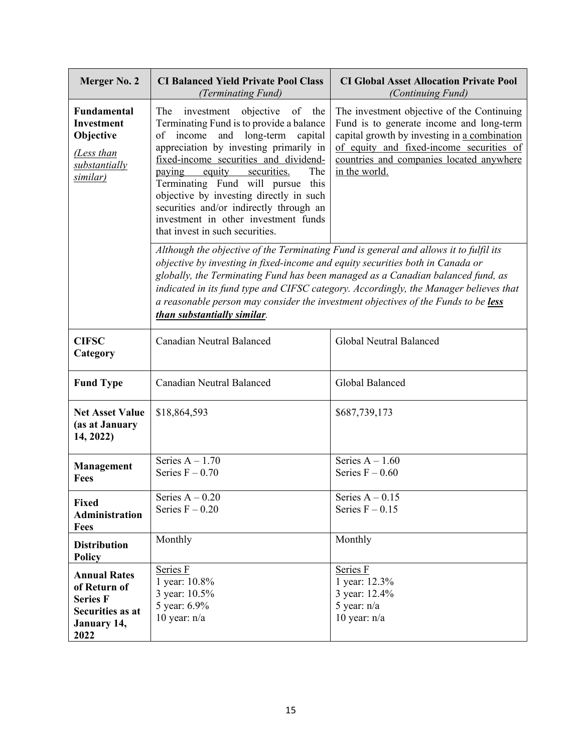| Merger No. 2                                                                                             | <b>CI Balanced Yield Private Pool Class</b><br>(Terminating Fund)                                                                                                                                                                                                                                                                                                                                                                                             | <b>CI Global Asset Allocation Private Pool</b><br>(Continuing Fund)                                                                                                                                                                             |
|----------------------------------------------------------------------------------------------------------|---------------------------------------------------------------------------------------------------------------------------------------------------------------------------------------------------------------------------------------------------------------------------------------------------------------------------------------------------------------------------------------------------------------------------------------------------------------|-------------------------------------------------------------------------------------------------------------------------------------------------------------------------------------------------------------------------------------------------|
| <b>Fundamental</b><br><b>Investment</b><br>Objective<br>(Less than<br>substantially<br>similar)          | The<br>investment<br>objective<br>of the<br>Terminating Fund is to provide a balance<br>income and long-term capital<br>of<br>appreciation by investing primarily in<br>fixed-income securities and dividend-<br>securities.<br>equity<br>The<br>paying<br>Terminating Fund will pursue this<br>objective by investing directly in such<br>securities and/or indirectly through an<br>investment in other investment funds<br>that invest in such securities. | The investment objective of the Continuing<br>Fund is to generate income and long-term<br>capital growth by investing in a combination<br>of equity and fixed-income securities of<br>countries and companies located anywhere<br>in the world. |
|                                                                                                          | Although the objective of the Terminating Fund is general and allows it to fulfil its<br>objective by investing in fixed-income and equity securities both in Canada or<br>a reasonable person may consider the investment objectives of the Funds to be less<br>than substantially similar.                                                                                                                                                                  | globally, the Terminating Fund has been managed as a Canadian balanced fund, as<br>indicated in its fund type and CIFSC category. Accordingly, the Manager believes that                                                                        |
| <b>CIFSC</b><br>Category                                                                                 | Canadian Neutral Balanced                                                                                                                                                                                                                                                                                                                                                                                                                                     | Global Neutral Balanced                                                                                                                                                                                                                         |
| <b>Fund Type</b>                                                                                         | Canadian Neutral Balanced                                                                                                                                                                                                                                                                                                                                                                                                                                     | Global Balanced                                                                                                                                                                                                                                 |
| <b>Net Asset Value</b><br>(as at January<br>14, 2022)                                                    | \$18,864,593                                                                                                                                                                                                                                                                                                                                                                                                                                                  | \$687,739,173                                                                                                                                                                                                                                   |
| Management<br>Fees                                                                                       | Series $A - 1.70$<br>Series $F - 0.70$                                                                                                                                                                                                                                                                                                                                                                                                                        | Series $A - 1.60$<br>Series $F - 0.60$                                                                                                                                                                                                          |
| <b>Fixed</b><br>Administration<br><b>Fees</b>                                                            | Series $A - 0.20$<br>Series $F - 0.20$                                                                                                                                                                                                                                                                                                                                                                                                                        | Series $A - 0.15$<br>Series $F - 0.15$                                                                                                                                                                                                          |
| <b>Distribution</b><br><b>Policy</b>                                                                     | Monthly                                                                                                                                                                                                                                                                                                                                                                                                                                                       | Monthly                                                                                                                                                                                                                                         |
| <b>Annual Rates</b><br>of Return of<br><b>Series F</b><br><b>Securities as at</b><br>January 14,<br>2022 | Series F<br>1 year: 10.8%<br>3 year: 10.5%<br>5 year: 6.9%<br>10 year: $n/a$                                                                                                                                                                                                                                                                                                                                                                                  | Series F<br>1 year: 12.3%<br>3 year: 12.4%<br>5 year: $n/a$<br>10 year: $n/a$                                                                                                                                                                   |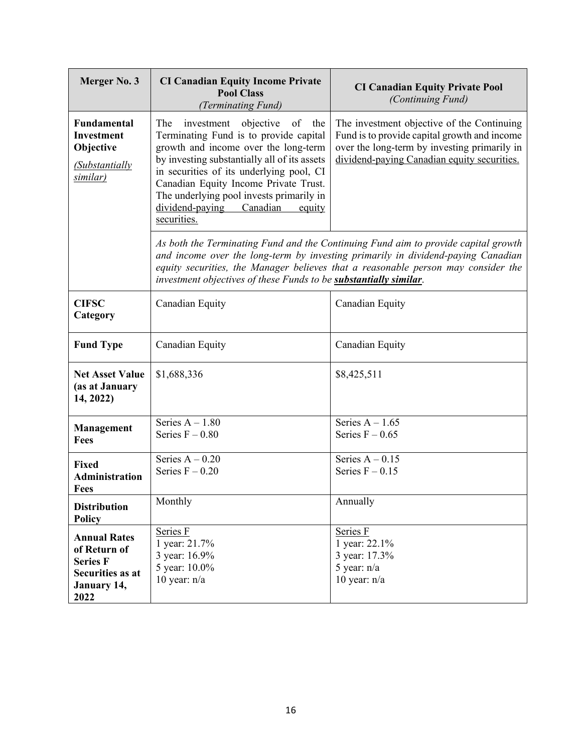| Merger No. 3                                                                                             | <b>CI Canadian Equity Income Private</b><br><b>Pool Class</b><br>(Terminating Fund)                                                                                                                                                                                                                                                                           | <b>CI Canadian Equity Private Pool</b><br>(Continuing Fund)                                                                                                                                                                                                 |
|----------------------------------------------------------------------------------------------------------|---------------------------------------------------------------------------------------------------------------------------------------------------------------------------------------------------------------------------------------------------------------------------------------------------------------------------------------------------------------|-------------------------------------------------------------------------------------------------------------------------------------------------------------------------------------------------------------------------------------------------------------|
| <b>Fundamental</b><br><b>Investment</b><br>Objective<br><b>Substantially</b><br>similar)                 | objective of the<br>The<br>investment<br>Terminating Fund is to provide capital<br>growth and income over the long-term<br>by investing substantially all of its assets<br>in securities of its underlying pool, CI<br>Canadian Equity Income Private Trust.<br>The underlying pool invests primarily in<br>dividend-paying Canadian<br>equity<br>securities. | The investment objective of the Continuing<br>Fund is to provide capital growth and income<br>over the long-term by investing primarily in<br>dividend-paying Canadian equity securities.                                                                   |
|                                                                                                          | investment objectives of these Funds to be substantially similar.                                                                                                                                                                                                                                                                                             | As both the Terminating Fund and the Continuing Fund aim to provide capital growth<br>and income over the long-term by investing primarily in dividend-paying Canadian<br>equity securities, the Manager believes that a reasonable person may consider the |
| <b>CIFSC</b><br>Category                                                                                 | Canadian Equity                                                                                                                                                                                                                                                                                                                                               | Canadian Equity                                                                                                                                                                                                                                             |
| <b>Fund Type</b>                                                                                         | Canadian Equity                                                                                                                                                                                                                                                                                                                                               | Canadian Equity                                                                                                                                                                                                                                             |
| <b>Net Asset Value</b><br>(as at January<br>14, 2022)                                                    | \$1,688,336                                                                                                                                                                                                                                                                                                                                                   | \$8,425,511                                                                                                                                                                                                                                                 |
| Management<br><b>Fees</b>                                                                                | Series $A - 1.80$<br>Series $F - 0.80$                                                                                                                                                                                                                                                                                                                        | Series $A - 1.65$<br>Series $F - 0.65$                                                                                                                                                                                                                      |
| <b>Fixed</b><br><b>Administration</b><br>Fees                                                            | Series $A - 0.20$<br>Series $F - 0.20$                                                                                                                                                                                                                                                                                                                        | Series $A - 0.15$<br>Series $F - 0.15$                                                                                                                                                                                                                      |
| <b>Distribution</b><br><b>Policy</b>                                                                     | Monthly                                                                                                                                                                                                                                                                                                                                                       | Annually                                                                                                                                                                                                                                                    |
| <b>Annual Rates</b><br>of Return of<br><b>Series F</b><br>Securities as at<br><b>January 14,</b><br>2022 | Series F<br>1 year: 21.7%<br>3 year: 16.9%<br>5 year: 10.0%<br>10 year: $n/a$                                                                                                                                                                                                                                                                                 | Series F<br>1 year: 22.1%<br>3 year: 17.3%<br>5 year: n/a<br>10 year: $n/a$                                                                                                                                                                                 |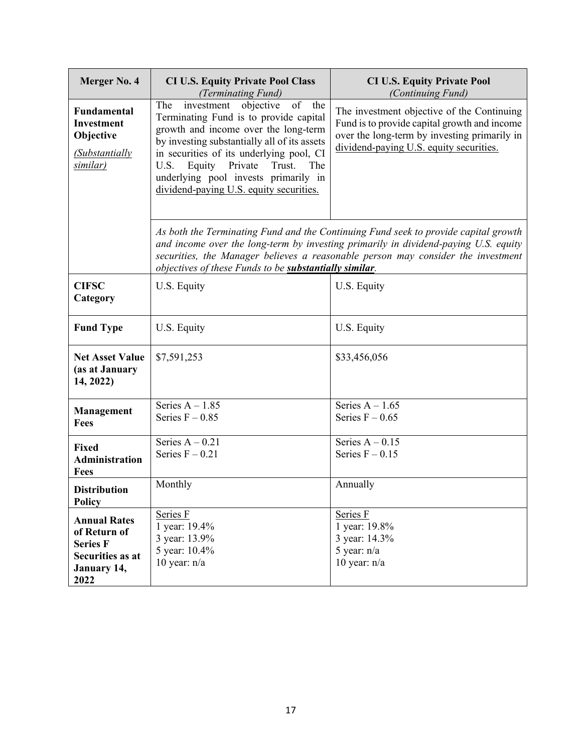| Merger No. 4                                                                                      | <b>CI U.S. Equity Private Pool Class</b><br>(Terminating Fund)                                                                                                                                                                                                                                                                                       | <b>CI U.S. Equity Private Pool</b><br>(Continuing Fund)                                                                                                                                                                                                        |
|---------------------------------------------------------------------------------------------------|------------------------------------------------------------------------------------------------------------------------------------------------------------------------------------------------------------------------------------------------------------------------------------------------------------------------------------------------------|----------------------------------------------------------------------------------------------------------------------------------------------------------------------------------------------------------------------------------------------------------------|
| <b>Fundamental</b><br><b>Investment</b><br>Objective<br><b>Substantially</b><br>similar)          | investment objective<br>of the<br>The<br>Terminating Fund is to provide capital<br>growth and income over the long-term<br>by investing substantially all of its assets<br>in securities of its underlying pool, CI<br>Equity<br>Private<br>Trust.<br>U.S.<br>The<br>underlying pool invests primarily in<br>dividend-paying U.S. equity securities. | The investment objective of the Continuing<br>Fund is to provide capital growth and income<br>over the long-term by investing primarily in<br>dividend-paying U.S. equity securities.                                                                          |
|                                                                                                   | objectives of these Funds to be substantially similar.                                                                                                                                                                                                                                                                                               | As both the Terminating Fund and the Continuing Fund seek to provide capital growth<br>and income over the long-term by investing primarily in dividend-paying U.S. equity<br>securities, the Manager believes a reasonable person may consider the investment |
| <b>CIFSC</b><br>Category                                                                          | U.S. Equity                                                                                                                                                                                                                                                                                                                                          | U.S. Equity                                                                                                                                                                                                                                                    |
| <b>Fund Type</b>                                                                                  | U.S. Equity                                                                                                                                                                                                                                                                                                                                          | U.S. Equity                                                                                                                                                                                                                                                    |
| <b>Net Asset Value</b><br>(as at January<br>14, 2022)                                             | \$7,591,253                                                                                                                                                                                                                                                                                                                                          | \$33,456,056                                                                                                                                                                                                                                                   |
| Management<br><b>Fees</b>                                                                         | Series $A - 1.85$<br>Series $F - 0.85$                                                                                                                                                                                                                                                                                                               | Series $A - 1.65$<br>Series $F - 0.65$                                                                                                                                                                                                                         |
| <b>Fixed</b><br><b>Administration</b><br><b>Fees</b>                                              | Series $A - 0.21$<br>Series $F - 0.21$                                                                                                                                                                                                                                                                                                               | Series $A - 0.15$<br>Series $F - 0.15$                                                                                                                                                                                                                         |
| <b>Distribution</b><br><b>Policy</b>                                                              | Monthly                                                                                                                                                                                                                                                                                                                                              | Annually                                                                                                                                                                                                                                                       |
| <b>Annual Rates</b><br>of Return of<br><b>Series F</b><br>Securities as at<br>January 14,<br>2022 | Series F<br>1 year: 19.4%<br>3 year: 13.9%<br>5 year: 10.4%<br>10 year: $n/a$                                                                                                                                                                                                                                                                        | Series F<br>1 year: 19.8%<br>3 year: 14.3%<br>5 year: $n/a$<br>10 year: $n/a$                                                                                                                                                                                  |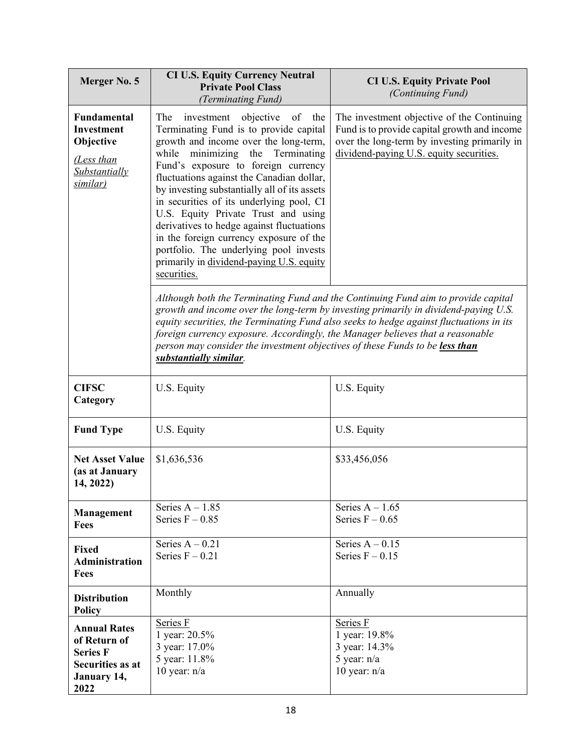| Merger No. 5                                                                                             | <b>CI U.S. Equity Currency Neutral</b><br><b>Private Pool Class</b><br>(Terminating Fund)                                                                                                                                                                                                                                                                                                                                                                                                                                                                                              | <b>CI U.S. Equity Private Pool</b><br>(Continuing Fund)                                                                                                                                                                                                             |
|----------------------------------------------------------------------------------------------------------|----------------------------------------------------------------------------------------------------------------------------------------------------------------------------------------------------------------------------------------------------------------------------------------------------------------------------------------------------------------------------------------------------------------------------------------------------------------------------------------------------------------------------------------------------------------------------------------|---------------------------------------------------------------------------------------------------------------------------------------------------------------------------------------------------------------------------------------------------------------------|
| <b>Fundamental</b><br><b>Investment</b><br>Objective<br>(Less than<br>Substantially<br>similar)          | The<br>investment objective<br>of<br>the<br>Terminating Fund is to provide capital<br>growth and income over the long-term,<br>minimizing the Terminating<br>while<br>Fund's exposure to foreign currency<br>fluctuations against the Canadian dollar,<br>by investing substantially all of its assets<br>in securities of its underlying pool, CI<br>U.S. Equity Private Trust and using<br>derivatives to hedge against fluctuations<br>in the foreign currency exposure of the<br>portfolio. The underlying pool invests<br>primarily in dividend-paying U.S. equity<br>securities. | The investment objective of the Continuing<br>Fund is to provide capital growth and income<br>over the long-term by investing primarily in<br>dividend-paying U.S. equity securities.                                                                               |
|                                                                                                          | foreign currency exposure. Accordingly, the Manager believes that a reasonable<br>person may consider the investment objectives of these Funds to be less than<br>substantially similar.                                                                                                                                                                                                                                                                                                                                                                                               | Although both the Terminating Fund and the Continuing Fund aim to provide capital<br>growth and income over the long-term by investing primarily in dividend-paying U.S.<br>equity securities, the Terminating Fund also seeks to hedge against fluctuations in its |
| <b>CIFSC</b><br>Category                                                                                 | U.S. Equity                                                                                                                                                                                                                                                                                                                                                                                                                                                                                                                                                                            | U.S. Equity                                                                                                                                                                                                                                                         |
| <b>Fund Type</b>                                                                                         | U.S. Equity                                                                                                                                                                                                                                                                                                                                                                                                                                                                                                                                                                            | U.S. Equity                                                                                                                                                                                                                                                         |
| <b>Net Asset Value</b><br>(as at January<br>14, 2022)                                                    | \$1,636,536                                                                                                                                                                                                                                                                                                                                                                                                                                                                                                                                                                            | \$33,456,056                                                                                                                                                                                                                                                        |
| <b>Management</b><br>Fees                                                                                | Series $A - 1.85$<br>Series $F - 0.85$                                                                                                                                                                                                                                                                                                                                                                                                                                                                                                                                                 | Series $A - 1.65$<br>Series $F - 0.65$                                                                                                                                                                                                                              |
| <b>Fixed</b><br><b>Administration</b><br>Fees                                                            | Series $A - 0.21$<br>Series $F - 0.21$                                                                                                                                                                                                                                                                                                                                                                                                                                                                                                                                                 | Series $A - 0.15$<br>Series $F - 0.15$                                                                                                                                                                                                                              |
| <b>Distribution</b><br><b>Policy</b>                                                                     | Monthly                                                                                                                                                                                                                                                                                                                                                                                                                                                                                                                                                                                | Annually                                                                                                                                                                                                                                                            |
| <b>Annual Rates</b><br>of Return of<br><b>Series F</b><br><b>Securities as at</b><br>January 14,<br>2022 | Series F<br>1 year: 20.5%<br>3 year: 17.0%<br>5 year: 11.8%<br>10 year: $n/a$                                                                                                                                                                                                                                                                                                                                                                                                                                                                                                          | Series F<br>1 year: 19.8%<br>3 year: 14.3%<br>5 year: n/a<br>10 year: $n/a$                                                                                                                                                                                         |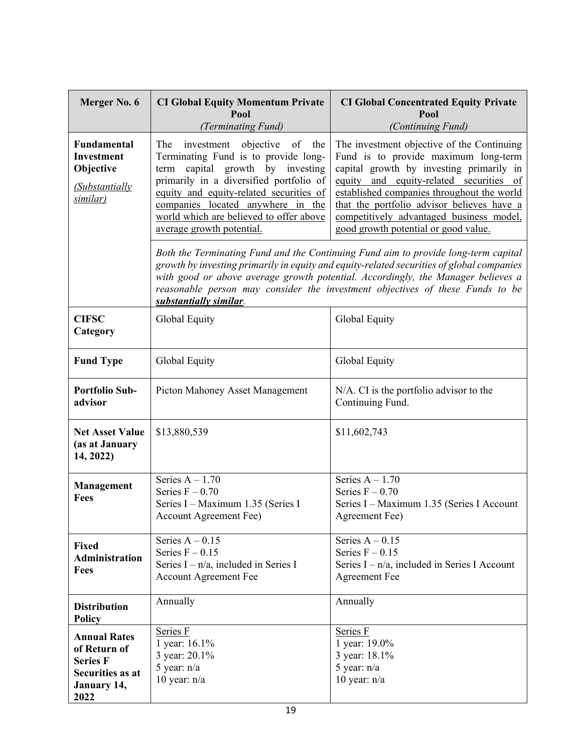| Merger No. 6                                                                                      | <b>CI Global Equity Momentum Private</b><br>Pool                                                                                                                                                                                                                                                                        | <b>CI Global Concentrated Equity Private</b><br>Pool                                                                                                                                                                                                                                                                                                      |
|---------------------------------------------------------------------------------------------------|-------------------------------------------------------------------------------------------------------------------------------------------------------------------------------------------------------------------------------------------------------------------------------------------------------------------------|-----------------------------------------------------------------------------------------------------------------------------------------------------------------------------------------------------------------------------------------------------------------------------------------------------------------------------------------------------------|
|                                                                                                   | (Terminating Fund)                                                                                                                                                                                                                                                                                                      | (Continuing Fund)                                                                                                                                                                                                                                                                                                                                         |
| Fundamental<br>Investment<br>Objective<br>(Substantially<br>similar)                              | investment objective<br>The<br>of<br>the<br>Terminating Fund is to provide long-<br>term capital growth by investing<br>primarily in a diversified portfolio of<br>equity and equity-related securities of<br>companies located anywhere in the<br>world which are believed to offer above<br>average growth potential. | The investment objective of the Continuing<br>Fund is to provide maximum long-term<br>capital growth by investing primarily in<br>equity and equity-related securities of<br>established companies throughout the world<br>that the portfolio advisor believes have a<br>competitively advantaged business model,<br>good growth potential or good value. |
|                                                                                                   | substantially similar.                                                                                                                                                                                                                                                                                                  | Both the Terminating Fund and the Continuing Fund aim to provide long-term capital<br>growth by investing primarily in equity and equity-related securities of global companies<br>with good or above average growth potential. Accordingly, the Manager believes a<br>reasonable person may consider the investment objectives of these Funds to be      |
| <b>CIFSC</b><br>Category                                                                          | Global Equity                                                                                                                                                                                                                                                                                                           | Global Equity                                                                                                                                                                                                                                                                                                                                             |
| <b>Fund Type</b>                                                                                  | Global Equity                                                                                                                                                                                                                                                                                                           | Global Equity                                                                                                                                                                                                                                                                                                                                             |
| <b>Portfolio Sub-</b><br>advisor                                                                  | Picton Mahoney Asset Management                                                                                                                                                                                                                                                                                         | N/A. CI is the portfolio advisor to the<br>Continuing Fund.                                                                                                                                                                                                                                                                                               |
| <b>Net Asset Value</b><br>(as at January<br>14, 2022)                                             | \$13,880,539                                                                                                                                                                                                                                                                                                            | \$11,602,743                                                                                                                                                                                                                                                                                                                                              |
| <b>Management</b><br><b>Fees</b>                                                                  | Series $A - 1.70$<br>Series $F - 0.70$<br>Series I - Maximum 1.35 (Series I<br><b>Account Agreement Fee)</b>                                                                                                                                                                                                            | Series $A - 1.70$<br>Series $F - 0.70$<br>Series I - Maximum 1.35 (Series I Account<br>Agreement Fee)                                                                                                                                                                                                                                                     |
| <b>Fixed</b><br><b>Administration</b><br><b>Fees</b>                                              | Series $A - 0.15$<br>Series $F - 0.15$<br>Series $I - n/a$ , included in Series I<br><b>Account Agreement Fee</b>                                                                                                                                                                                                       | Series $A - 0.15$<br>Series $F - 0.15$<br>Series $I - n/a$ , included in Series I Account<br><b>Agreement Fee</b>                                                                                                                                                                                                                                         |
| <b>Distribution</b><br><b>Policy</b>                                                              | Annually                                                                                                                                                                                                                                                                                                                | Annually                                                                                                                                                                                                                                                                                                                                                  |
| <b>Annual Rates</b><br>of Return of<br><b>Series F</b><br>Securities as at<br>January 14,<br>2022 | Series F<br>1 year: 16.1%<br>3 year: 20.1%<br>5 year: $n/a$<br>10 year: $n/a$                                                                                                                                                                                                                                           | Series F<br>1 year: 19.0%<br>3 year: 18.1%<br>5 year: $n/a$<br>10 year: $n/a$                                                                                                                                                                                                                                                                             |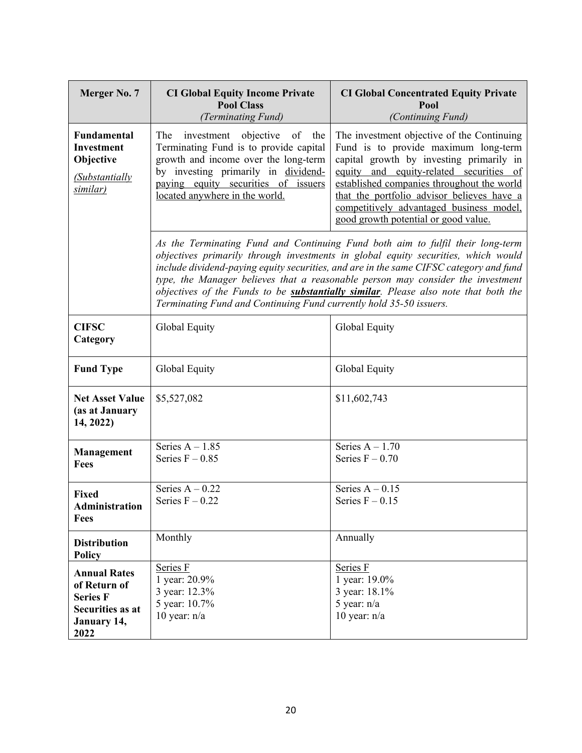| Merger No. 7                                                                                             | <b>CI Global Equity Income Private</b><br><b>Pool Class</b><br>(Terminating Fund)                                                                                                                                                       | <b>CI Global Concentrated Equity Private</b><br>Pool<br>(Continuing Fund)                                                                                                                                                                                                                                                                                                                                                                       |
|----------------------------------------------------------------------------------------------------------|-----------------------------------------------------------------------------------------------------------------------------------------------------------------------------------------------------------------------------------------|-------------------------------------------------------------------------------------------------------------------------------------------------------------------------------------------------------------------------------------------------------------------------------------------------------------------------------------------------------------------------------------------------------------------------------------------------|
| Fundamental<br><b>Investment</b><br>Objective<br><i>(Substantially</i><br>similar)                       | The<br>investment objective<br>of the<br>Terminating Fund is to provide capital<br>growth and income over the long-term<br>by investing primarily in dividend-<br>paying equity securities of issuers<br>located anywhere in the world. | The investment objective of the Continuing<br>Fund is to provide maximum long-term<br>capital growth by investing primarily in<br>equity and equity-related securities of<br>established companies throughout the world<br>that the portfolio advisor believes have a<br>competitively advantaged business model,<br>good growth potential or good value.                                                                                       |
|                                                                                                          | Terminating Fund and Continuing Fund currently hold 35-50 issuers.                                                                                                                                                                      | As the Terminating Fund and Continuing Fund both aim to fulfil their long-term<br>objectives primarily through investments in global equity securities, which would<br>include dividend-paying equity securities, and are in the same CIFSC category and fund<br>type, the Manager believes that a reasonable person may consider the investment<br>objectives of the Funds to be <b>substantially similar</b> . Please also note that both the |
| <b>CIFSC</b><br>Category                                                                                 | Global Equity                                                                                                                                                                                                                           | Global Equity                                                                                                                                                                                                                                                                                                                                                                                                                                   |
| <b>Fund Type</b>                                                                                         | Global Equity                                                                                                                                                                                                                           | Global Equity                                                                                                                                                                                                                                                                                                                                                                                                                                   |
| <b>Net Asset Value</b><br>(as at January<br>14, 2022)                                                    | \$5,527,082                                                                                                                                                                                                                             | \$11,602,743                                                                                                                                                                                                                                                                                                                                                                                                                                    |
| <b>Management</b><br><b>Fees</b>                                                                         | Series $A - 1.85$<br>Series $F - 0.85$                                                                                                                                                                                                  | Series $A - 1.70$<br>Series $F - 0.70$                                                                                                                                                                                                                                                                                                                                                                                                          |
| <b>Fixed</b><br>Administration<br>Fees                                                                   | Series $A - 0.22$<br>Series $F - 0.22$                                                                                                                                                                                                  | Series $A - 0.15$<br>Series $F - 0.15$                                                                                                                                                                                                                                                                                                                                                                                                          |
| <b>Distribution</b><br><b>Policy</b>                                                                     | Monthly                                                                                                                                                                                                                                 | Annually                                                                                                                                                                                                                                                                                                                                                                                                                                        |
| <b>Annual Rates</b><br>of Return of<br><b>Series F</b><br><b>Securities as at</b><br>January 14,<br>2022 | Series F<br>1 year: 20.9%<br>3 year: 12.3%<br>5 year: 10.7%<br>10 year: $n/a$                                                                                                                                                           | Series F<br>1 year: 19.0%<br>3 year: 18.1%<br>5 year: $n/a$<br>10 year: $n/a$                                                                                                                                                                                                                                                                                                                                                                   |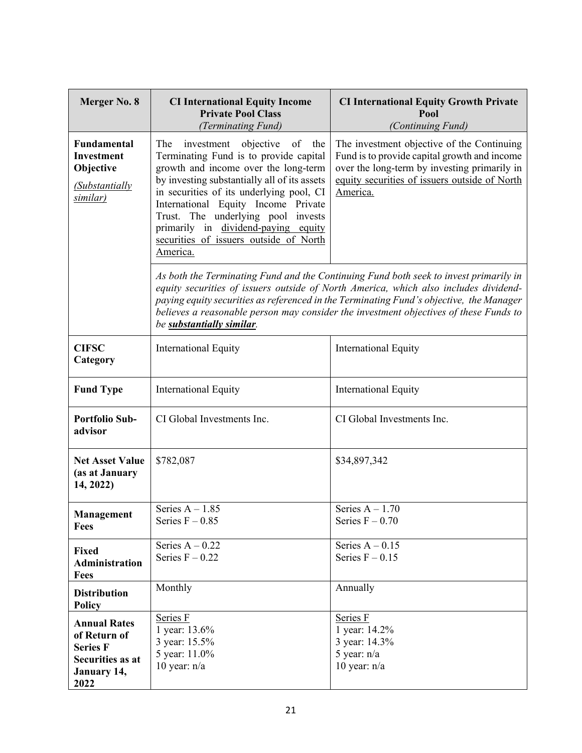| Merger No. 8                                                                                      | <b>CI International Equity Income</b><br><b>Private Pool Class</b><br>(Terminating Fund)                                                                                                                                                                                                                                                                                                         | <b>CI International Equity Growth Private</b><br>Pool<br>(Continuing Fund)                                                                                                                                                                                                                                                                                        |
|---------------------------------------------------------------------------------------------------|--------------------------------------------------------------------------------------------------------------------------------------------------------------------------------------------------------------------------------------------------------------------------------------------------------------------------------------------------------------------------------------------------|-------------------------------------------------------------------------------------------------------------------------------------------------------------------------------------------------------------------------------------------------------------------------------------------------------------------------------------------------------------------|
| Fundamental<br>Investment<br>Objective<br>(Substantially<br>similar)                              | investment objective<br>The<br>of<br>the<br>Terminating Fund is to provide capital<br>growth and income over the long-term<br>by investing substantially all of its assets<br>in securities of its underlying pool, CI<br>International Equity Income Private<br>Trust. The underlying pool invests<br>primarily in dividend-paying equity<br>securities of issuers outside of North<br>America. | The investment objective of the Continuing<br>Fund is to provide capital growth and income<br>over the long-term by investing primarily in<br>equity securities of issuers outside of North<br>America.                                                                                                                                                           |
|                                                                                                   | be substantially similar.                                                                                                                                                                                                                                                                                                                                                                        | As both the Terminating Fund and the Continuing Fund both seek to invest primarily in<br>equity securities of issuers outside of North America, which also includes dividend-<br>paying equity securities as referenced in the Terminating Fund's objective, the Manager<br>believes a reasonable person may consider the investment objectives of these Funds to |
| <b>CIFSC</b><br>Category                                                                          | <b>International Equity</b>                                                                                                                                                                                                                                                                                                                                                                      | <b>International Equity</b>                                                                                                                                                                                                                                                                                                                                       |
| <b>Fund Type</b>                                                                                  | <b>International Equity</b>                                                                                                                                                                                                                                                                                                                                                                      | <b>International Equity</b>                                                                                                                                                                                                                                                                                                                                       |
| <b>Portfolio Sub-</b><br>advisor                                                                  | CI Global Investments Inc.                                                                                                                                                                                                                                                                                                                                                                       | CI Global Investments Inc.                                                                                                                                                                                                                                                                                                                                        |
| <b>Net Asset Value</b><br>(as at January<br>14, 2022)                                             | \$782,087                                                                                                                                                                                                                                                                                                                                                                                        | \$34,897,342                                                                                                                                                                                                                                                                                                                                                      |
| Management<br>Fees                                                                                | Series $A - 1.85$<br>Series $F - 0.85$                                                                                                                                                                                                                                                                                                                                                           | Series $A - 1.70$<br>Series $F - 0.70$                                                                                                                                                                                                                                                                                                                            |
| <b>Fixed</b><br><b>Administration</b><br><b>Fees</b>                                              | Series $A - 0.22$<br>Series $F - 0.22$                                                                                                                                                                                                                                                                                                                                                           | Series $A - 0.15$<br>Series $F - 0.15$                                                                                                                                                                                                                                                                                                                            |
| <b>Distribution</b><br><b>Policy</b>                                                              | Monthly                                                                                                                                                                                                                                                                                                                                                                                          | Annually                                                                                                                                                                                                                                                                                                                                                          |
| <b>Annual Rates</b><br>of Return of<br><b>Series F</b><br>Securities as at<br>January 14,<br>2022 | Series F<br>1 year: 13.6%<br>3 year: 15.5%<br>5 year: 11.0%<br>10 year: $n/a$                                                                                                                                                                                                                                                                                                                    | Series F<br>1 year: 14.2%<br>3 year: 14.3%<br>5 year: $n/a$<br>10 year: $n/a$                                                                                                                                                                                                                                                                                     |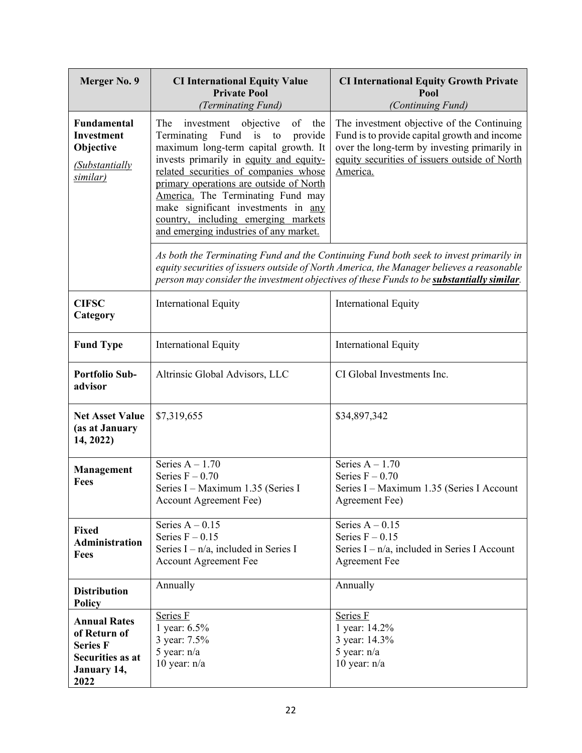| Merger No. 9                                                                                      | <b>CI International Equity Value</b><br><b>Private Pool</b><br>(Terminating Fund)                                                                                                                                                                                                                                                                                                                                 | <b>CI International Equity Growth Private</b><br>Pool<br>(Continuing Fund)                                                                                                                                                                                                     |
|---------------------------------------------------------------------------------------------------|-------------------------------------------------------------------------------------------------------------------------------------------------------------------------------------------------------------------------------------------------------------------------------------------------------------------------------------------------------------------------------------------------------------------|--------------------------------------------------------------------------------------------------------------------------------------------------------------------------------------------------------------------------------------------------------------------------------|
| Fundamental<br><b>Investment</b><br>Objective<br>(Substantially<br>similar)                       | The<br>investment objective<br>of<br>the<br>Terminating Fund is to<br>provide<br>maximum long-term capital growth. It<br>invests primarily in equity and equity-<br>related securities of companies whose<br>primary operations are outside of North<br>America. The Terminating Fund may<br>make significant investments in any<br>country, including emerging markets<br>and emerging industries of any market. | The investment objective of the Continuing<br>Fund is to provide capital growth and income<br>over the long-term by investing primarily in<br>equity securities of issuers outside of North<br>America.                                                                        |
|                                                                                                   |                                                                                                                                                                                                                                                                                                                                                                                                                   | As both the Terminating Fund and the Continuing Fund both seek to invest primarily in<br>equity securities of issuers outside of North America, the Manager believes a reasonable<br>person may consider the investment objectives of these Funds to be substantially similar. |
| <b>CIFSC</b><br>Category                                                                          | International Equity                                                                                                                                                                                                                                                                                                                                                                                              | <b>International Equity</b>                                                                                                                                                                                                                                                    |
| <b>Fund Type</b>                                                                                  | <b>International Equity</b>                                                                                                                                                                                                                                                                                                                                                                                       | <b>International Equity</b>                                                                                                                                                                                                                                                    |
| <b>Portfolio Sub-</b><br>advisor                                                                  | Altrinsic Global Advisors, LLC                                                                                                                                                                                                                                                                                                                                                                                    | CI Global Investments Inc.                                                                                                                                                                                                                                                     |
| <b>Net Asset Value</b><br>(as at January<br>14, 2022)                                             | \$7,319,655                                                                                                                                                                                                                                                                                                                                                                                                       | \$34,897,342                                                                                                                                                                                                                                                                   |
| Management<br>Fees                                                                                | Series $A - 1.70$<br>Series $F - 0.70$<br>Series I – Maximum 1.35 (Series I<br><b>Account Agreement Fee)</b>                                                                                                                                                                                                                                                                                                      | Series $A - 1.70$<br>Series $F - 0.70$<br>Series I - Maximum 1.35 (Series I Account<br>Agreement Fee)                                                                                                                                                                          |
| Fixed<br><b>Administration</b><br>Fees                                                            | Series $A - 0.15$<br>Series $F - 0.15$<br>Series $I - n/a$ , included in Series I<br><b>Account Agreement Fee</b>                                                                                                                                                                                                                                                                                                 | Series $A - 0.15$<br>Series $F - 0.15$<br>Series $I - n/a$ , included in Series I Account<br><b>Agreement Fee</b>                                                                                                                                                              |
| <b>Distribution</b><br><b>Policy</b>                                                              | Annually                                                                                                                                                                                                                                                                                                                                                                                                          | Annually                                                                                                                                                                                                                                                                       |
| <b>Annual Rates</b><br>of Return of<br><b>Series F</b><br>Securities as at<br>January 14,<br>2022 | Series F<br>1 year: 6.5%<br>3 year: 7.5%<br>5 year: $n/a$<br>10 year: $n/a$                                                                                                                                                                                                                                                                                                                                       | Series F<br>1 year: 14.2%<br>3 year: 14.3%<br>5 year: n/a<br>10 year: $n/a$                                                                                                                                                                                                    |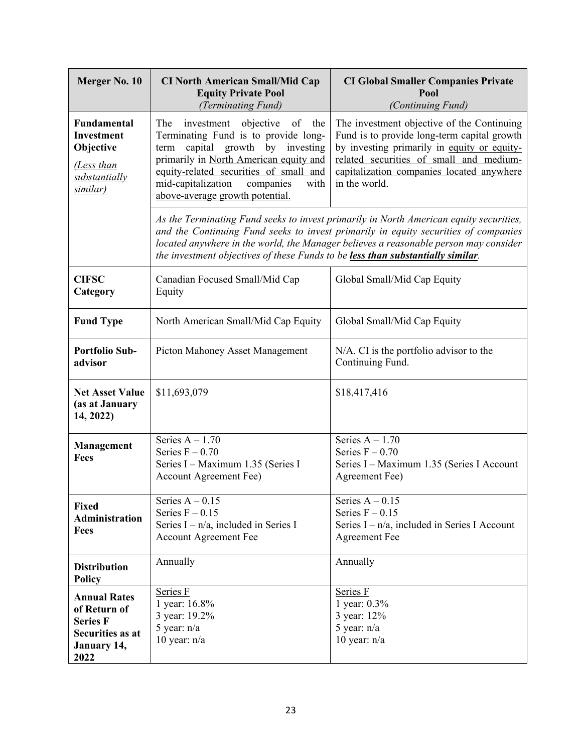| Merger No. 10                                                                                            | <b>CI North American Small/Mid Cap</b><br><b>Equity Private Pool</b><br>(Terminating Fund)                                                                                                                                                                                             | <b>CI Global Smaller Companies Private</b><br>Pool<br>(Continuing Fund)                                                                                                                                                                                               |
|----------------------------------------------------------------------------------------------------------|----------------------------------------------------------------------------------------------------------------------------------------------------------------------------------------------------------------------------------------------------------------------------------------|-----------------------------------------------------------------------------------------------------------------------------------------------------------------------------------------------------------------------------------------------------------------------|
| <b>Fundamental</b><br>Investment<br>Objective<br>(Less than<br>substantially<br>similar)                 | The<br>investment objective<br>of the<br>Terminating Fund is to provide long-<br>capital growth by investing<br>term<br>primarily in North American equity and<br>equity-related securities of small and<br>mid-capitalization<br>companies<br>with<br>above-average growth potential. | The investment objective of the Continuing<br>Fund is to provide long-term capital growth<br>by investing primarily in equity or equity-<br>related securities of small and medium-<br>capitalization companies located anywhere<br>in the world.                     |
|                                                                                                          | the investment objectives of these Funds to be less than substantially similar.                                                                                                                                                                                                        | As the Terminating Fund seeks to invest primarily in North American equity securities,<br>and the Continuing Fund seeks to invest primarily in equity securities of companies<br>located anywhere in the world, the Manager believes a reasonable person may consider |
| <b>CIFSC</b><br>Category                                                                                 | Canadian Focused Small/Mid Cap<br>Equity                                                                                                                                                                                                                                               | Global Small/Mid Cap Equity                                                                                                                                                                                                                                           |
| <b>Fund Type</b>                                                                                         | North American Small/Mid Cap Equity                                                                                                                                                                                                                                                    | Global Small/Mid Cap Equity                                                                                                                                                                                                                                           |
| <b>Portfolio Sub-</b><br>advisor                                                                         | Picton Mahoney Asset Management                                                                                                                                                                                                                                                        | N/A. CI is the portfolio advisor to the<br>Continuing Fund.                                                                                                                                                                                                           |
| <b>Net Asset Value</b><br>(as at January<br>14, 2022)                                                    | \$11,693,079                                                                                                                                                                                                                                                                           | \$18,417,416                                                                                                                                                                                                                                                          |
| Management<br>Fees                                                                                       | Series $A - 1.70$<br>Series $F - 0.70$<br>Series I - Maximum 1.35 (Series I<br><b>Account Agreement Fee)</b>                                                                                                                                                                           | Series $A - 1.70$<br>Series $F - 0.70$<br>Series I - Maximum 1.35 (Series I Account<br>Agreement Fee)                                                                                                                                                                 |
| <b>Fixed</b><br><b>Administration</b><br><b>Fees</b>                                                     | Series $A - 0.15$<br>Series $F - 0.15$<br>Series $I - n/a$ , included in Series I<br><b>Account Agreement Fee</b>                                                                                                                                                                      | Series $A - 0.15$<br>Series $F - 0.15$<br>Series $I - n/a$ , included in Series I Account<br><b>Agreement Fee</b>                                                                                                                                                     |
| <b>Distribution</b><br><b>Policy</b>                                                                     | Annually                                                                                                                                                                                                                                                                               | Annually                                                                                                                                                                                                                                                              |
| <b>Annual Rates</b><br>of Return of<br><b>Series F</b><br><b>Securities as at</b><br>January 14,<br>2022 | Series F<br>1 year: 16.8%<br>3 year: 19.2%<br>5 year: $n/a$<br>10 year: $n/a$                                                                                                                                                                                                          | Series F<br>1 year: 0.3%<br>3 year: 12%<br>5 year: $n/a$<br>10 year: $n/a$                                                                                                                                                                                            |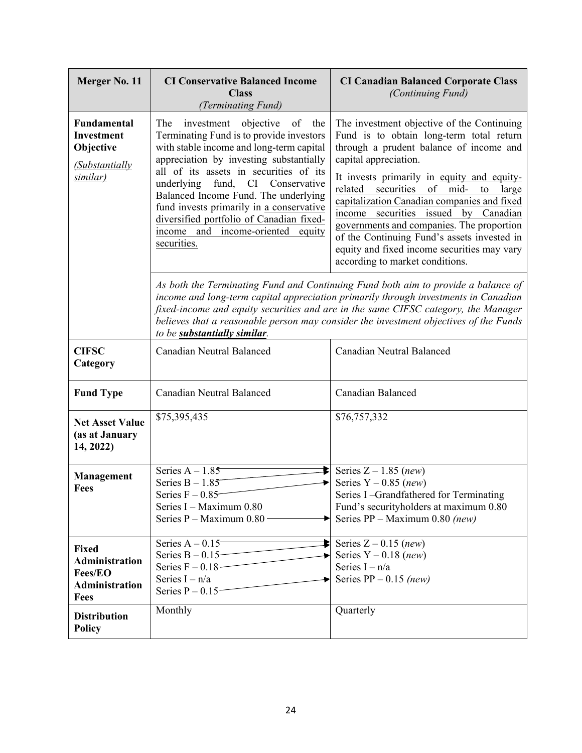| Merger No. 11                                                                             | <b>CI Conservative Balanced Income</b><br><b>Class</b><br>(Terminating Fund)                                                                                                                                                                                                                                                                                                                                                                  | <b>CI Canadian Balanced Corporate Class</b><br>(Continuing Fund)                                                                                                                                                                                                                                                                                                                                                                                                                                                        |
|-------------------------------------------------------------------------------------------|-----------------------------------------------------------------------------------------------------------------------------------------------------------------------------------------------------------------------------------------------------------------------------------------------------------------------------------------------------------------------------------------------------------------------------------------------|-------------------------------------------------------------------------------------------------------------------------------------------------------------------------------------------------------------------------------------------------------------------------------------------------------------------------------------------------------------------------------------------------------------------------------------------------------------------------------------------------------------------------|
| <b>Fundamental</b><br><b>Investment</b><br>Objective<br><i>(Substantially</i><br>similar) | The<br>investment objective<br>of the<br>Terminating Fund is to provide investors<br>with stable income and long-term capital<br>appreciation by investing substantially<br>all of its assets in securities of its<br>underlying<br>fund, CI Conservative<br>Balanced Income Fund. The underlying<br>fund invests primarily in a conservative<br>diversified portfolio of Canadian fixed-<br>income and income-oriented equity<br>securities. | The investment objective of the Continuing<br>Fund is to obtain long-term total return<br>through a prudent balance of income and<br>capital appreciation.<br>It invests primarily in equity and equity-<br>related securities of mid- to<br>large<br>capitalization Canadian companies and fixed<br>income securities issued by Canadian<br>governments and companies. The proportion<br>of the Continuing Fund's assets invested in<br>equity and fixed income securities may vary<br>according to market conditions. |
|                                                                                           | to be substantially similar.                                                                                                                                                                                                                                                                                                                                                                                                                  | As both the Terminating Fund and Continuing Fund both aim to provide a balance of<br>income and long-term capital appreciation primarily through investments in Canadian<br>fixed-income and equity securities and are in the same CIFSC category, the Manager<br>believes that a reasonable person may consider the investment objectives of the Funds                                                                                                                                                                 |
| <b>CIFSC</b><br>Category                                                                  | <b>Canadian Neutral Balanced</b>                                                                                                                                                                                                                                                                                                                                                                                                              | Canadian Neutral Balanced                                                                                                                                                                                                                                                                                                                                                                                                                                                                                               |
| <b>Fund Type</b>                                                                          | Canadian Neutral Balanced                                                                                                                                                                                                                                                                                                                                                                                                                     | Canadian Balanced                                                                                                                                                                                                                                                                                                                                                                                                                                                                                                       |
| <b>Net Asset Value</b><br>(as at January<br>14, 2022)                                     | \$75,395,435                                                                                                                                                                                                                                                                                                                                                                                                                                  | \$76,757,332                                                                                                                                                                                                                                                                                                                                                                                                                                                                                                            |
| <b>Management</b><br><b>Fees</b>                                                          | Series $A - 1.85$<br>Series $B - 1.85$<br>Series $F - 0.85$<br>Series I - Maximum 0.80<br>Series P - Maximum 0.80 -                                                                                                                                                                                                                                                                                                                           | Series $Z - 1.85$ (new)<br>Series $Y - 0.85$ (new)<br>Series I-Grandfathered for Terminating<br>Fund's securityholders at maximum 0.80<br>Series $PP - Maximum\ 0.80$ (new)                                                                                                                                                                                                                                                                                                                                             |
| <b>Fixed</b><br>Administration<br>Fees/EO<br>Administration<br><b>Fees</b>                | Series $A - 0.15$ <sup>-</sup><br>Series $B - 0.15$<br>Series $F - 0.18$ -<br>Series $I - n/a$<br>Series $P - 0.15$                                                                                                                                                                                                                                                                                                                           | Series $Z - 0.15$ (new)<br>Series $Y - 0.18$ (new)<br>Series $I - n/a$<br>Series $PP - 0.15$ (new)                                                                                                                                                                                                                                                                                                                                                                                                                      |
| <b>Distribution</b><br><b>Policy</b>                                                      | Monthly                                                                                                                                                                                                                                                                                                                                                                                                                                       | Quarterly                                                                                                                                                                                                                                                                                                                                                                                                                                                                                                               |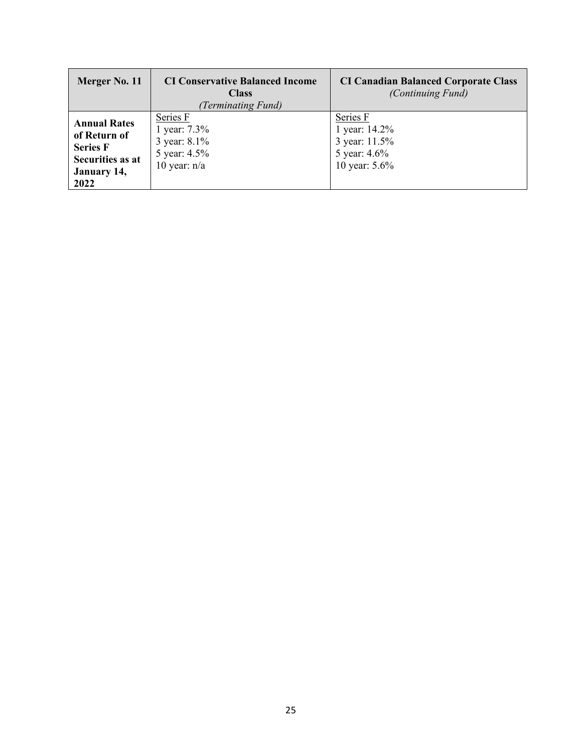| Merger No. 11                                                                                     | <b>CI Conservative Balanced Income</b><br><b>Class</b><br>(Terminating Fund) | <b>CI Canadian Balanced Corporate Class</b><br>(Continuing Fund)            |
|---------------------------------------------------------------------------------------------------|------------------------------------------------------------------------------|-----------------------------------------------------------------------------|
| <b>Annual Rates</b><br>of Return of<br><b>Series F</b><br>Securities as at<br>January 14,<br>2022 | Series F<br>1 year: 7.3%<br>3 year: 8.1%<br>5 year: 4.5%<br>10 year: $n/a$   | Series F<br>1 year: 14.2%<br>3 year: 11.5%<br>5 year: 4.6%<br>10 year: 5.6% |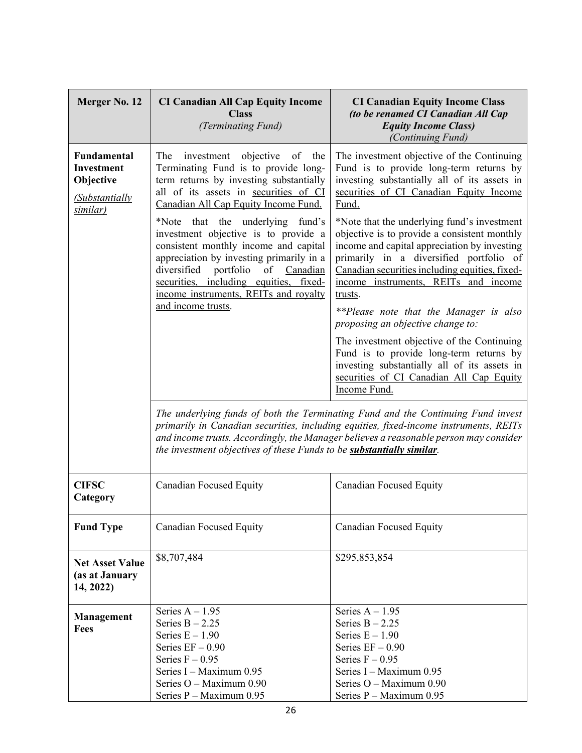| Merger No. 12                                                                             | <b>CI Canadian All Cap Equity Income</b><br><b>Class</b><br>(Terminating Fund)                                                                                                                                                                                                        | <b>CI Canadian Equity Income Class</b><br>(to be renamed CI Canadian All Cap<br><b>Equity Income Class)</b><br>(Continuing Fund)                                                                                                                                                            |
|-------------------------------------------------------------------------------------------|---------------------------------------------------------------------------------------------------------------------------------------------------------------------------------------------------------------------------------------------------------------------------------------|---------------------------------------------------------------------------------------------------------------------------------------------------------------------------------------------------------------------------------------------------------------------------------------------|
| <b>Fundamental</b><br><b>Investment</b><br>Objective<br><i>(Substantially</i><br>similar) | The<br>investment objective<br>of the<br>Terminating Fund is to provide long-<br>term returns by investing substantially<br>all of its assets in securities of CI<br>Canadian All Cap Equity Income Fund.                                                                             | The investment objective of the Continuing<br>Fund is to provide long-term returns by<br>investing substantially all of its assets in<br>securities of CI Canadian Equity Income<br>Fund.                                                                                                   |
|                                                                                           | *Note that the underlying fund's<br>investment objective is to provide a<br>consistent monthly income and capital<br>appreciation by investing primarily in a<br>diversified portfolio of Canadian<br>securities, including equities, fixed-<br>income instruments, REITs and royalty | *Note that the underlying fund's investment<br>objective is to provide a consistent monthly<br>income and capital appreciation by investing<br>primarily in a diversified portfolio of<br>Canadian securities including equities, fixed-<br>income instruments, REITs and income<br>trusts. |
|                                                                                           | and income trusts.                                                                                                                                                                                                                                                                    | **Please note that the Manager is also<br>proposing an objective change to:                                                                                                                                                                                                                 |
|                                                                                           |                                                                                                                                                                                                                                                                                       | The investment objective of the Continuing<br>Fund is to provide long-term returns by<br>investing substantially all of its assets in<br>securities of CI Canadian All Cap Equity<br>Income Fund.                                                                                           |
|                                                                                           | the investment objectives of these Funds to be <b>substantially similar</b> .                                                                                                                                                                                                         | The underlying funds of both the Terminating Fund and the Continuing Fund invest<br>primarily in Canadian securities, including equities, fixed-income instruments, REITs<br>and income trusts. Accordingly, the Manager believes a reasonable person may consider                          |
| <b>CIFSC</b><br>Category                                                                  | Canadian Focused Equity                                                                                                                                                                                                                                                               | <b>Canadian Focused Equity</b>                                                                                                                                                                                                                                                              |
| <b>Fund Type</b>                                                                          | <b>Canadian Focused Equity</b>                                                                                                                                                                                                                                                        | <b>Canadian Focused Equity</b>                                                                                                                                                                                                                                                              |
| <b>Net Asset Value</b><br>(as at January<br>14, 2022)                                     | \$8,707,484                                                                                                                                                                                                                                                                           | \$295,853,854                                                                                                                                                                                                                                                                               |
| Management<br><b>Fees</b>                                                                 | Series $A - 1.95$<br>Series $B - 2.25$<br>Series $E - 1.90$<br>Series $EF - 0.90$<br>Series $F - 0.95$<br>Series I - Maximum 0.95<br>Series O - Maximum 0.90                                                                                                                          | Series $A - 1.95$<br>Series $B - 2.25$<br>Series $E - 1.90$<br>Series $EF - 0.90$<br>Series $F - 0.95$<br>Series I - Maximum 0.95<br>Series O - Maximum 0.90                                                                                                                                |
|                                                                                           | Series P - Maximum 0.95                                                                                                                                                                                                                                                               | Series P - Maximum 0.95                                                                                                                                                                                                                                                                     |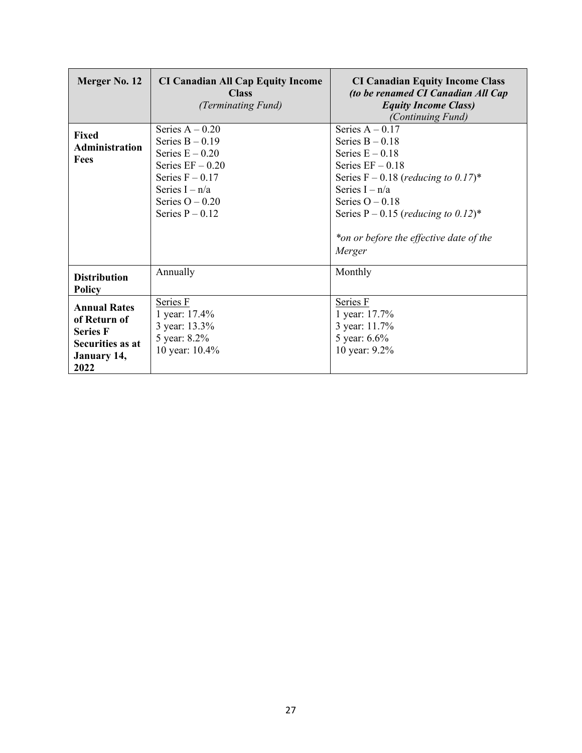| Merger No. 12                                                                                            | <b>CI Canadian All Cap Equity Income</b><br><b>Class</b><br>(Terminating Fund)                                                                                       | <b>CI Canadian Equity Income Class</b><br>(to be renamed CI Canadian All Cap<br><b>Equity Income Class)</b><br>(Continuing Fund)                                                                                                                                                                 |
|----------------------------------------------------------------------------------------------------------|----------------------------------------------------------------------------------------------------------------------------------------------------------------------|--------------------------------------------------------------------------------------------------------------------------------------------------------------------------------------------------------------------------------------------------------------------------------------------------|
| Fixed<br><b>Administration</b><br>Fees                                                                   | Series $A - 0.20$<br>Series $B - 0.19$<br>Series $E - 0.20$<br>Series $EF - 0.20$<br>Series $F - 0.17$<br>Series $I - n/a$<br>Series $O - 0.20$<br>Series $P - 0.12$ | Series $A - 0.17$<br>Series $B - 0.18$<br>Series $E - 0.18$<br>Series $EF - 0.18$<br>Series $F - 0.18$ (reducing to 0.17) <sup>*</sup><br>Series $I - n/a$<br>Series $O - 0.18$<br>Series P – 0.15 ( <i>reducing to 0.12</i> ) <sup>*</sup><br>*on or before the effective date of the<br>Merger |
| <b>Distribution</b><br><b>Policy</b>                                                                     | Annually                                                                                                                                                             | Monthly                                                                                                                                                                                                                                                                                          |
| <b>Annual Rates</b><br>of Return of<br><b>Series F</b><br>Securities as at<br><b>January 14,</b><br>2022 | Series F<br>1 year: 17.4%<br>3 year: 13.3%<br>5 year: 8.2%<br>10 year: 10.4%                                                                                         | Series F<br>1 year: 17.7%<br>3 year: 11.7%<br>5 year: 6.6%<br>10 year: 9.2%                                                                                                                                                                                                                      |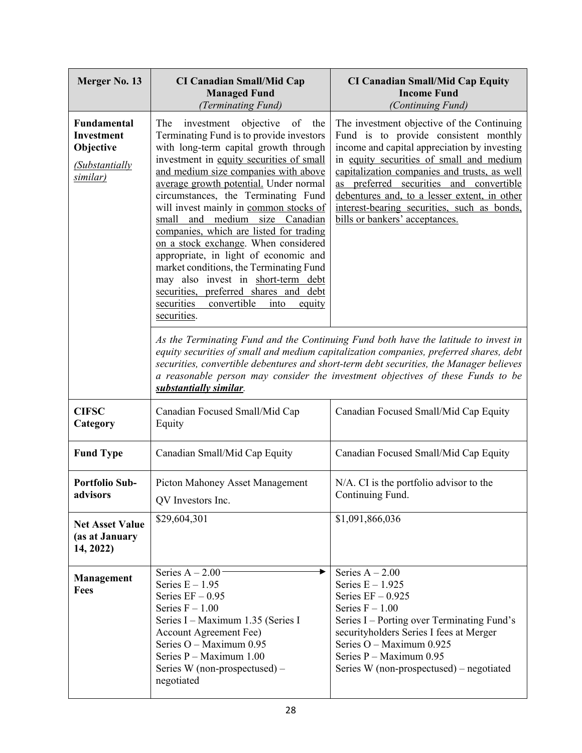| Merger No. 13                                                                                    | <b>CI Canadian Small/Mid Cap</b><br><b>Managed Fund</b><br>(Terminating Fund)                                                                                                                                                                                                                                                                                                                                                                                                                                                                                                                                                                                                                         | <b>CI Canadian Small/Mid Cap Equity</b><br><b>Income Fund</b><br>(Continuing Fund)                                                                                                                                                                                                                                                                                                                             |
|--------------------------------------------------------------------------------------------------|-------------------------------------------------------------------------------------------------------------------------------------------------------------------------------------------------------------------------------------------------------------------------------------------------------------------------------------------------------------------------------------------------------------------------------------------------------------------------------------------------------------------------------------------------------------------------------------------------------------------------------------------------------------------------------------------------------|----------------------------------------------------------------------------------------------------------------------------------------------------------------------------------------------------------------------------------------------------------------------------------------------------------------------------------------------------------------------------------------------------------------|
| <b>Fundamental</b><br><b>Investment</b><br>Objective<br><i>(Substantially</i><br><u>similar)</u> | The<br>objective<br>of<br>investment<br>the<br>Terminating Fund is to provide investors<br>with long-term capital growth through<br>investment in equity securities of small<br>and medium size companies with above<br>average growth potential. Under normal<br>circumstances, the Terminating Fund<br>will invest mainly in common stocks of<br>small and medium size Canadian<br>companies, which are listed for trading<br>on a stock exchange. When considered<br>appropriate, in light of economic and<br>market conditions, the Terminating Fund<br>may also invest in short-term debt<br>securities, preferred shares and debt<br>convertible<br>securities<br>into<br>equity<br>securities. | The investment objective of the Continuing<br>Fund is to provide consistent monthly<br>income and capital appreciation by investing<br>in equity securities of small and medium<br>capitalization companies and trusts, as well<br>preferred securities and convertible<br>as<br>debentures and, to a lesser extent, in other<br>interest-bearing securities, such as bonds,<br>bills or bankers' acceptances. |
|                                                                                                  | substantially similar.                                                                                                                                                                                                                                                                                                                                                                                                                                                                                                                                                                                                                                                                                | As the Terminating Fund and the Continuing Fund both have the latitude to invest in<br>equity securities of small and medium capitalization companies, preferred shares, debt<br>securities, convertible debentures and short-term debt securities, the Manager believes<br>a reasonable person may consider the investment objectives of these Funds to be                                                    |
| <b>CIFSC</b><br>Category                                                                         | Canadian Focused Small/Mid Cap<br>Equity                                                                                                                                                                                                                                                                                                                                                                                                                                                                                                                                                                                                                                                              | Canadian Focused Small/Mid Cap Equity                                                                                                                                                                                                                                                                                                                                                                          |
| <b>Fund Type</b>                                                                                 | Canadian Small/Mid Cap Equity                                                                                                                                                                                                                                                                                                                                                                                                                                                                                                                                                                                                                                                                         | Canadian Focused Small/Mid Cap Equity                                                                                                                                                                                                                                                                                                                                                                          |
| <b>Portfolio Sub-</b><br>advisors                                                                | Picton Mahoney Asset Management<br>QV Investors Inc.                                                                                                                                                                                                                                                                                                                                                                                                                                                                                                                                                                                                                                                  | N/A. CI is the portfolio advisor to the<br>Continuing Fund.                                                                                                                                                                                                                                                                                                                                                    |
| <b>Net Asset Value</b><br>(as at January<br>14, 2022)                                            | \$29,604,301                                                                                                                                                                                                                                                                                                                                                                                                                                                                                                                                                                                                                                                                                          | \$1,091,866,036                                                                                                                                                                                                                                                                                                                                                                                                |
| <b>Management</b><br><b>Fees</b>                                                                 | Series $A - 2.00$<br>Series $E - 1.95$<br>Series $EF - 0.95$<br>Series $F - 1.00$<br>Series I – Maximum 1.35 (Series I<br><b>Account Agreement Fee)</b><br>Series O - Maximum 0.95<br>Series P - Maximum 1.00<br>Series W (non-prospectused) –<br>negotiated                                                                                                                                                                                                                                                                                                                                                                                                                                          | Series $A - 2.00$<br>Series $E - 1.925$<br>Series $EF - 0.925$<br>Series $F - 1.00$<br>Series I – Porting over Terminating Fund's<br>securityholders Series I fees at Merger<br>Series O - Maximum 0.925<br>Series P - Maximum 0.95<br>Series W (non-prospectused) – negotiated                                                                                                                                |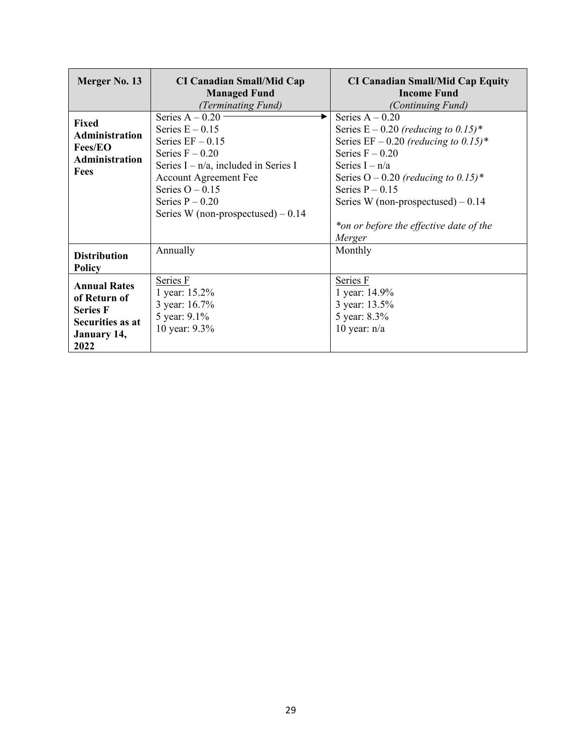| Merger No. 13                                                                                            | <b>CI Canadian Small/Mid Cap</b><br><b>Managed Fund</b><br>(Terminating Fund)                                                                                                                                                                 | <b>CI Canadian Small/Mid Cap Equity</b><br><b>Income Fund</b><br>(Continuing Fund)                                                                                                                                                                                                                                |
|----------------------------------------------------------------------------------------------------------|-----------------------------------------------------------------------------------------------------------------------------------------------------------------------------------------------------------------------------------------------|-------------------------------------------------------------------------------------------------------------------------------------------------------------------------------------------------------------------------------------------------------------------------------------------------------------------|
| <b>Fixed</b><br><b>Administration</b><br><b>Fees/EO</b><br><b>Administration</b><br><b>Fees</b>          | Series $A - 0.20$<br>Series $E - 0.15$<br>Series $EF - 0.15$<br>Series $F - 0.20$<br>Series $I - n/a$ , included in Series I<br><b>Account Agreement Fee</b><br>Series $O - 0.15$<br>Series $P - 0.20$<br>Series W (non-prospectused) $-0.14$ | Series $A - 0.20$<br>Series $E - 0.20$ (reducing to 0.15)*<br>Series EF – 0.20 (reducing to 0.15)*<br>Series $F - 0.20$<br>Series $I - n/a$<br>Series $O - 0.20$ (reducing to 0.15) <sup>*</sup><br>Series $P - 0.15$<br>Series W (non-prospectused) $-0.14$<br>*on or before the effective date of the<br>Merger |
| <b>Distribution</b><br><b>Policy</b>                                                                     | Annually                                                                                                                                                                                                                                      | Monthly                                                                                                                                                                                                                                                                                                           |
| <b>Annual Rates</b><br>of Return of<br><b>Series F</b><br>Securities as at<br><b>January 14,</b><br>2022 | Series F<br>1 year: 15.2%<br>3 year: 16.7%<br>5 year: 9.1%<br>10 year: 9.3%                                                                                                                                                                   | Series F<br>1 year: 14.9%<br>3 year: 13.5%<br>5 year: 8.3%<br>10 year: $n/a$                                                                                                                                                                                                                                      |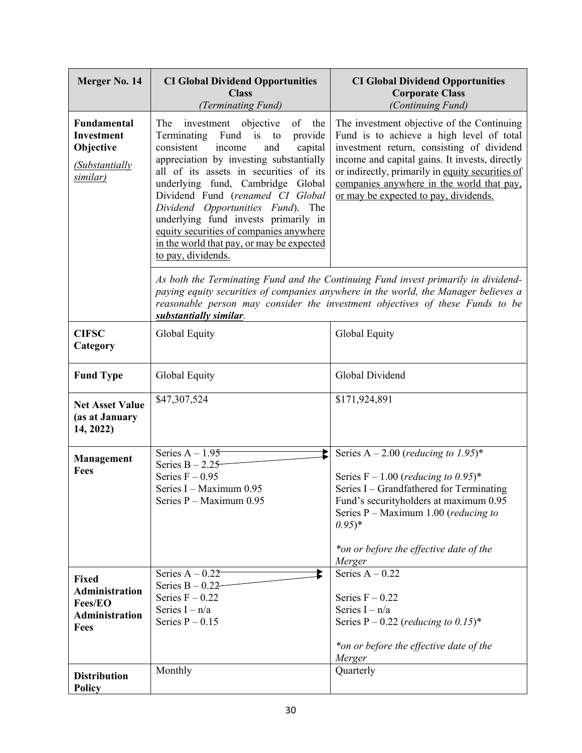| Merger No. 14                                                                            | <b>CI Global Dividend Opportunities</b><br><b>Class</b><br>(Terminating Fund)                                                                                                                                                                                                                                                                                                                                                                                                 | <b>CI Global Dividend Opportunities</b><br><b>Corporate Class</b><br>(Continuing Fund)                                                                                                                                                                                                                                          |
|------------------------------------------------------------------------------------------|-------------------------------------------------------------------------------------------------------------------------------------------------------------------------------------------------------------------------------------------------------------------------------------------------------------------------------------------------------------------------------------------------------------------------------------------------------------------------------|---------------------------------------------------------------------------------------------------------------------------------------------------------------------------------------------------------------------------------------------------------------------------------------------------------------------------------|
| Fundamental<br><b>Investment</b><br>Objective<br>(Substantially<br>similar)              | of the<br>The<br>investment objective<br>Terminating Fund is to<br>provide<br>consistent<br>income<br>and<br>capital<br>appreciation by investing substantially<br>all of its assets in securities of its<br>underlying fund, Cambridge Global<br>Dividend Fund (renamed CI Global<br>Dividend Opportunities Fund). The<br>underlying fund invests primarily in<br>equity securities of companies anywhere<br>in the world that pay, or may be expected<br>to pay, dividends. | The investment objective of the Continuing<br>Fund is to achieve a high level of total<br>investment return, consisting of dividend<br>income and capital gains. It invests, directly<br>or indirectly, primarily in equity securities of<br>companies anywhere in the world that pay,<br>or may be expected to pay, dividends. |
|                                                                                          | substantially similar.                                                                                                                                                                                                                                                                                                                                                                                                                                                        | As both the Terminating Fund and the Continuing Fund invest primarily in dividend-<br>paying equity securities of companies anywhere in the world, the Manager believes a<br>reasonable person may consider the investment objectives of these Funds to be                                                                      |
| <b>CIFSC</b><br>Category                                                                 | Global Equity                                                                                                                                                                                                                                                                                                                                                                                                                                                                 | Global Equity                                                                                                                                                                                                                                                                                                                   |
| <b>Fund Type</b>                                                                         | Global Equity                                                                                                                                                                                                                                                                                                                                                                                                                                                                 | Global Dividend                                                                                                                                                                                                                                                                                                                 |
| <b>Net Asset Value</b><br>(as at January<br>14, 2022)                                    | \$47,307,524                                                                                                                                                                                                                                                                                                                                                                                                                                                                  | \$171,924,891                                                                                                                                                                                                                                                                                                                   |
| Management<br><b>Fees</b>                                                                | Series $A - 1.95$<br>Series $B - 2.25$<br>Series $F - 0.95$<br>Series I - Maximum 0.95<br>Series P - Maximum 0.95                                                                                                                                                                                                                                                                                                                                                             | Series A – 2.00 ( <i>reducing to 1.95</i> )*<br>Series $F - 1.00$ (reducing to 0.95)*<br>Series I – Grandfathered for Terminating<br>Fund's securityholders at maximum 0.95<br>Series $P$ – Maximum 1.00 ( <i>reducing to</i><br>$(0.95)^*$<br>*on or before the effective date of the<br>Merger                                |
| <b>Fixed</b><br><b>Administration</b><br><b>Fees/EO</b><br><b>Administration</b><br>Fees | Series $A - 0.22$<br>Ł<br>Series $B - 0.22$<br>Series $F - 0.22$<br>Series $I - n/a$<br>Series $P - 0.15$                                                                                                                                                                                                                                                                                                                                                                     | Series $A - 0.22$<br>Series $F - 0.22$<br>Series $I - n/a$<br>Series P – 0.22 ( <i>reducing to 0.15</i> ) <sup>*</sup><br>*on or before the effective date of the<br>Merger                                                                                                                                                     |
| <b>Distribution</b><br>Policy                                                            | Monthly                                                                                                                                                                                                                                                                                                                                                                                                                                                                       | Quarterly                                                                                                                                                                                                                                                                                                                       |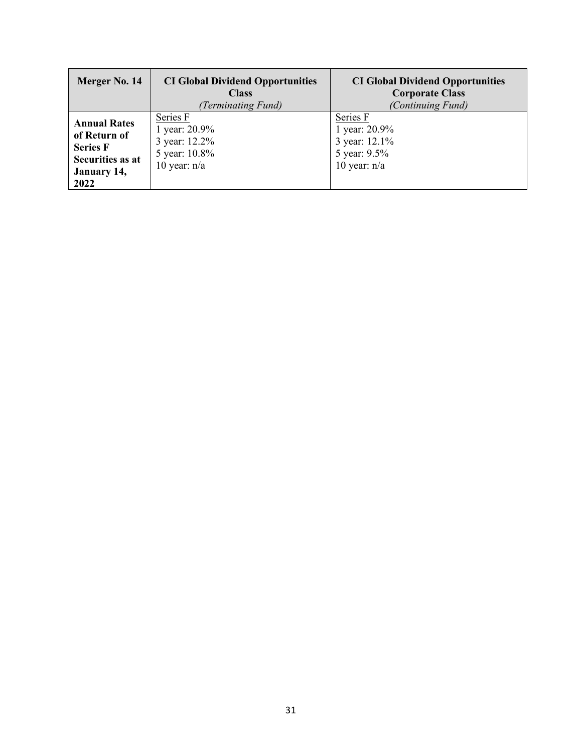| Merger No. 14                                                                                     | <b>CI Global Dividend Opportunities</b><br><b>Class</b><br>(Terminating Fund) | <b>CI Global Dividend Opportunities</b><br><b>Corporate Class</b><br>(Continuing Fund) |
|---------------------------------------------------------------------------------------------------|-------------------------------------------------------------------------------|----------------------------------------------------------------------------------------|
| <b>Annual Rates</b><br>of Return of<br><b>Series F</b><br>Securities as at<br>January 14,<br>2022 | Series F<br>1 year: 20.9%<br>3 year: 12.2%<br>5 year: 10.8%<br>10 year: $n/a$ | Series F<br>1 year: 20.9%<br>3 year: 12.1%<br>5 year: 9.5%<br>10 year: $n/a$           |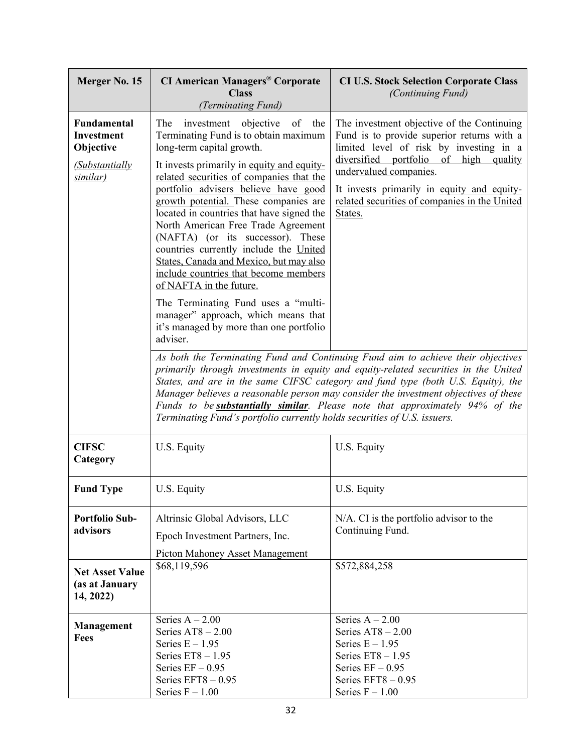| Merger No. 15                                                              | <b>CI American Managers® Corporate</b><br><b>Class</b><br>(Terminating Fund)                                                                                                                                                                                                                                                                                                                                                                                                                                                                                                                                                                                                                                  | <b>CI U.S. Stock Selection Corporate Class</b><br>(Continuing Fund)                                                                                                                                                                                                                                                                                                                                        |
|----------------------------------------------------------------------------|---------------------------------------------------------------------------------------------------------------------------------------------------------------------------------------------------------------------------------------------------------------------------------------------------------------------------------------------------------------------------------------------------------------------------------------------------------------------------------------------------------------------------------------------------------------------------------------------------------------------------------------------------------------------------------------------------------------|------------------------------------------------------------------------------------------------------------------------------------------------------------------------------------------------------------------------------------------------------------------------------------------------------------------------------------------------------------------------------------------------------------|
| Fundamental<br>Investment<br>Objective<br><b>Substantially</b><br>similar) | The<br>investment objective<br>of the<br>Terminating Fund is to obtain maximum<br>long-term capital growth.<br>It invests primarily in equity and equity-<br>related securities of companies that the<br>portfolio advisers believe have good<br>growth potential. These companies are<br>located in countries that have signed the<br>North American Free Trade Agreement<br>(NAFTA) (or its successor). These<br>countries currently include the United<br>States, Canada and Mexico, but may also<br>include countries that become members<br>of NAFTA in the future.<br>The Terminating Fund uses a "multi-<br>manager" approach, which means that<br>it's managed by more than one portfolio<br>adviser. | The investment objective of the Continuing<br>Fund is to provide superior returns with a<br>limited level of risk by investing in a<br>diversified portfolio<br>of high<br>quality<br>undervalued companies.<br>It invests primarily in equity and equity-<br>related securities of companies in the United<br>States.<br>As both the Terminating Fund and Continuing Fund aim to achieve their objectives |
|                                                                            | Terminating Fund's portfolio currently holds securities of U.S. issuers.                                                                                                                                                                                                                                                                                                                                                                                                                                                                                                                                                                                                                                      | primarily through investments in equity and equity-related securities in the United<br>States, and are in the same CIFSC category and fund type (both U.S. Equity), the<br>Manager believes a reasonable person may consider the investment objectives of these<br>Funds to be <b>substantially similar</b> . Please note that approximately 94% of the                                                    |
| <b>CIFSC</b><br>Category                                                   | U.S. Equity                                                                                                                                                                                                                                                                                                                                                                                                                                                                                                                                                                                                                                                                                                   | U.S. Equity                                                                                                                                                                                                                                                                                                                                                                                                |
| <b>Fund Type</b>                                                           | U.S. Equity                                                                                                                                                                                                                                                                                                                                                                                                                                                                                                                                                                                                                                                                                                   | U.S. Equity                                                                                                                                                                                                                                                                                                                                                                                                |
| <b>Portfolio Sub-</b><br>advisors                                          | Altrinsic Global Advisors, LLC<br>Epoch Investment Partners, Inc.<br>Picton Mahoney Asset Management                                                                                                                                                                                                                                                                                                                                                                                                                                                                                                                                                                                                          | N/A. CI is the portfolio advisor to the<br>Continuing Fund.                                                                                                                                                                                                                                                                                                                                                |
| <b>Net Asset Value</b><br>(as at January<br>14, 2022)                      | \$68,119,596                                                                                                                                                                                                                                                                                                                                                                                                                                                                                                                                                                                                                                                                                                  | \$572,884,258                                                                                                                                                                                                                                                                                                                                                                                              |
| <b>Management</b><br><b>Fees</b>                                           | Series $A - 2.00$<br>Series $AT8 - 2.00$<br>Series $E - 1.95$<br>Series $ET8 - 1.95$<br>Series $EF - 0.95$<br>Series $EFT8 - 0.95$<br>Series $F - 1.00$                                                                                                                                                                                                                                                                                                                                                                                                                                                                                                                                                       | Series $A - 2.00$<br>Series $AT8 - 2.00$<br>Series $E - 1.95$<br>Series $ET8 - 1.95$<br>Series $EF - 0.95$<br>Series $EFT8 - 0.95$<br>Series $F - 1.00$                                                                                                                                                                                                                                                    |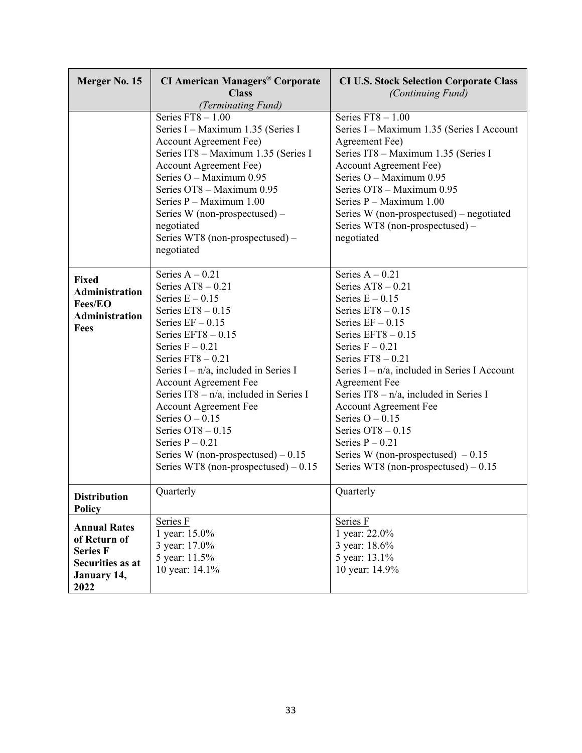| Merger No. 15                                                                                     | <b>CI American Managers® Corporate</b><br><b>Class</b><br>(Terminating Fund)                                                                                                                                                                                                                                                                                                                                                                                                            | <b>CI U.S. Stock Selection Corporate Class</b><br>(Continuing Fund)                                                                                                                                                                                                                                                                                                                                                                                                                     |
|---------------------------------------------------------------------------------------------------|-----------------------------------------------------------------------------------------------------------------------------------------------------------------------------------------------------------------------------------------------------------------------------------------------------------------------------------------------------------------------------------------------------------------------------------------------------------------------------------------|-----------------------------------------------------------------------------------------------------------------------------------------------------------------------------------------------------------------------------------------------------------------------------------------------------------------------------------------------------------------------------------------------------------------------------------------------------------------------------------------|
|                                                                                                   | Series $FT8 - 1.00$<br>Series I - Maximum 1.35 (Series I<br>Account Agreement Fee)<br>Series IT8 - Maximum 1.35 (Series I<br><b>Account Agreement Fee)</b><br>Series $O -$ Maximum 0.95<br>Series OT8 - Maximum 0.95<br>Series $P -$ Maximum 1.00<br>Series W (non-prospectused) -<br>negotiated<br>Series WT8 (non-prospectused) –<br>negotiated                                                                                                                                       | Series $FT8 - 1.00$<br>Series I - Maximum 1.35 (Series I Account<br>Agreement Fee)<br>Series IT8 - Maximum 1.35 (Series I<br><b>Account Agreement Fee)</b><br>Series O - Maximum 0.95<br>Series OT8 - Maximum 0.95<br>Series $P -$ Maximum 1.00<br>Series W (non-prospectused) – negotiated<br>Series WT8 (non-prospectused) –<br>negotiated                                                                                                                                            |
| <b>Fixed</b><br><b>Administration</b><br><b>Fees/EO</b><br><b>Administration</b><br>Fees          | Series $A - 0.21$<br>Series $AT8 - 0.21$<br>Series $E - 0.15$<br>Series $ET8 - 0.15$<br>Series $EF - 0.15$<br>Series $EFT8 - 0.15$<br>Series $F - 0.21$<br>Series $FT8 - 0.21$<br>Series $I - n/a$ , included in Series I<br><b>Account Agreement Fee</b><br>Series IT8 - $n/a$ , included in Series I<br><b>Account Agreement Fee</b><br>Series $O - 0.15$<br>Series $OT8 - 0.15$<br>Series $P - 0.21$<br>Series W (non-prospectused) $-0.15$<br>Series WT8 (non-prospectused) $-0.15$ | Series $A - 0.21$<br>Series $AT8 - 0.21$<br>Series $E - 0.15$<br>Series $ET8 - 0.15$<br>Series $EF - 0.15$<br>Series $EFT8 - 0.15$<br>Series $F - 0.21$<br>Series $FT8 - 0.21$<br>Series $I - n/a$ , included in Series I Account<br><b>Agreement Fee</b><br>Series IT8 $- n/a$ , included in Series I<br><b>Account Agreement Fee</b><br>Series $O - 0.15$<br>Series $OT8 - 0.15$<br>Series $P - 0.21$<br>Series W (non-prospectused) $-0.15$<br>Series WT8 (non-prospectused) $-0.15$ |
| <b>Distribution</b><br><b>Policy</b>                                                              | Quarterly                                                                                                                                                                                                                                                                                                                                                                                                                                                                               | Quarterly                                                                                                                                                                                                                                                                                                                                                                                                                                                                               |
| <b>Annual Rates</b><br>of Return of<br><b>Series F</b><br>Securities as at<br>January 14,<br>2022 | Series F<br>1 year: 15.0%<br>3 year: 17.0%<br>5 year: 11.5%<br>10 year: 14.1%                                                                                                                                                                                                                                                                                                                                                                                                           | Series F<br>1 year: 22.0%<br>3 year: 18.6%<br>5 year: 13.1%<br>10 year: 14.9%                                                                                                                                                                                                                                                                                                                                                                                                           |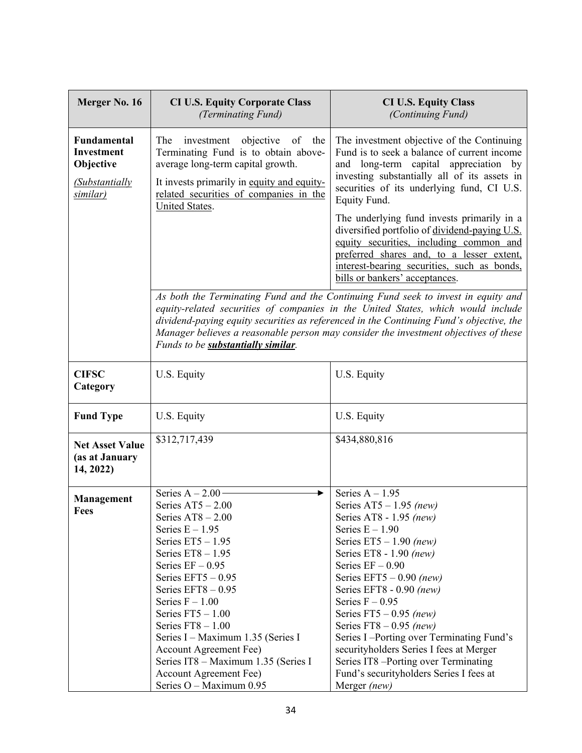| Merger No. 16                                                                     | <b>CI U.S. Equity Corporate Class</b><br>(Terminating Fund)                                                                                                                                                                                                                                                                                                                                                                                          | <b>CI U.S. Equity Class</b><br>(Continuing Fund)                                                                                                                                                                                                                                                                                                                                                                                                                                                                 |
|-----------------------------------------------------------------------------------|------------------------------------------------------------------------------------------------------------------------------------------------------------------------------------------------------------------------------------------------------------------------------------------------------------------------------------------------------------------------------------------------------------------------------------------------------|------------------------------------------------------------------------------------------------------------------------------------------------------------------------------------------------------------------------------------------------------------------------------------------------------------------------------------------------------------------------------------------------------------------------------------------------------------------------------------------------------------------|
| <b>Fundamental</b><br>Investment<br>Objective<br><b>Substantially</b><br>similar) | The<br>investment objective<br>of<br>the<br>Terminating Fund is to obtain above-<br>average long-term capital growth.<br>It invests primarily in equity and equity-<br>related securities of companies in the                                                                                                                                                                                                                                        | The investment objective of the Continuing<br>Fund is to seek a balance of current income<br>and long-term capital appreciation by<br>investing substantially all of its assets in<br>securities of its underlying fund, CI U.S.<br>Equity Fund.                                                                                                                                                                                                                                                                 |
|                                                                                   | United States.                                                                                                                                                                                                                                                                                                                                                                                                                                       | The underlying fund invests primarily in a<br>diversified portfolio of dividend-paying U.S.<br>equity securities, including common and<br>preferred shares and, to a lesser extent,<br>interest-bearing securities, such as bonds,<br>bills or bankers' acceptances.                                                                                                                                                                                                                                             |
|                                                                                   | Funds to be <b>substantially similar</b> .                                                                                                                                                                                                                                                                                                                                                                                                           | As both the Terminating Fund and the Continuing Fund seek to invest in equity and<br>equity-related securities of companies in the United States, which would include<br>dividend-paying equity securities as referenced in the Continuing Fund's objective, the<br>Manager believes a reasonable person may consider the investment objectives of these                                                                                                                                                         |
| <b>CIFSC</b><br>Category                                                          | U.S. Equity                                                                                                                                                                                                                                                                                                                                                                                                                                          | U.S. Equity                                                                                                                                                                                                                                                                                                                                                                                                                                                                                                      |
| <b>Fund Type</b>                                                                  | U.S. Equity                                                                                                                                                                                                                                                                                                                                                                                                                                          | U.S. Equity                                                                                                                                                                                                                                                                                                                                                                                                                                                                                                      |
| <b>Net Asset Value</b><br>(as at January<br>14, 2022)                             | \$312,717,439                                                                                                                                                                                                                                                                                                                                                                                                                                        | \$434,880,816                                                                                                                                                                                                                                                                                                                                                                                                                                                                                                    |
| <b>Management</b><br><b>Fees</b>                                                  | Series $A - 2.00$<br>Series $AT5 - 2.00$<br>Series $AT8 - 2.00$<br>Series $E - 1.95$<br>Series $ET5 - 1.95$<br>Series $ET8 - 1.95$<br>Series $EF - 0.95$<br>Series $EFT5 - 0.95$<br>Series $EFT8 - 0.95$<br>Series $F - 1.00$<br>Series $FT5 - 1.00$<br>Series $FT8 - 1.00$<br>Series I – Maximum 1.35 (Series I<br><b>Account Agreement Fee)</b><br>Series IT8 - Maximum 1.35 (Series I<br><b>Account Agreement Fee)</b><br>Series O - Maximum 0.95 | Series $A - 1.95$<br>Series $AT5 - 1.95$ (new)<br>Series AT8 - 1.95 (new)<br>Series $E - 1.90$<br>Series $ET5 - 1.90$ (new)<br>Series ET8 - $1.90$ (new)<br>Series $EF - 0.90$<br>Series EFT5 $-0.90$ (new)<br>Series EFT8 - 0.90 (new)<br>Series $F - 0.95$<br>Series $FT5 - 0.95$ (new)<br>Series $FT8 - 0.95$ (new)<br>Series I-Porting over Terminating Fund's<br>securityholders Series I fees at Merger<br>Series IT8 -Porting over Terminating<br>Fund's securityholders Series I fees at<br>Merger (new) |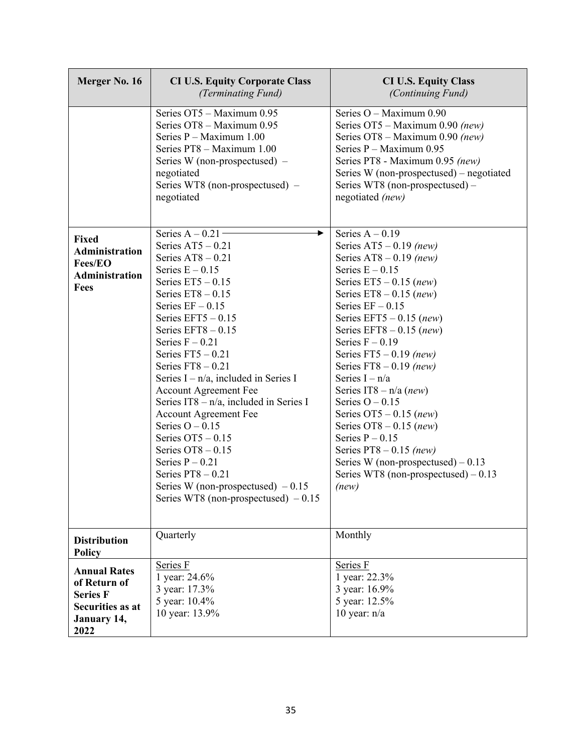| Merger No. 16                                                                                     | <b>CI U.S. Equity Corporate Class</b><br>(Terminating Fund)                                                                                                                                                                                                                                                                                                                                                                                                                                                                                                                                                                        | <b>CI U.S. Equity Class</b><br>(Continuing Fund)                                                                                                                                                                                                                                                                                                                                                                                                                                                                                                                                                 |
|---------------------------------------------------------------------------------------------------|------------------------------------------------------------------------------------------------------------------------------------------------------------------------------------------------------------------------------------------------------------------------------------------------------------------------------------------------------------------------------------------------------------------------------------------------------------------------------------------------------------------------------------------------------------------------------------------------------------------------------------|--------------------------------------------------------------------------------------------------------------------------------------------------------------------------------------------------------------------------------------------------------------------------------------------------------------------------------------------------------------------------------------------------------------------------------------------------------------------------------------------------------------------------------------------------------------------------------------------------|
|                                                                                                   | Series OT5 - Maximum 0.95<br>Series OT8 - Maximum 0.95<br>Series $P -$ Maximum 1.00<br>Series PT8 - Maximum 1.00<br>Series W (non-prospectused) $-$<br>negotiated<br>Series WT8 (non-prospectused) –<br>negotiated                                                                                                                                                                                                                                                                                                                                                                                                                 | Series O - Maximum 0.90<br>Series OT5 - Maximum 0.90 (new)<br>Series OT8 - Maximum 0.90 (new)<br>Series P - Maximum 0.95<br>Series PT8 - Maximum 0.95 (new)<br>Series W (non-prospectused) – negotiated<br>Series WT8 (non-prospectused) -<br>negotiated (new)                                                                                                                                                                                                                                                                                                                                   |
| <b>Fixed</b><br><b>Administration</b><br>Fees/EO<br><b>Administration</b><br>Fees                 | Series $A - 0.21$<br>Series $AT5 - 0.21$<br>Series $AT8 - 0.21$<br>Series $E - 0.15$<br>Series $ET5 - 0.15$<br>Series $ET8 - 0.15$<br>Series $EF - 0.15$<br>Series $EFT5 - 0.15$<br>Series $EFT8 - 0.15$<br>Series $F - 0.21$<br>Series $FT5 - 0.21$<br>Series $FT8 - 0.21$<br>Series $I - n/a$ , included in Series I<br><b>Account Agreement Fee</b><br>Series IT8 $- n/a$ , included in Series I<br><b>Account Agreement Fee</b><br>Series $O - 0.15$<br>Series $OT5 - 0.15$<br>Series $OT8 - 0.15$<br>Series $P - 0.21$<br>Series $PT8 - 0.21$<br>Series W (non-prospectused) $-0.15$<br>Series WT8 (non-prospectused) $-0.15$ | Series $A - 0.19$<br>Series $AT5 - 0.19$ (new)<br>Series AT8 $-0.19$ (new)<br>Series $E - 0.15$<br>Series $ET5 - 0.15$ (new)<br>Series ET8 $-0.15$ (new)<br>Series $EF - 0.15$<br>Series EFT5 $-0.15$ (new)<br>Series EFT8 $-0.15$ (new)<br>Series $F - 0.19$<br>Series $FT5 - 0.19$ (new)<br>Series $FT8 - 0.19$ (new)<br>Series $I - n/a$<br>Series IT8 – $n/a$ (new)<br>Series $O - 0.15$<br>Series $OT5 - 0.15$ (new)<br>Series OT8 $-0.15$ (new)<br>Series $P - 0.15$<br>Series $PT8 - 0.15$ (new)<br>Series W (non-prospectused) $-0.13$<br>Series WT8 (non-prospectused) $-0.13$<br>(new) |
| <b>Distribution</b><br><b>Policy</b>                                                              | Quarterly                                                                                                                                                                                                                                                                                                                                                                                                                                                                                                                                                                                                                          | Monthly                                                                                                                                                                                                                                                                                                                                                                                                                                                                                                                                                                                          |
| <b>Annual Rates</b><br>of Return of<br><b>Series F</b><br>Securities as at<br>January 14,<br>2022 | Series F<br>1 year: 24.6%<br>3 year: 17.3%<br>5 year: 10.4%<br>10 year: 13.9%                                                                                                                                                                                                                                                                                                                                                                                                                                                                                                                                                      | Series F<br>1 year: 22.3%<br>3 year: 16.9%<br>5 year: 12.5%<br>10 year: $n/a$                                                                                                                                                                                                                                                                                                                                                                                                                                                                                                                    |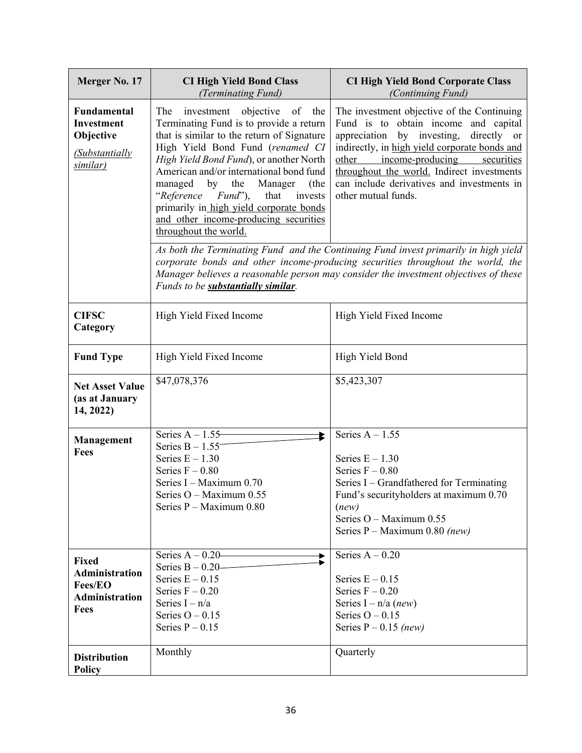| Merger No. 17                                                                     | <b>CI High Yield Bond Class</b><br>(Terminating Fund)                                                                                                                                                                                                                                                                                                                                                                                                                    | <b>CI High Yield Bond Corporate Class</b><br>(Continuing Fund)                                                                                                                                                                                                                                                                              |
|-----------------------------------------------------------------------------------|--------------------------------------------------------------------------------------------------------------------------------------------------------------------------------------------------------------------------------------------------------------------------------------------------------------------------------------------------------------------------------------------------------------------------------------------------------------------------|---------------------------------------------------------------------------------------------------------------------------------------------------------------------------------------------------------------------------------------------------------------------------------------------------------------------------------------------|
| Fundamental<br><b>Investment</b><br>Objective<br><b>Substantially</b><br>similar) | The<br>investment objective of<br>the<br>Terminating Fund is to provide a return<br>that is similar to the return of Signature<br>High Yield Bond Fund (renamed CI<br>High Yield Bond Fund), or another North<br>American and/or international bond fund<br>managed<br>by<br>the<br>Manager<br>(the<br>"Reference<br>$\textit{Fund}$ "),<br>that<br>invests<br>primarily in high yield corporate bonds<br>and other income-producing securities<br>throughout the world. | The investment objective of the Continuing<br>Fund is to obtain income and capital<br>appreciation by investing, directly or<br>indirectly, in high yield corporate bonds and<br>income-producing<br>other<br>securities<br>throughout the world. Indirect investments<br>can include derivatives and investments in<br>other mutual funds. |
|                                                                                   | Funds to be <b>substantially similar</b> .                                                                                                                                                                                                                                                                                                                                                                                                                               | As both the Terminating Fund and the Continuing Fund invest primarily in high yield<br>corporate bonds and other income-producing securities throughout the world, the<br>Manager believes a reasonable person may consider the investment objectives of these                                                                              |
| <b>CIFSC</b><br>Category                                                          | High Yield Fixed Income                                                                                                                                                                                                                                                                                                                                                                                                                                                  | High Yield Fixed Income                                                                                                                                                                                                                                                                                                                     |
| <b>Fund Type</b>                                                                  | High Yield Fixed Income                                                                                                                                                                                                                                                                                                                                                                                                                                                  | High Yield Bond                                                                                                                                                                                                                                                                                                                             |
| <b>Net Asset Value</b><br>(as at January<br>14, 2022)                             | \$47,078,376                                                                                                                                                                                                                                                                                                                                                                                                                                                             | \$5,423,307                                                                                                                                                                                                                                                                                                                                 |
| <b>Management</b><br>Fees                                                         | Series $A - 1.55$<br>⊵<br>Series $B - 1.55$ <sup>-</sup><br>Series $E - 1.30$<br>Series $F - 0.80$<br>Series I - Maximum 0.70<br>Series O - Maximum 0.55<br>Series P - Maximum 0.80                                                                                                                                                                                                                                                                                      | Series $A - 1.55$<br>Series $E - 1.30$<br>Series $F - 0.80$<br>Series I – Grandfathered for Terminating<br>Fund's securityholders at maximum 0.70<br>(new)<br>Series O - Maximum 0.55<br>Series $P$ – Maximum 0.80 (new)                                                                                                                    |
| <b>Fixed</b><br>Administration<br>Fees/EO<br>Administration<br>Fees               | Series $A - 0.20$<br>Series $B - 0.20$<br>Series $E - 0.15$<br>Series $F - 0.20$<br>Series $I - n/a$<br>Series $O - 0.15$<br>Series $P - 0.15$                                                                                                                                                                                                                                                                                                                           | Series $A - 0.20$<br>Series $E - 0.15$<br>Series $F - 0.20$<br>Series I – $n/a$ ( <i>new</i> )<br>Series $O - 0.15$<br>Series $P - 0.15$ (new)                                                                                                                                                                                              |
| <b>Distribution</b><br><b>Policy</b>                                              | Monthly                                                                                                                                                                                                                                                                                                                                                                                                                                                                  | Quarterly                                                                                                                                                                                                                                                                                                                                   |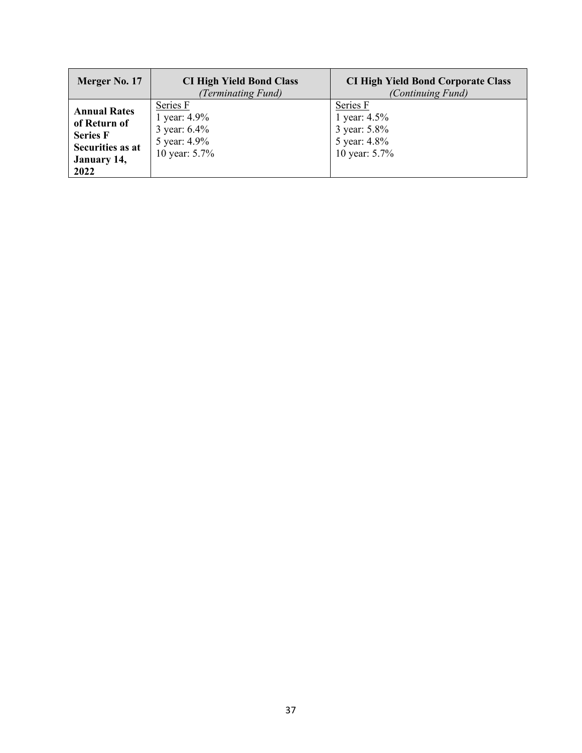| Merger No. 17                                                                                     | <b>CI High Yield Bond Class</b><br>(Terminating Fund)                        | <b>CI High Yield Bond Corporate Class</b><br>(Continuing Fund)            |
|---------------------------------------------------------------------------------------------------|------------------------------------------------------------------------------|---------------------------------------------------------------------------|
| <b>Annual Rates</b><br>of Return of<br><b>Series F</b><br>Securities as at<br>January 14,<br>2022 | Series F<br>1 year: 4.9%<br>3 year: $6.4\%$<br>5 year: 4.9%<br>10 year: 5.7% | Series F<br>1 year: 4.5%<br>3 year: 5.8%<br>5 year: 4.8%<br>10 year: 5.7% |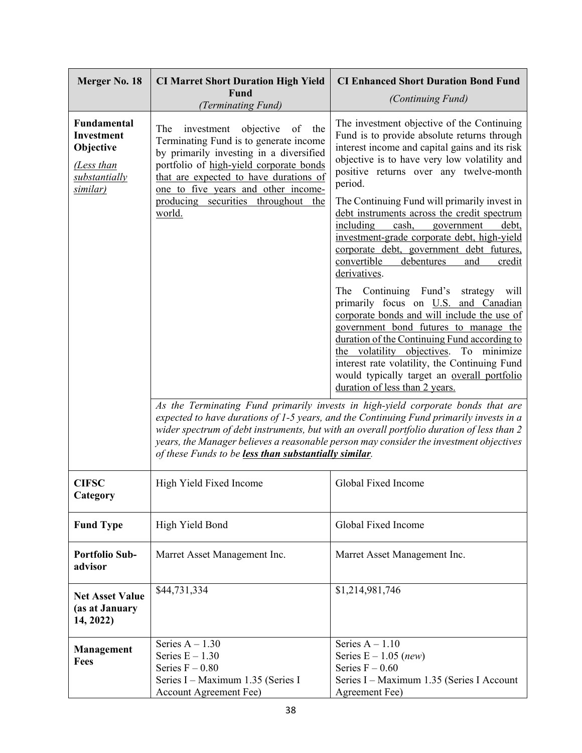| Merger No. 18                                                                                   | <b>CI Marret Short Duration High Yield</b><br>Fund                                                                                                                                                                                                                                                                               | <b>CI Enhanced Short Duration Bond Fund</b><br>(Continuing Fund)                                                                                                                                                                                                                                                                                                                                                                                                                                                                                                                                                                                                                                                                                                                                                                                                                                                                                                                                                                                                                                                                     |
|-------------------------------------------------------------------------------------------------|----------------------------------------------------------------------------------------------------------------------------------------------------------------------------------------------------------------------------------------------------------------------------------------------------------------------------------|--------------------------------------------------------------------------------------------------------------------------------------------------------------------------------------------------------------------------------------------------------------------------------------------------------------------------------------------------------------------------------------------------------------------------------------------------------------------------------------------------------------------------------------------------------------------------------------------------------------------------------------------------------------------------------------------------------------------------------------------------------------------------------------------------------------------------------------------------------------------------------------------------------------------------------------------------------------------------------------------------------------------------------------------------------------------------------------------------------------------------------------|
| Fundamental<br><b>Investment</b><br>Objective<br>(Less than<br>substantially<br><u>similar)</u> | (Terminating Fund)<br>The<br>investment objective<br>of<br>the<br>Terminating Fund is to generate income<br>by primarily investing in a diversified<br>portfolio of high-yield corporate bonds<br>that are expected to have durations of<br>one to five years and other income-<br>producing securities throughout the<br>world. | The investment objective of the Continuing<br>Fund is to provide absolute returns through<br>interest income and capital gains and its risk<br>objective is to have very low volatility and<br>positive returns over any twelve-month<br>period.<br>The Continuing Fund will primarily invest in<br>debt instruments across the credit spectrum<br>including<br>cash, government<br>debt,<br>investment-grade corporate debt, high-yield<br>corporate debt, government debt futures,<br>convertible<br>debentures<br>credit<br>and<br>derivatives.<br>The Continuing Fund's strategy will<br>primarily focus on U.S. and Canadian<br>corporate bonds and will include the use of<br>government bond futures to manage the<br>duration of the Continuing Fund according to<br>the volatility objectives. To minimize<br>interest rate volatility, the Continuing Fund<br>would typically target an overall portfolio<br>duration of less than 2 years.<br>As the Terminating Fund primarily invests in high-yield corporate bonds that are<br>expected to have durations of 1-5 years, and the Continuing Fund primarily invests in a |
|                                                                                                 | of these Funds to be less than substantially similar.                                                                                                                                                                                                                                                                            | wider spectrum of debt instruments, but with an overall portfolio duration of less than 2<br>years, the Manager believes a reasonable person may consider the investment objectives                                                                                                                                                                                                                                                                                                                                                                                                                                                                                                                                                                                                                                                                                                                                                                                                                                                                                                                                                  |
| <b>CIFSC</b><br>Category                                                                        | High Yield Fixed Income                                                                                                                                                                                                                                                                                                          | Global Fixed Income                                                                                                                                                                                                                                                                                                                                                                                                                                                                                                                                                                                                                                                                                                                                                                                                                                                                                                                                                                                                                                                                                                                  |
| <b>Fund Type</b>                                                                                | High Yield Bond                                                                                                                                                                                                                                                                                                                  | Global Fixed Income                                                                                                                                                                                                                                                                                                                                                                                                                                                                                                                                                                                                                                                                                                                                                                                                                                                                                                                                                                                                                                                                                                                  |
| <b>Portfolio Sub-</b><br>advisor                                                                | Marret Asset Management Inc.                                                                                                                                                                                                                                                                                                     | Marret Asset Management Inc.                                                                                                                                                                                                                                                                                                                                                                                                                                                                                                                                                                                                                                                                                                                                                                                                                                                                                                                                                                                                                                                                                                         |
| <b>Net Asset Value</b><br>(as at January<br>14, 2022)                                           | \$44,731,334                                                                                                                                                                                                                                                                                                                     | \$1,214,981,746                                                                                                                                                                                                                                                                                                                                                                                                                                                                                                                                                                                                                                                                                                                                                                                                                                                                                                                                                                                                                                                                                                                      |
| Management<br><b>Fees</b>                                                                       | Series $A - 1.30$<br>Series $E - 1.30$<br>Series $F - 0.80$<br>Series I – Maximum 1.35 (Series I<br><b>Account Agreement Fee)</b>                                                                                                                                                                                                | Series $A - 1.10$<br>Series $E - 1.05$ (new)<br>Series $F - 0.60$<br>Series I - Maximum 1.35 (Series I Account<br>Agreement Fee)                                                                                                                                                                                                                                                                                                                                                                                                                                                                                                                                                                                                                                                                                                                                                                                                                                                                                                                                                                                                     |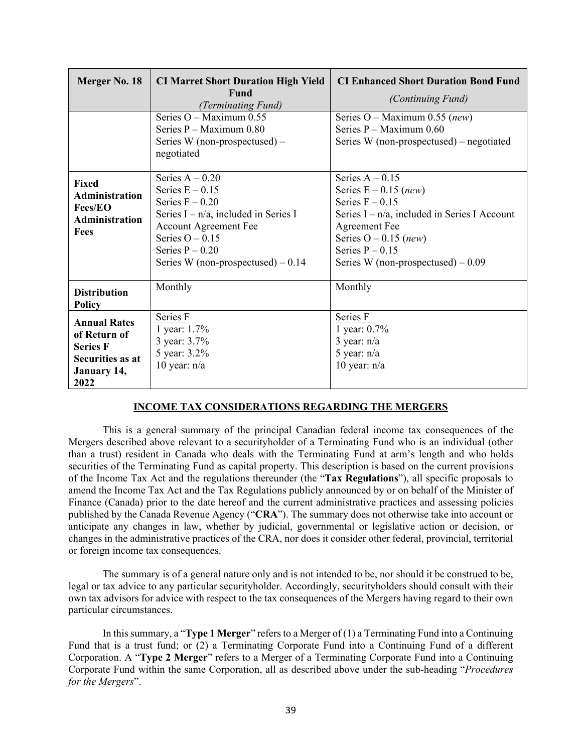| Merger No. 18                                                                                            | <b>CI Marret Short Duration High Yield</b><br>Fund<br>(Terminating Fund)                                                                                                                                                | <b>CI Enhanced Short Duration Bond Fund</b><br><i>(Continuing Fund)</i>                                                                                                                                                                      |
|----------------------------------------------------------------------------------------------------------|-------------------------------------------------------------------------------------------------------------------------------------------------------------------------------------------------------------------------|----------------------------------------------------------------------------------------------------------------------------------------------------------------------------------------------------------------------------------------------|
|                                                                                                          | Series O - Maximum 0.55<br>Series $P -$ Maximum 0.80<br>Series W (non-prospectused) $-$<br>negotiated                                                                                                                   | Series $O -$ Maximum 0.55 (new)<br>Series $P -$ Maximum 0.60<br>Series W (non-prospectused) – negotiated                                                                                                                                     |
| <b>Fixed</b><br>Administration<br><b>Fees/EO</b><br><b>Administration</b><br>Fees                        | Series $A - 0.20$<br>Series $E - 0.15$<br>Series $F - 0.20$<br>Series $I - n/a$ , included in Series I<br><b>Account Agreement Fee</b><br>Series $O - 0.15$<br>Series $P - 0.20$<br>Series W (non-prospectused) $-0.14$ | Series $A - 0.15$<br>Series $E - 0.15$ (new)<br>Series $F - 0.15$<br>Series $I - n/a$ , included in Series I Account<br><b>Agreement Fee</b><br>Series $O - 0.15$ ( <i>new</i> )<br>Series $P - 0.15$<br>Series W (non-prospectused) $-0.09$ |
| <b>Distribution</b><br><b>Policy</b>                                                                     | Monthly                                                                                                                                                                                                                 | Monthly                                                                                                                                                                                                                                      |
| <b>Annual Rates</b><br>of Return of<br><b>Series F</b><br><b>Securities as at</b><br>January 14,<br>2022 | Series F<br>1 year: 1.7%<br>3 year: 3.7%<br>5 year: 3.2%<br>10 year: $n/a$                                                                                                                                              | Series F<br>1 year: 0.7%<br>$3$ year: $n/a$<br>5 year: $n/a$<br>10 year: $n/a$                                                                                                                                                               |

#### **INCOME TAX CONSIDERATIONS REGARDING THE MERGERS**

This is a general summary of the principal Canadian federal income tax consequences of the Mergers described above relevant to a securityholder of a Terminating Fund who is an individual (other than a trust) resident in Canada who deals with the Terminating Fund at arm's length and who holds securities of the Terminating Fund as capital property. This description is based on the current provisions of the Income Tax Act and the regulations thereunder (the "**Tax Regulations**"), all specific proposals to amend the Income Tax Act and the Tax Regulations publicly announced by or on behalf of the Minister of Finance (Canada) prior to the date hereof and the current administrative practices and assessing policies published by the Canada Revenue Agency ("**CRA**"). The summary does not otherwise take into account or anticipate any changes in law, whether by judicial, governmental or legislative action or decision, or changes in the administrative practices of the CRA, nor does it consider other federal, provincial, territorial or foreign income tax consequences.

The summary is of a general nature only and is not intended to be, nor should it be construed to be, legal or tax advice to any particular securityholder. Accordingly, securityholders should consult with their own tax advisors for advice with respect to the tax consequences of the Mergers having regard to their own particular circumstances.

In this summary, a "**Type 1 Merger**" refers to a Merger of (1) a Terminating Fund into a Continuing Fund that is a trust fund; or (2) a Terminating Corporate Fund into a Continuing Fund of a different Corporation. A "**Type 2 Merger**" refers to a Merger of a Terminating Corporate Fund into a Continuing Corporate Fund within the same Corporation, all as described above under the sub-heading "*Procedures for the Mergers*".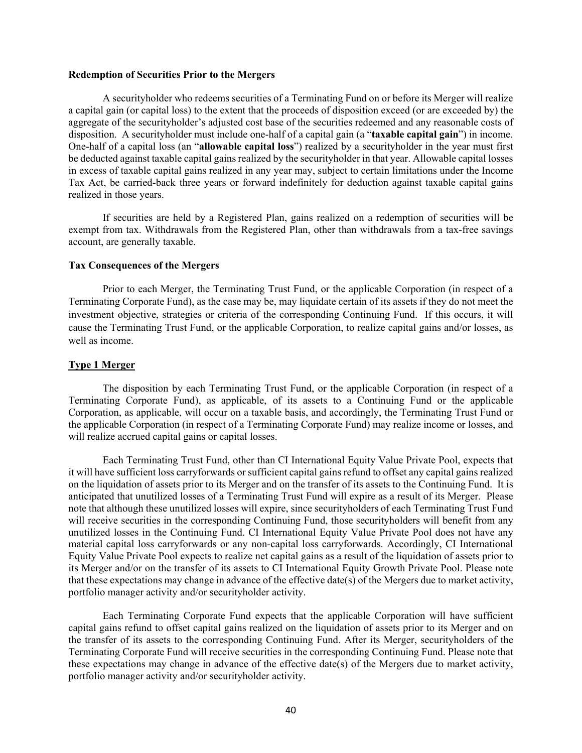#### **Redemption of Securities Prior to the Mergers**

A securityholder who redeems securities of a Terminating Fund on or before its Merger will realize a capital gain (or capital loss) to the extent that the proceeds of disposition exceed (or are exceeded by) the aggregate of the securityholder's adjusted cost base of the securities redeemed and any reasonable costs of disposition. A securityholder must include one-half of a capital gain (a "**taxable capital gain**") in income. One-half of a capital loss (an "**allowable capital loss**") realized by a securityholder in the year must first be deducted against taxable capital gains realized by the securityholder in that year. Allowable capital losses in excess of taxable capital gains realized in any year may, subject to certain limitations under the Income Tax Act, be carried-back three years or forward indefinitely for deduction against taxable capital gains realized in those years.

If securities are held by a Registered Plan, gains realized on a redemption of securities will be exempt from tax. Withdrawals from the Registered Plan, other than withdrawals from a tax-free savings account, are generally taxable.

### **Tax Consequences of the Mergers**

Prior to each Merger, the Terminating Trust Fund, or the applicable Corporation (in respect of a Terminating Corporate Fund), as the case may be, may liquidate certain of its assets if they do not meet the investment objective, strategies or criteria of the corresponding Continuing Fund. If this occurs, it will cause the Terminating Trust Fund, or the applicable Corporation, to realize capital gains and/or losses, as well as income.

#### **Type 1 Merger**

The disposition by each Terminating Trust Fund, or the applicable Corporation (in respect of a Terminating Corporate Fund), as applicable, of its assets to a Continuing Fund or the applicable Corporation, as applicable, will occur on a taxable basis, and accordingly, the Terminating Trust Fund or the applicable Corporation (in respect of a Terminating Corporate Fund) may realize income or losses, and will realize accrued capital gains or capital losses.

Each Terminating Trust Fund, other than CI International Equity Value Private Pool, expects that it will have sufficient loss carryforwards or sufficient capital gains refund to offset any capital gains realized on the liquidation of assets prior to its Merger and on the transfer of its assets to the Continuing Fund. It is anticipated that unutilized losses of a Terminating Trust Fund will expire as a result of its Merger. Please note that although these unutilized losses will expire, since securityholders of each Terminating Trust Fund will receive securities in the corresponding Continuing Fund, those securityholders will benefit from any unutilized losses in the Continuing Fund. CI International Equity Value Private Pool does not have any material capital loss carryforwards or any non-capital loss carryforwards. Accordingly, CI International Equity Value Private Pool expects to realize net capital gains as a result of the liquidation of assets prior to its Merger and/or on the transfer of its assets to CI International Equity Growth Private Pool. Please note that these expectations may change in advance of the effective date(s) of the Mergers due to market activity, portfolio manager activity and/or securityholder activity.

Each Terminating Corporate Fund expects that the applicable Corporation will have sufficient capital gains refund to offset capital gains realized on the liquidation of assets prior to its Merger and on the transfer of its assets to the corresponding Continuing Fund. After its Merger, securityholders of the Terminating Corporate Fund will receive securities in the corresponding Continuing Fund. Please note that these expectations may change in advance of the effective date(s) of the Mergers due to market activity, portfolio manager activity and/or securityholder activity.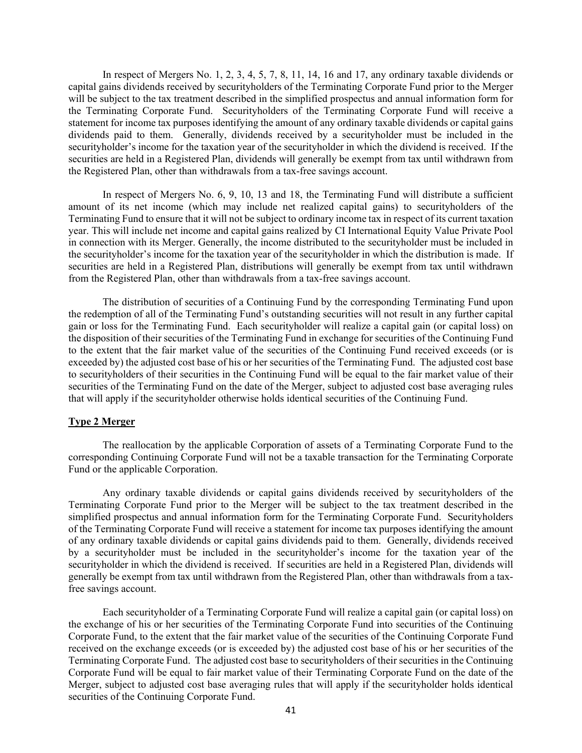In respect of Mergers No. 1, 2, 3, 4, 5, 7, 8, 11, 14, 16 and 17, any ordinary taxable dividends or capital gains dividends received by securityholders of the Terminating Corporate Fund prior to the Merger will be subject to the tax treatment described in the simplified prospectus and annual information form for the Terminating Corporate Fund. Securityholders of the Terminating Corporate Fund will receive a statement for income tax purposes identifying the amount of any ordinary taxable dividends or capital gains dividends paid to them. Generally, dividends received by a securityholder must be included in the securityholder's income for the taxation year of the securityholder in which the dividend is received. If the securities are held in a Registered Plan, dividends will generally be exempt from tax until withdrawn from the Registered Plan, other than withdrawals from a tax-free savings account.

In respect of Mergers No. 6, 9, 10, 13 and 18, the Terminating Fund will distribute a sufficient amount of its net income (which may include net realized capital gains) to securityholders of the Terminating Fund to ensure that it will not be subject to ordinary income tax in respect of its current taxation year. This will include net income and capital gains realized by CI International Equity Value Private Pool in connection with its Merger. Generally, the income distributed to the securityholder must be included in the securityholder's income for the taxation year of the securityholder in which the distribution is made. If securities are held in a Registered Plan, distributions will generally be exempt from tax until withdrawn from the Registered Plan, other than withdrawals from a tax-free savings account.

The distribution of securities of a Continuing Fund by the corresponding Terminating Fund upon the redemption of all of the Terminating Fund's outstanding securities will not result in any further capital gain or loss for the Terminating Fund. Each securityholder will realize a capital gain (or capital loss) on the disposition of their securities of the Terminating Fund in exchange for securities of the Continuing Fund to the extent that the fair market value of the securities of the Continuing Fund received exceeds (or is exceeded by) the adjusted cost base of his or her securities of the Terminating Fund. The adjusted cost base to securityholders of their securities in the Continuing Fund will be equal to the fair market value of their securities of the Terminating Fund on the date of the Merger, subject to adjusted cost base averaging rules that will apply if the securityholder otherwise holds identical securities of the Continuing Fund.

# **Type 2 Merger**

The reallocation by the applicable Corporation of assets of a Terminating Corporate Fund to the corresponding Continuing Corporate Fund will not be a taxable transaction for the Terminating Corporate Fund or the applicable Corporation.

Any ordinary taxable dividends or capital gains dividends received by securityholders of the Terminating Corporate Fund prior to the Merger will be subject to the tax treatment described in the simplified prospectus and annual information form for the Terminating Corporate Fund. Securityholders of the Terminating Corporate Fund will receive a statement for income tax purposes identifying the amount of any ordinary taxable dividends or capital gains dividends paid to them. Generally, dividends received by a securityholder must be included in the securityholder's income for the taxation year of the securityholder in which the dividend is received. If securities are held in a Registered Plan, dividends will generally be exempt from tax until withdrawn from the Registered Plan, other than withdrawals from a taxfree savings account.

Each securityholder of a Terminating Corporate Fund will realize a capital gain (or capital loss) on the exchange of his or her securities of the Terminating Corporate Fund into securities of the Continuing Corporate Fund, to the extent that the fair market value of the securities of the Continuing Corporate Fund received on the exchange exceeds (or is exceeded by) the adjusted cost base of his or her securities of the Terminating Corporate Fund. The adjusted cost base to securityholders of their securities in the Continuing Corporate Fund will be equal to fair market value of their Terminating Corporate Fund on the date of the Merger, subject to adjusted cost base averaging rules that will apply if the securityholder holds identical securities of the Continuing Corporate Fund.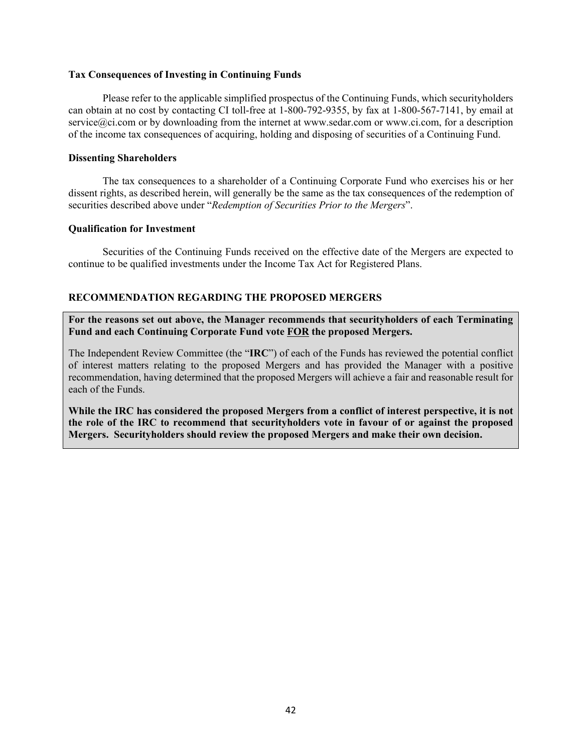#### **Tax Consequences of Investing in Continuing Funds**

Please refer to the applicable simplified prospectus of the Continuing Funds, which securityholders can obtain at no cost by contacting CI toll-free at 1-800-792-9355, by fax at 1-800-567-7141, by email at service@ci.com or by downloading from the internet at www.sedar.com or www.ci.com, for a description of the income tax consequences of acquiring, holding and disposing of securities of a Continuing Fund.

#### **Dissenting Shareholders**

The tax consequences to a shareholder of a Continuing Corporate Fund who exercises his or her dissent rights, as described herein, will generally be the same as the tax consequences of the redemption of securities described above under "*Redemption of Securities Prior to the Mergers*".

### **Qualification for Investment**

Securities of the Continuing Funds received on the effective date of the Mergers are expected to continue to be qualified investments under the Income Tax Act for Registered Plans.

# **RECOMMENDATION REGARDING THE PROPOSED MERGERS**

**For the reasons set out above, the Manager recommends that securityholders of each Terminating Fund and each Continuing Corporate Fund vote FOR the proposed Mergers.**

The Independent Review Committee (the "**IRC**") of each of the Funds has reviewed the potential conflict of interest matters relating to the proposed Mergers and has provided the Manager with a positive recommendation, having determined that the proposed Mergers will achieve a fair and reasonable result for each of the Funds.

**While the IRC has considered the proposed Mergers from a conflict of interest perspective, it is not the role of the IRC to recommend that securityholders vote in favour of or against the proposed Mergers. Securityholders should review the proposed Mergers and make their own decision.**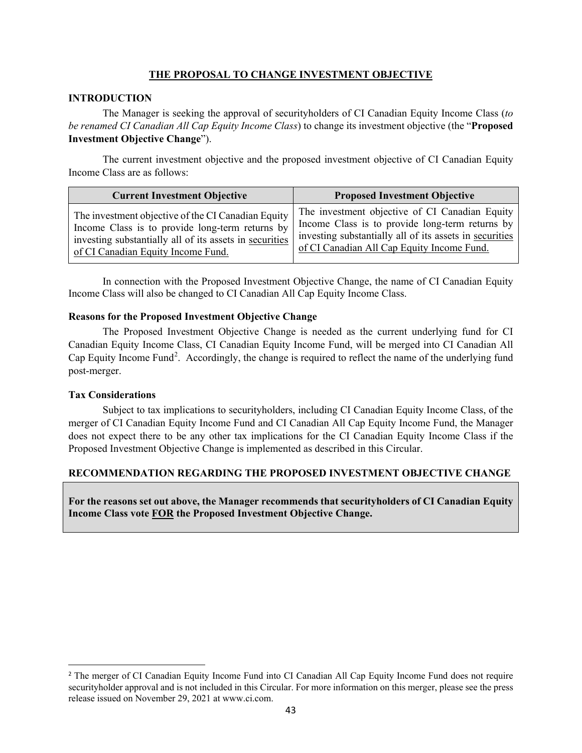# **THE PROPOSAL TO CHANGE INVESTMENT OBJECTIVE**

# **INTRODUCTION**

The Manager is seeking the approval of securityholders of CI Canadian Equity Income Class (*to be renamed CI Canadian All Cap Equity Income Class*) to change its investment objective (the "**Proposed Investment Objective Change**").

The current investment objective and the proposed investment objective of CI Canadian Equity Income Class are as follows:

| <b>Current Investment Objective</b>                     | <b>Proposed Investment Objective</b>                    |  |
|---------------------------------------------------------|---------------------------------------------------------|--|
| The investment objective of the CI Canadian Equity      | The investment objective of CI Canadian Equity          |  |
| Income Class is to provide long-term returns by         | Income Class is to provide long-term returns by         |  |
| investing substantially all of its assets in securities | investing substantially all of its assets in securities |  |
| of CI Canadian Equity Income Fund.                      | of CI Canadian All Cap Equity Income Fund.              |  |

In connection with the Proposed Investment Objective Change, the name of CI Canadian Equity Income Class will also be changed to CI Canadian All Cap Equity Income Class.

# **Reasons for the Proposed Investment Objective Change**

The Proposed Investment Objective Change is needed as the current underlying fund for CI Canadian Equity Income Class, CI Canadian Equity Income Fund, will be merged into CI Canadian All Cap Equity Income Fund<sup>[2](#page-42-0)</sup>. Accordingly, the change is required to reflect the name of the underlying fund post-merger.

# **Tax Considerations**

Subject to tax implications to securityholders, including CI Canadian Equity Income Class, of the merger of CI Canadian Equity Income Fund and CI Canadian All Cap Equity Income Fund, the Manager does not expect there to be any other tax implications for the CI Canadian Equity Income Class if the Proposed Investment Objective Change is implemented as described in this Circular.

# **RECOMMENDATION REGARDING THE PROPOSED INVESTMENT OBJECTIVE CHANGE**

**For the reasons set out above, the Manager recommends that securityholders of CI Canadian Equity Income Class vote FOR the Proposed Investment Objective Change.** 

<span id="page-42-0"></span><sup>&</sup>lt;sup>2</sup> The merger of CI Canadian Equity Income Fund into CI Canadian All Cap Equity Income Fund does not require securityholder approval and is not included in this Circular. For more information on this merger, please see the press release issued on November 29, 2021 at www.ci.com.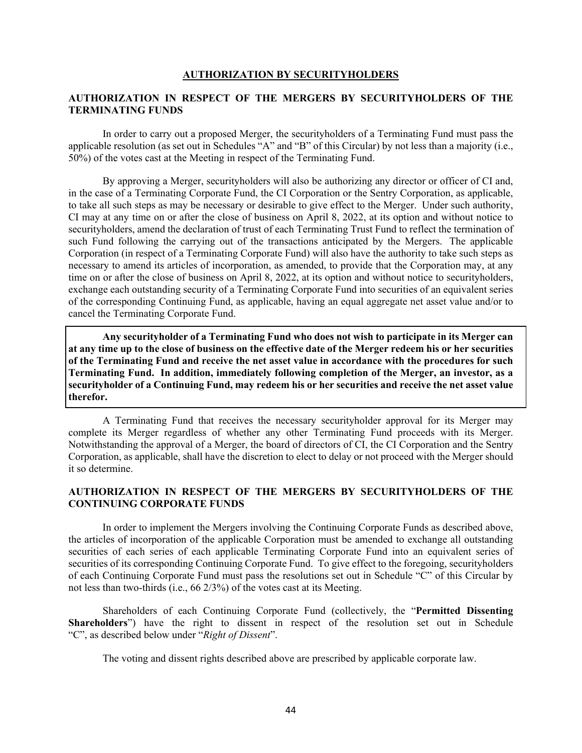#### **AUTHORIZATION BY SECURITYHOLDERS**

### **AUTHORIZATION IN RESPECT OF THE MERGERS BY SECURITYHOLDERS OF THE TERMINATING FUNDS**

In order to carry out a proposed Merger, the securityholders of a Terminating Fund must pass the applicable resolution (as set out in Schedules "A" and "B" of this Circular) by not less than a majority (i.e., 50%) of the votes cast at the Meeting in respect of the Terminating Fund.

By approving a Merger, securityholders will also be authorizing any director or officer of CI and, in the case of a Terminating Corporate Fund, the CI Corporation or the Sentry Corporation, as applicable, to take all such steps as may be necessary or desirable to give effect to the Merger. Under such authority, CI may at any time on or after the close of business on April 8, 2022, at its option and without notice to securityholders, amend the declaration of trust of each Terminating Trust Fund to reflect the termination of such Fund following the carrying out of the transactions anticipated by the Mergers. The applicable Corporation (in respect of a Terminating Corporate Fund) will also have the authority to take such steps as necessary to amend its articles of incorporation, as amended, to provide that the Corporation may, at any time on or after the close of business on April 8, 2022, at its option and without notice to securityholders, exchange each outstanding security of a Terminating Corporate Fund into securities of an equivalent series of the corresponding Continuing Fund, as applicable, having an equal aggregate net asset value and/or to cancel the Terminating Corporate Fund.

**Any securityholder of a Terminating Fund who does not wish to participate in its Merger can at any time up to the close of business on the effective date of the Merger redeem his or her securities of the Terminating Fund and receive the net asset value in accordance with the procedures for such Terminating Fund. In addition, immediately following completion of the Merger, an investor, as a securityholder of a Continuing Fund, may redeem his or her securities and receive the net asset value therefor.** 

A Terminating Fund that receives the necessary securityholder approval for its Merger may complete its Merger regardless of whether any other Terminating Fund proceeds with its Merger. Notwithstanding the approval of a Merger, the board of directors of CI, the CI Corporation and the Sentry Corporation, as applicable, shall have the discretion to elect to delay or not proceed with the Merger should it so determine.

# **AUTHORIZATION IN RESPECT OF THE MERGERS BY SECURITYHOLDERS OF THE CONTINUING CORPORATE FUNDS**

In order to implement the Mergers involving the Continuing Corporate Funds as described above, the articles of incorporation of the applicable Corporation must be amended to exchange all outstanding securities of each series of each applicable Terminating Corporate Fund into an equivalent series of securities of its corresponding Continuing Corporate Fund. To give effect to the foregoing, securityholders of each Continuing Corporate Fund must pass the resolutions set out in Schedule "C" of this Circular by not less than two-thirds (i.e., 66 2/3%) of the votes cast at its Meeting.

Shareholders of each Continuing Corporate Fund (collectively, the "**Permitted Dissenting Shareholders**") have the right to dissent in respect of the resolution set out in Schedule "C", as described below under "*Right of Dissent*".

The voting and dissent rights described above are prescribed by applicable corporate law.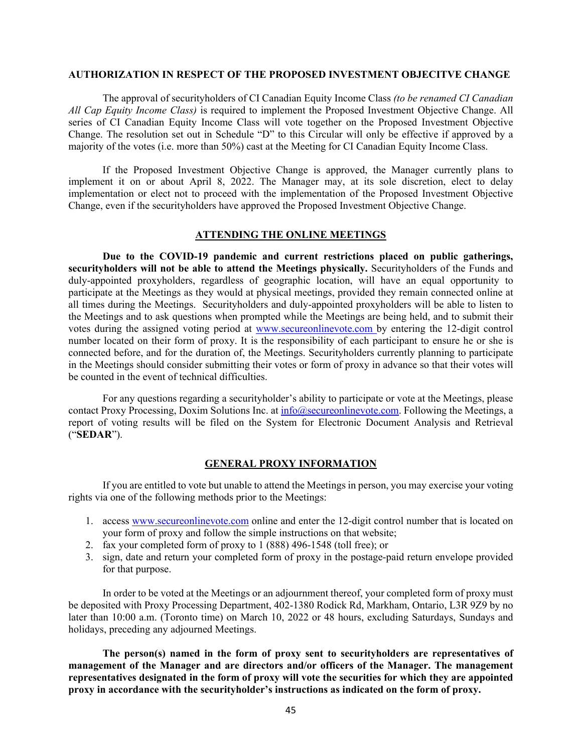#### **AUTHORIZATION IN RESPECT OF THE PROPOSED INVESTMENT OBJECITVE CHANGE**

The approval of securityholders of CI Canadian Equity Income Class *(to be renamed CI Canadian All Cap Equity Income Class)* is required to implement the Proposed Investment Objective Change. All series of CI Canadian Equity Income Class will vote together on the Proposed Investment Objective Change. The resolution set out in Schedule "D" to this Circular will only be effective if approved by a majority of the votes (i.e. more than 50%) cast at the Meeting for CI Canadian Equity Income Class.

If the Proposed Investment Objective Change is approved, the Manager currently plans to implement it on or about April 8, 2022. The Manager may, at its sole discretion, elect to delay implementation or elect not to proceed with the implementation of the Proposed Investment Objective Change, even if the securityholders have approved the Proposed Investment Objective Change.

### **ATTENDING THE ONLINE MEETINGS**

**Due to the COVID-19 pandemic and current restrictions placed on public gatherings, securityholders will not be able to attend the Meetings physically.** Securityholders of the Funds and duly-appointed proxyholders, regardless of geographic location, will have an equal opportunity to participate at the Meetings as they would at physical meetings, provided they remain connected online at all times during the Meetings. Securityholders and duly-appointed proxyholders will be able to listen to the Meetings and to ask questions when prompted while the Meetings are being held, and to submit their votes during the assigned voting period at [www.secureonlinevote.com](http://www.secureonlinevote.com/) by entering the 12-digit control number located on their form of proxy. It is the responsibility of each participant to ensure he or she is connected before, and for the duration of, the Meetings. Securityholders currently planning to participate in the Meetings should consider submitting their votes or form of proxy in advance so that their votes will be counted in the event of technical difficulties.

For any questions regarding a securityholder's ability to participate or vote at the Meetings, please contact Proxy Processing, Doxim Solutions Inc. at [info@secureonlinevote.com.](mailto:info@secureonlinevote.com) Following the Meetings, a report of voting results will be filed on the System for Electronic Document Analysis and Retrieval ("**SEDAR**").

#### **GENERAL PROXY INFORMATION**

If you are entitled to vote but unable to attend the Meetings in person, you may exercise your voting rights via one of the following methods prior to the Meetings:

- 1. access [www.secureonlinevote.com](http://www.secureonlinevote.com/) online and enter the 12-digit control number that is located on your form of proxy and follow the simple instructions on that website;
- 2. fax your completed form of proxy to 1 (888) 496-1548 (toll free); or
- 3. sign, date and return your completed form of proxy in the postage-paid return envelope provided for that purpose.

In order to be voted at the Meetings or an adjournment thereof, your completed form of proxy must be deposited with Proxy Processing Department, 402-1380 Rodick Rd, Markham, Ontario, L3R 9Z9 by no later than 10:00 a.m. (Toronto time) on March 10, 2022 or 48 hours, excluding Saturdays, Sundays and holidays, preceding any adjourned Meetings.

**The person(s) named in the form of proxy sent to securityholders are representatives of management of the Manager and are directors and/or officers of the Manager. The management representatives designated in the form of proxy will vote the securities for which they are appointed proxy in accordance with the securityholder's instructions as indicated on the form of proxy.**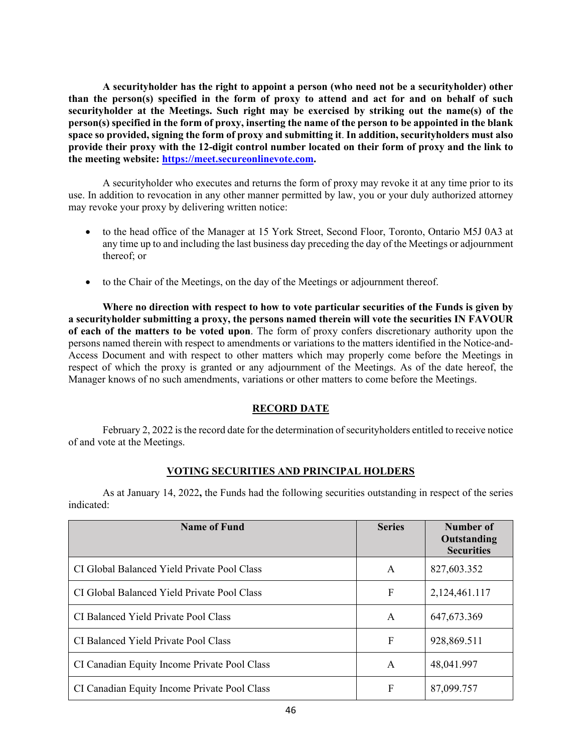**A securityholder has the right to appoint a person (who need not be a securityholder) other than the person(s) specified in the form of proxy to attend and act for and on behalf of such securityholder at the Meetings. Such right may be exercised by striking out the name(s) of the person(s) specified in the form of proxy, inserting the name of the person to be appointed in the blank space so provided, signing the form of proxy and submitting it**. **In addition, securityholders must also provide their proxy with the 12-digit control number located on their form of proxy and the link to the meeting website: [https://meet.secureonlinevote.com.](https://meet.secureonlinevote.com/)**

A securityholder who executes and returns the form of proxy may revoke it at any time prior to its use. In addition to revocation in any other manner permitted by law, you or your duly authorized attorney may revoke your proxy by delivering written notice:

- to the head office of the Manager at 15 York Street, Second Floor, Toronto, Ontario M5J 0A3 at any time up to and including the last business day preceding the day of the Meetings or adjournment thereof; or
- to the Chair of the Meetings, on the day of the Meetings or adjournment thereof.

**Where no direction with respect to how to vote particular securities of the Funds is given by a securityholder submitting a proxy, the persons named therein will vote the securities IN FAVOUR of each of the matters to be voted upon**. The form of proxy confers discretionary authority upon the persons named therein with respect to amendments or variations to the matters identified in the Notice-and-Access Document and with respect to other matters which may properly come before the Meetings in respect of which the proxy is granted or any adjournment of the Meetings. As of the date hereof, the Manager knows of no such amendments, variations or other matters to come before the Meetings.

# **RECORD DATE**

February 2, 2022 is the record date for the determination of securityholders entitled to receive notice of and vote at the Meetings.

# **VOTING SECURITIES AND PRINCIPAL HOLDERS**

As at January 14, 2022**,** the Funds had the following securities outstanding in respect of the series indicated:

| <b>Name of Fund</b>                          | <b>Series</b> | Number of<br>Outstanding<br><b>Securities</b> |
|----------------------------------------------|---------------|-----------------------------------------------|
| CI Global Balanced Yield Private Pool Class  | A             | 827,603.352                                   |
| CI Global Balanced Yield Private Pool Class  | F             | 2,124,461.117                                 |
| CI Balanced Yield Private Pool Class         | A             | 647, 673. 369                                 |
| CI Balanced Yield Private Pool Class         | F             | 928,869.511                                   |
| CI Canadian Equity Income Private Pool Class | A             | 48,041.997                                    |
| CI Canadian Equity Income Private Pool Class | F             | 87,099.757                                    |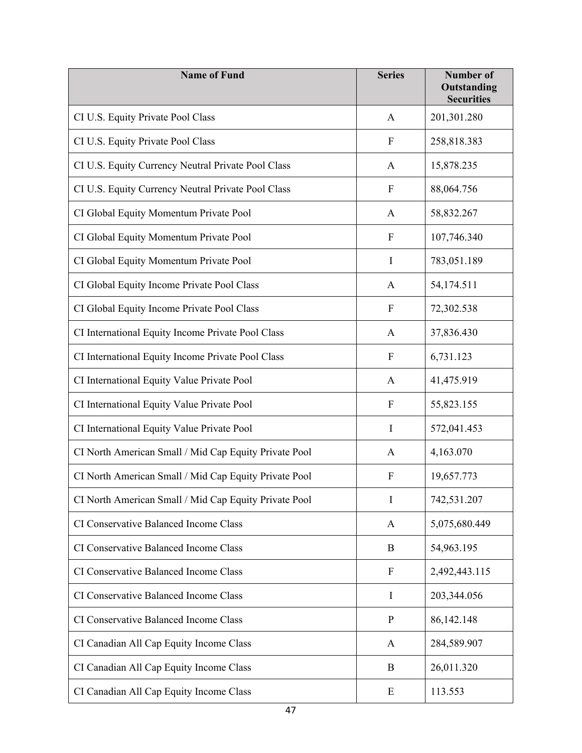| <b>Name of Fund</b>                                   | <b>Series</b>             | <b>Number of</b><br>Outstanding<br><b>Securities</b> |
|-------------------------------------------------------|---------------------------|------------------------------------------------------|
| CI U.S. Equity Private Pool Class                     | A                         | 201,301.280                                          |
| CI U.S. Equity Private Pool Class                     | ${\bf F}$                 | 258,818.383                                          |
| CI U.S. Equity Currency Neutral Private Pool Class    | A                         | 15,878.235                                           |
| CI U.S. Equity Currency Neutral Private Pool Class    | $\boldsymbol{F}$          | 88,064.756                                           |
| CI Global Equity Momentum Private Pool                | A                         | 58,832.267                                           |
| CI Global Equity Momentum Private Pool                | $\boldsymbol{F}$          | 107,746.340                                          |
| CI Global Equity Momentum Private Pool                | $\mathbf I$               | 783,051.189                                          |
| CI Global Equity Income Private Pool Class            | $\mathbf{A}$              | 54,174.511                                           |
| CI Global Equity Income Private Pool Class            | ${\bf F}$                 | 72,302.538                                           |
| CI International Equity Income Private Pool Class     | A                         | 37,836.430                                           |
| CI International Equity Income Private Pool Class     | F                         | 6,731.123                                            |
| CI International Equity Value Private Pool            | A                         | 41,475.919                                           |
| CI International Equity Value Private Pool            | $\mathbf F$               | 55,823.155                                           |
| CI International Equity Value Private Pool            | $\mathbf I$               | 572,041.453                                          |
| CI North American Small / Mid Cap Equity Private Pool | A                         | 4,163.070                                            |
| CI North American Small / Mid Cap Equity Private Pool | F                         | 19,657.773                                           |
| CI North American Small / Mid Cap Equity Private Pool | $\mathbf I$               | 742,531.207                                          |
| CI Conservative Balanced Income Class                 | A                         | 5,075,680.449                                        |
| CI Conservative Balanced Income Class                 | B                         | 54,963.195                                           |
| CI Conservative Balanced Income Class                 | $\boldsymbol{\mathrm{F}}$ | 2,492,443.115                                        |
| CI Conservative Balanced Income Class                 | I                         | 203,344.056                                          |
| CI Conservative Balanced Income Class                 | ${\bf P}$                 | 86,142.148                                           |
| CI Canadian All Cap Equity Income Class               | A                         | 284,589.907                                          |
| CI Canadian All Cap Equity Income Class               | B                         | 26,011.320                                           |
| CI Canadian All Cap Equity Income Class               | E                         | 113.553                                              |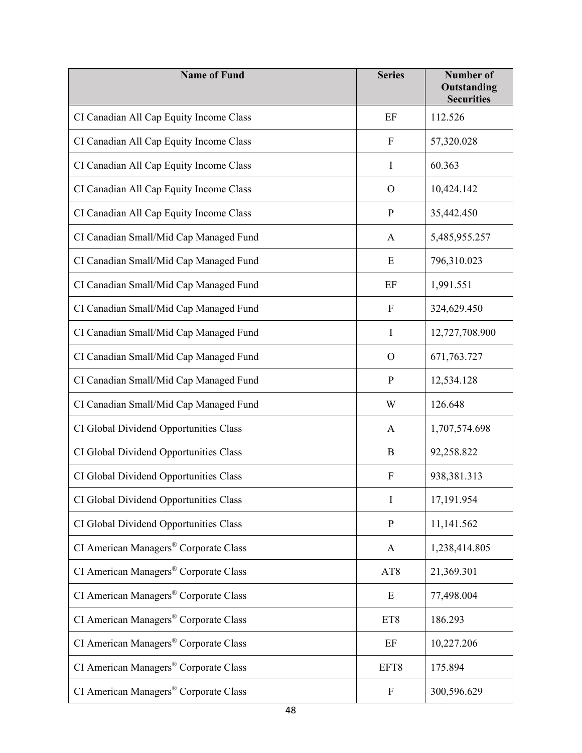| <b>Name of Fund</b>                               | <b>Series</b>             | <b>Number of</b><br>Outstanding<br><b>Securities</b> |
|---------------------------------------------------|---------------------------|------------------------------------------------------|
| CI Canadian All Cap Equity Income Class           | EF                        | 112.526                                              |
| CI Canadian All Cap Equity Income Class           | F                         | 57,320.028                                           |
| CI Canadian All Cap Equity Income Class           | I                         | 60.363                                               |
| CI Canadian All Cap Equity Income Class           | $\Omega$                  | 10,424.142                                           |
| CI Canadian All Cap Equity Income Class           | $\mathbf P$               | 35,442.450                                           |
| CI Canadian Small/Mid Cap Managed Fund            | A                         | 5,485,955.257                                        |
| CI Canadian Small/Mid Cap Managed Fund            | E                         | 796,310.023                                          |
| CI Canadian Small/Mid Cap Managed Fund            | EF                        | 1,991.551                                            |
| CI Canadian Small/Mid Cap Managed Fund            | $\mathbf F$               | 324,629.450                                          |
| CI Canadian Small/Mid Cap Managed Fund            | I                         | 12,727,708.900                                       |
| CI Canadian Small/Mid Cap Managed Fund            | $\Omega$                  | 671,763.727                                          |
| CI Canadian Small/Mid Cap Managed Fund            | $\mathbf{P}$              | 12,534.128                                           |
| CI Canadian Small/Mid Cap Managed Fund            | W                         | 126.648                                              |
| CI Global Dividend Opportunities Class            | A                         | 1,707,574.698                                        |
| CI Global Dividend Opportunities Class            | B                         | 92,258.822                                           |
| CI Global Dividend Opportunities Class            | $\boldsymbol{F}$          | 938,381.313                                          |
| CI Global Dividend Opportunities Class            | $\bf{I}$                  | 17,191.954                                           |
| CI Global Dividend Opportunities Class            | $\, {\bf P}$              | 11,141.562                                           |
| CI American Managers® Corporate Class             | $\mathbf{A}$              | 1,238,414.805                                        |
| CI American Managers® Corporate Class             | AT8                       | 21,369.301                                           |
| CI American Managers® Corporate Class             | E                         | 77,498.004                                           |
| CI American Managers® Corporate Class             | ET8                       | 186.293                                              |
| CI American Managers <sup>®</sup> Corporate Class | EF                        | 10,227.206                                           |
| CI American Managers® Corporate Class             | EFT8                      | 175.894                                              |
| CI American Managers® Corporate Class             | $\boldsymbol{\mathrm{F}}$ | 300,596.629                                          |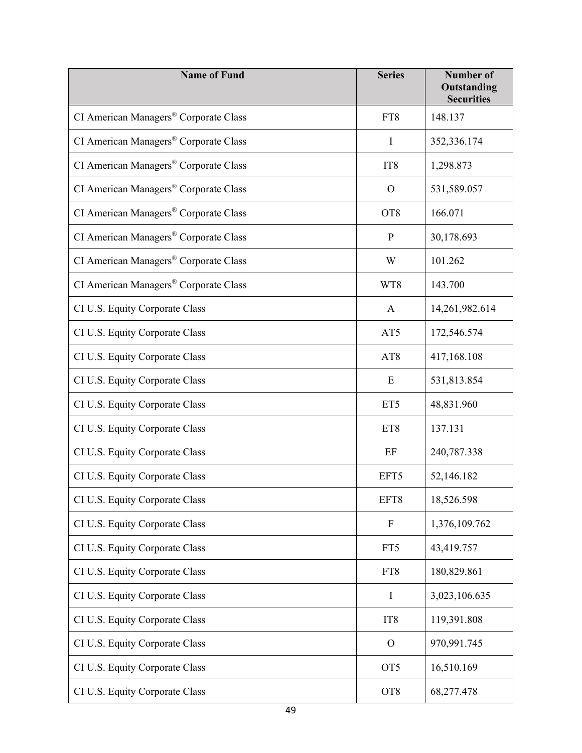| <b>Name of Fund</b>                               | <b>Series</b>   | <b>Number of</b><br>Outstanding<br><b>Securities</b> |
|---------------------------------------------------|-----------------|------------------------------------------------------|
| CI American Managers® Corporate Class             | FT8             | 148.137                                              |
| CI American Managers® Corporate Class             | I               | 352,336.174                                          |
| CI American Managers® Corporate Class             | IT <sub>8</sub> | 1,298.873                                            |
| CI American Managers® Corporate Class             | $\Omega$        | 531,589.057                                          |
| CI American Managers® Corporate Class             | OT <sub>8</sub> | 166.071                                              |
| CI American Managers® Corporate Class             | $\mathbf P$     | 30,178.693                                           |
| CI American Managers® Corporate Class             | W               | 101.262                                              |
| CI American Managers <sup>®</sup> Corporate Class | WT8             | 143.700                                              |
| CI U.S. Equity Corporate Class                    | A               | 14,261,982.614                                       |
| CI U.S. Equity Corporate Class                    | AT5             | 172,546.574                                          |
| CI U.S. Equity Corporate Class                    | AT <sub>8</sub> | 417,168.108                                          |
| CI U.S. Equity Corporate Class                    | E               | 531,813.854                                          |
| CI U.S. Equity Corporate Class                    | ET <sub>5</sub> | 48,831.960                                           |
| CI U.S. Equity Corporate Class                    | ET8             | 137.131                                              |
| CI U.S. Equity Corporate Class                    | EF              | 240,787.338                                          |
| CI U.S. Equity Corporate Class                    | EFT5            | 52,146.182                                           |
| CI U.S. Equity Corporate Class                    | EFT8            | 18,526.598                                           |
| CI U.S. Equity Corporate Class                    | $\mathbf{F}$    | 1,376,109.762                                        |
| CI U.S. Equity Corporate Class                    | FT5             | 43,419.757                                           |
| CI U.S. Equity Corporate Class                    | FT8             | 180,829.861                                          |
| CI U.S. Equity Corporate Class                    | Ι               | 3,023,106.635                                        |
| CI U.S. Equity Corporate Class                    | IT <sub>8</sub> | 119,391.808                                          |
| CI U.S. Equity Corporate Class                    | $\mathbf O$     | 970,991.745                                          |
| CI U.S. Equity Corporate Class                    | OT <sub>5</sub> | 16,510.169                                           |
| CI U.S. Equity Corporate Class                    | OT <sub>8</sub> | 68,277.478                                           |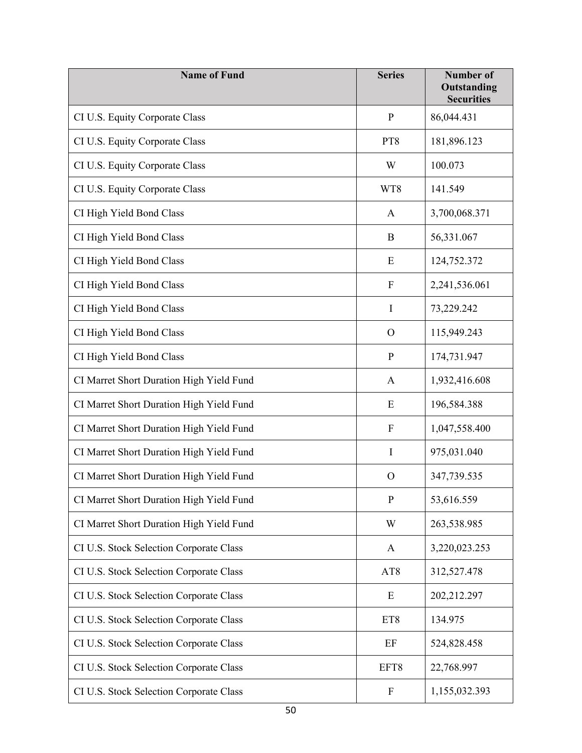| <b>Name of Fund</b>                      | <b>Series</b>             | <b>Number of</b><br>Outstanding<br><b>Securities</b> |
|------------------------------------------|---------------------------|------------------------------------------------------|
| CI U.S. Equity Corporate Class           | $\mathbf{P}$              | 86,044.431                                           |
| CI U.S. Equity Corporate Class           | PT8                       | 181,896.123                                          |
| CI U.S. Equity Corporate Class           | W                         | 100.073                                              |
| CI U.S. Equity Corporate Class           | WT8                       | 141.549                                              |
| CI High Yield Bond Class                 | A                         | 3,700,068.371                                        |
| CI High Yield Bond Class                 | B                         | 56,331.067                                           |
| CI High Yield Bond Class                 | E                         | 124,752.372                                          |
| CI High Yield Bond Class                 | $\mathbf F$               | 2,241,536.061                                        |
| CI High Yield Bond Class                 | $\mathbf I$               | 73,229.242                                           |
| CI High Yield Bond Class                 | $\Omega$                  | 115,949.243                                          |
| CI High Yield Bond Class                 | $\mathbf{P}$              | 174,731.947                                          |
| CI Marret Short Duration High Yield Fund | A                         | 1,932,416.608                                        |
| CI Marret Short Duration High Yield Fund | E                         | 196,584.388                                          |
| CI Marret Short Duration High Yield Fund | F                         | 1,047,558.400                                        |
| CI Marret Short Duration High Yield Fund | I                         | 975,031.040                                          |
| CI Marret Short Duration High Yield Fund | $\mathcal{O}$             | 347,739.535                                          |
| CI Marret Short Duration High Yield Fund | ${\bf P}$                 | 53,616.559                                           |
| CI Marret Short Duration High Yield Fund | W                         | 263,538.985                                          |
| CI U.S. Stock Selection Corporate Class  | A                         | 3,220,023.253                                        |
| CI U.S. Stock Selection Corporate Class  | AT <sub>8</sub>           | 312,527.478                                          |
| CI U.S. Stock Selection Corporate Class  | E                         | 202,212.297                                          |
| CI U.S. Stock Selection Corporate Class  | ET8                       | 134.975                                              |
| CI U.S. Stock Selection Corporate Class  | EF                        | 524,828.458                                          |
| CI U.S. Stock Selection Corporate Class  | EFT8                      | 22,768.997                                           |
| CI U.S. Stock Selection Corporate Class  | $\boldsymbol{\mathrm{F}}$ | 1,155,032.393                                        |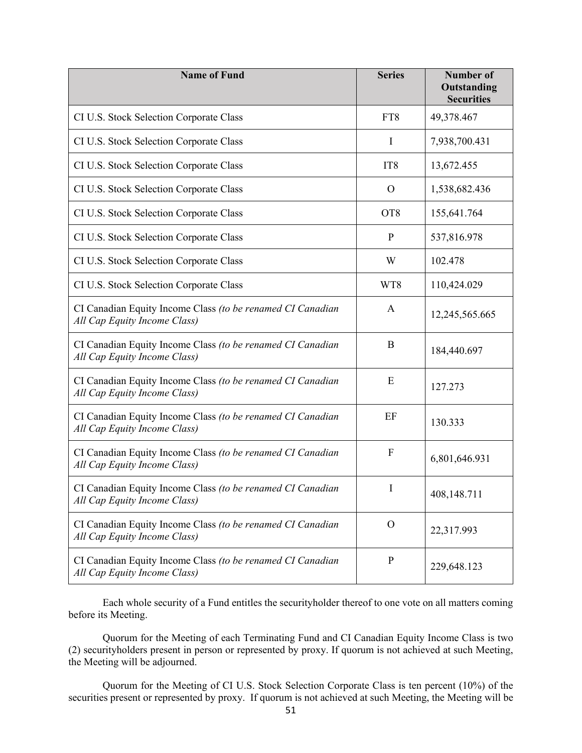| <b>Name of Fund</b>                                                                        | <b>Series</b>    | <b>Number of</b><br>Outstanding<br><b>Securities</b> |
|--------------------------------------------------------------------------------------------|------------------|------------------------------------------------------|
| CI U.S. Stock Selection Corporate Class                                                    | FT8              | 49,378.467                                           |
| CI U.S. Stock Selection Corporate Class                                                    | I                | 7,938,700.431                                        |
| CI U.S. Stock Selection Corporate Class                                                    | IT <sub>8</sub>  | 13,672.455                                           |
| CI U.S. Stock Selection Corporate Class                                                    | O                | 1,538,682.436                                        |
| CI U.S. Stock Selection Corporate Class                                                    | OT <sub>8</sub>  | 155,641.764                                          |
| CI U.S. Stock Selection Corporate Class                                                    | $\mathbf{P}$     | 537,816.978                                          |
| CI U.S. Stock Selection Corporate Class                                                    | W                | 102.478                                              |
| CI U.S. Stock Selection Corporate Class                                                    | WT8              | 110,424.029                                          |
| CI Canadian Equity Income Class (to be renamed CI Canadian<br>All Cap Equity Income Class) | A                | 12,245,565.665                                       |
| CI Canadian Equity Income Class (to be renamed CI Canadian<br>All Cap Equity Income Class) | B                | 184,440.697                                          |
| CI Canadian Equity Income Class (to be renamed CI Canadian<br>All Cap Equity Income Class) | E                | 127.273                                              |
| CI Canadian Equity Income Class (to be renamed CI Canadian<br>All Cap Equity Income Class) | EF               | 130.333                                              |
| CI Canadian Equity Income Class (to be renamed CI Canadian<br>All Cap Equity Income Class) | $\boldsymbol{F}$ | 6,801,646.931                                        |
| CI Canadian Equity Income Class (to be renamed CI Canadian<br>All Cap Equity Income Class) | I                | 408,148.711                                          |
| CI Canadian Equity Income Class (to be renamed CI Canadian<br>All Cap Equity Income Class) | $\mathcal{O}$    | 22,317.993                                           |
| CI Canadian Equity Income Class (to be renamed CI Canadian<br>All Cap Equity Income Class) | $\mathbf P$      | 229,648.123                                          |

Each whole security of a Fund entitles the securityholder thereof to one vote on all matters coming before its Meeting.

Quorum for the Meeting of each Terminating Fund and CI Canadian Equity Income Class is two (2) securityholders present in person or represented by proxy. If quorum is not achieved at such Meeting, the Meeting will be adjourned.

Quorum for the Meeting of CI U.S. Stock Selection Corporate Class is ten percent (10%) of the securities present or represented by proxy. If quorum is not achieved at such Meeting, the Meeting will be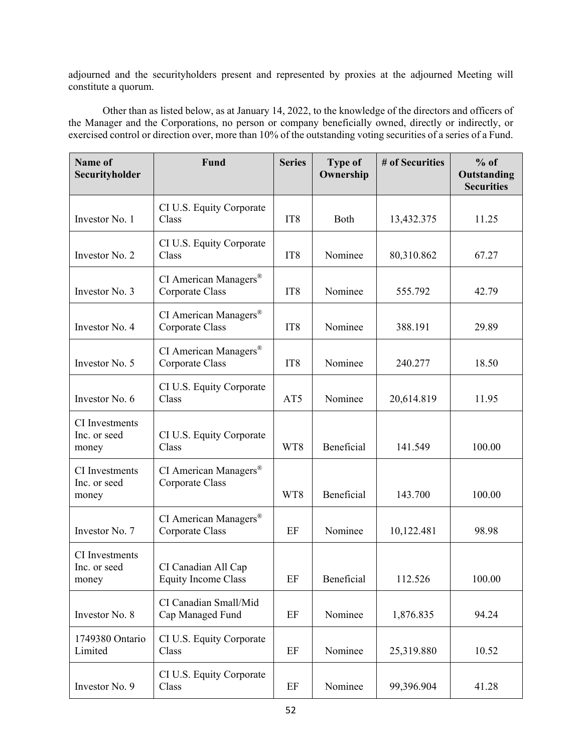adjourned and the securityholders present and represented by proxies at the adjourned Meeting will constitute a quorum.

Other than as listed below, as at January 14, 2022, to the knowledge of the directors and officers of the Manager and the Corporations, no person or company beneficially owned, directly or indirectly, or exercised control or direction over, more than 10% of the outstanding voting securities of a series of a Fund.

| Name of<br>Securityholder               | Fund                                              | <b>Series</b>   | <b>Type of</b><br>Ownership | # of Securities | $%$ of<br>Outstanding<br><b>Securities</b> |
|-----------------------------------------|---------------------------------------------------|-----------------|-----------------------------|-----------------|--------------------------------------------|
| Investor No. 1                          | CI U.S. Equity Corporate<br>Class                 | IT <sub>8</sub> | Both                        | 13,432.375      | 11.25                                      |
| Investor No. 2                          | CI U.S. Equity Corporate<br>Class                 | IT <sub>8</sub> | Nominee                     | 80,310.862      | 67.27                                      |
| Investor No. 3                          | CI American Managers®<br>Corporate Class          | IT <sub>8</sub> | Nominee                     | 555.792         | 42.79                                      |
| Investor No. 4                          | CI American Managers®<br>Corporate Class          | IT <sub>8</sub> | Nominee                     | 388.191         | 29.89                                      |
| Investor No. 5                          | CI American Managers®<br>Corporate Class          | IT <sub>8</sub> | Nominee                     | 240.277         | 18.50                                      |
| Investor No. 6                          | CI U.S. Equity Corporate<br>Class                 | AT5             | Nominee                     | 20,614.819      | 11.95                                      |
| CI Investments<br>Inc. or seed<br>money | CI U.S. Equity Corporate<br>Class                 | WT8             | Beneficial                  | 141.549         | 100.00                                     |
| CI Investments<br>Inc. or seed<br>money | CI American Managers®<br>Corporate Class          | WT8             | Beneficial                  | 143.700         | 100.00                                     |
| Investor No. 7                          | CI American Managers®<br>Corporate Class          | EF              | Nominee                     | 10,122.481      | 98.98                                      |
| CI Investments<br>Inc. or seed<br>money | CI Canadian All Cap<br><b>Equity Income Class</b> | EF              | Beneficial                  | 112.526         | 100.00                                     |
| Investor No. 8                          | CI Canadian Small/Mid<br>Cap Managed Fund         | EF              | Nominee                     | 1,876.835       | 94.24                                      |
| 1749380 Ontario<br>Limited              | CI U.S. Equity Corporate<br>Class                 | EF              | Nominee                     | 25,319.880      | 10.52                                      |
| Investor No. 9                          | CI U.S. Equity Corporate<br>Class                 | EF              | Nominee                     | 99,396.904      | 41.28                                      |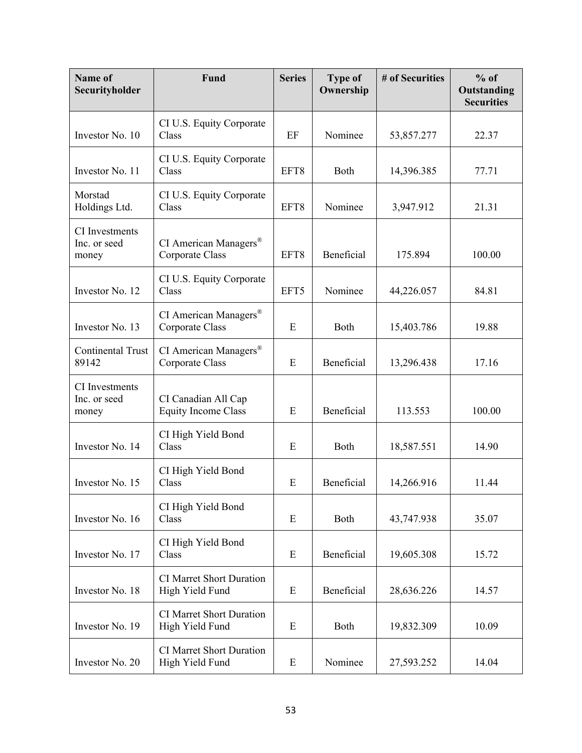| Name of<br>Securityholder               | Fund                                                 | <b>Series</b> | <b>Type of</b><br>Ownership | # of Securities | $%$ of<br>Outstanding<br><b>Securities</b> |
|-----------------------------------------|------------------------------------------------------|---------------|-----------------------------|-----------------|--------------------------------------------|
| Investor No. 10                         | CI U.S. Equity Corporate<br>Class                    | EF            | Nominee                     | 53,857.277      | 22.37                                      |
| Investor No. 11                         | CI U.S. Equity Corporate<br>Class                    | EFT8          | <b>Both</b>                 | 14,396.385      | 77.71                                      |
| Morstad<br>Holdings Ltd.                | CI U.S. Equity Corporate<br>Class                    | EFT8          | Nominee                     | 3,947.912       | 21.31                                      |
| CI Investments<br>Inc. or seed<br>money | CI American Managers <sup>®</sup><br>Corporate Class | EFT8          | Beneficial                  | 175.894         | 100.00                                     |
| Investor No. 12                         | CI U.S. Equity Corporate<br>Class                    | EFT5          | Nominee                     | 44,226.057      | 84.81                                      |
| Investor No. 13                         | CI American Managers <sup>®</sup><br>Corporate Class | E             | Both                        | 15,403.786      | 19.88                                      |
| <b>Continental Trust</b><br>89142       | CI American Managers <sup>®</sup><br>Corporate Class | E             | Beneficial                  | 13,296.438      | 17.16                                      |
| CI Investments<br>Inc. or seed<br>money | CI Canadian All Cap<br><b>Equity Income Class</b>    | E             | Beneficial                  | 113.553         | 100.00                                     |
| Investor No. 14                         | CI High Yield Bond<br>Class                          | E             | Both                        | 18,587.551      | 14.90                                      |
| Investor No. 15                         | CI High Yield Bond<br>Class                          | E             | Beneficial                  | 14,266.916      | 11.44                                      |
| Investor No. 16                         | CI High Yield Bond<br>Class                          | E             | Both                        | 43,747.938      | 35.07                                      |
| Investor No. 17                         | CI High Yield Bond<br>Class                          | E             | Beneficial                  | 19,605.308      | 15.72                                      |
| Investor No. 18                         | <b>CI Marret Short Duration</b><br>High Yield Fund   | E             | Beneficial                  | 28,636.226      | 14.57                                      |
| Investor No. 19                         | <b>CI Marret Short Duration</b><br>High Yield Fund   | E             | Both                        | 19,832.309      | 10.09                                      |
| Investor No. 20                         | <b>CI Marret Short Duration</b><br>High Yield Fund   | E             | Nominee                     | 27,593.252      | 14.04                                      |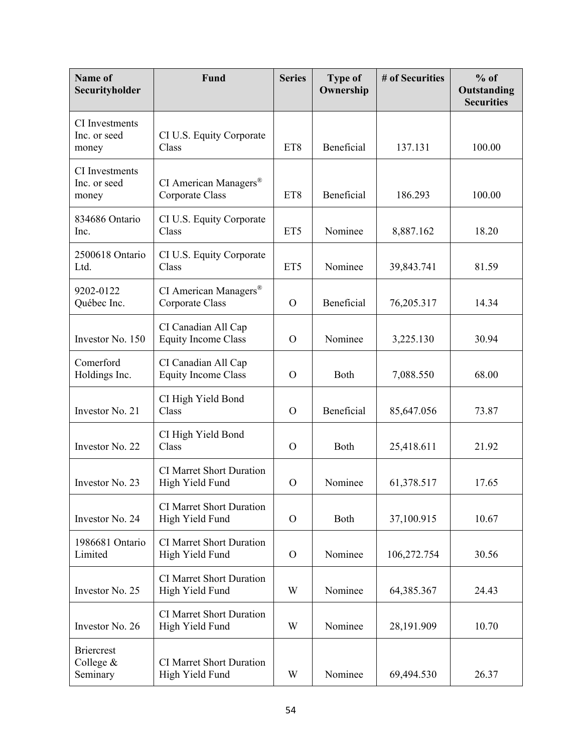| Name of<br>Securityholder                      | <b>Fund</b>                                          | <b>Series</b> | <b>Type of</b><br>Ownership | # of Securities | $%$ of<br>Outstanding<br><b>Securities</b> |
|------------------------------------------------|------------------------------------------------------|---------------|-----------------------------|-----------------|--------------------------------------------|
| <b>CI</b> Investments<br>Inc. or seed<br>money | CI U.S. Equity Corporate<br>Class                    | ET8           | Beneficial                  | 137.131         | 100.00                                     |
| CI Investments<br>Inc. or seed<br>money        | CI American Managers <sup>®</sup><br>Corporate Class | ET8           | Beneficial                  | 186.293         | 100.00                                     |
| 834686 Ontario<br>Inc.                         | CI U.S. Equity Corporate<br>Class                    | ET5           | Nominee                     | 8,887.162       | 18.20                                      |
| 2500618 Ontario<br>Ltd.                        | CI U.S. Equity Corporate<br>Class                    | ET5           | Nominee                     | 39,843.741      | 81.59                                      |
| 9202-0122<br>Québec Inc.                       | CI American Managers®<br>Corporate Class             | $\Omega$      | Beneficial                  | 76,205.317      | 14.34                                      |
| Investor No. 150                               | CI Canadian All Cap<br><b>Equity Income Class</b>    | $\Omega$      | Nominee                     | 3,225.130       | 30.94                                      |
| Comerford<br>Holdings Inc.                     | CI Canadian All Cap<br><b>Equity Income Class</b>    | $\Omega$      | Both                        | 7,088.550       | 68.00                                      |
| Investor No. 21                                | CI High Yield Bond<br>Class                          | $\mathcal{O}$ | Beneficial                  | 85,647.056      | 73.87                                      |
| Investor No. 22                                | CI High Yield Bond<br>Class                          | $\Omega$      | Both                        | 25,418.611      | 21.92                                      |
| Investor No. 23                                | <b>CI Marret Short Duration</b><br>High Yield Fund   | $\Omega$      | Nominee                     | 61,378.517      | 17.65                                      |
| Investor No. 24                                | <b>CI Marret Short Duration</b><br>High Yield Fund   | $\Omega$      | Both                        | 37,100.915      | 10.67                                      |
| 1986681 Ontario<br>Limited                     | <b>CI Marret Short Duration</b><br>High Yield Fund   | $\Omega$      | Nominee                     | 106,272.754     | 30.56                                      |
| Investor No. 25                                | <b>CI Marret Short Duration</b><br>High Yield Fund   | W             | Nominee                     | 64,385.367      | 24.43                                      |
| Investor No. 26                                | <b>CI Marret Short Duration</b><br>High Yield Fund   | W             | Nominee                     | 28,191.909      | 10.70                                      |
| <b>Briercrest</b><br>College $&$<br>Seminary   | <b>CI Marret Short Duration</b><br>High Yield Fund   | W             | Nominee                     | 69,494.530      | 26.37                                      |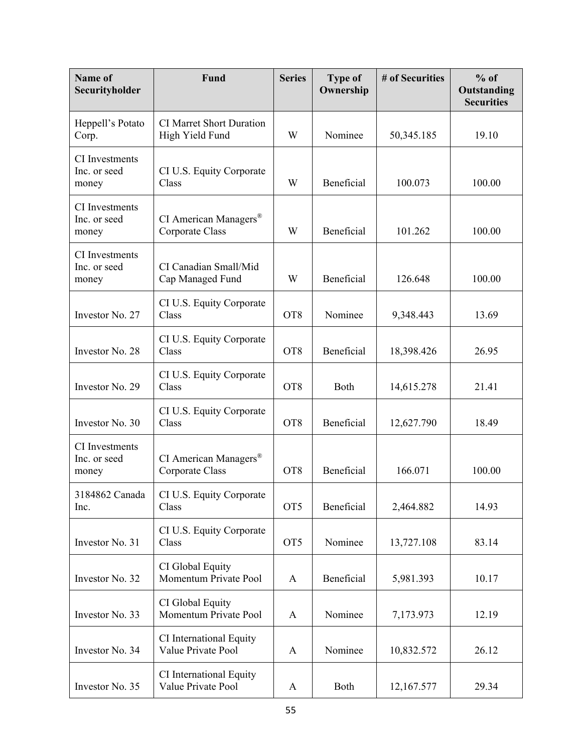| <b>Name of</b><br>Securityholder               | Fund                                                 | <b>Series</b>   | <b>Type of</b><br>Ownership | # of Securities | $%$ of<br>Outstanding<br><b>Securities</b> |
|------------------------------------------------|------------------------------------------------------|-----------------|-----------------------------|-----------------|--------------------------------------------|
| Heppell's Potato<br>Corp.                      | <b>CI Marret Short Duration</b><br>High Yield Fund   | W               | Nominee                     | 50,345.185      | 19.10                                      |
| CI Investments<br>Inc. or seed<br>money        | CI U.S. Equity Corporate<br>Class                    | W               | Beneficial                  | 100.073         | 100.00                                     |
| <b>CI</b> Investments<br>Inc. or seed<br>money | CI American Managers <sup>®</sup><br>Corporate Class | W               | Beneficial                  | 101.262         | 100.00                                     |
| CI Investments<br>Inc. or seed<br>money        | CI Canadian Small/Mid<br>Cap Managed Fund            | W               | Beneficial                  | 126.648         | 100.00                                     |
| Investor No. 27                                | CI U.S. Equity Corporate<br>Class                    | OT <sub>8</sub> | Nominee                     | 9,348.443       | 13.69                                      |
| Investor No. 28                                | CI U.S. Equity Corporate<br>Class                    | OT <sub>8</sub> | Beneficial                  | 18,398.426      | 26.95                                      |
| Investor No. 29                                | CI U.S. Equity Corporate<br>Class                    | OT <sub>8</sub> | Both                        | 14,615.278      | 21.41                                      |
| Investor No. 30                                | CI U.S. Equity Corporate<br>Class                    | OT <sub>8</sub> | Beneficial                  | 12,627.790      | 18.49                                      |
| CI Investments<br>Inc. or seed<br>money        | CI American Managers <sup>®</sup><br>Corporate Class | OT <sub>8</sub> | Beneficial                  | 166.071         | 100.00                                     |
| 3184862 Canada<br>Inc.                         | CI U.S. Equity Corporate<br>Class                    | OT <sub>5</sub> | Beneficial                  | 2,464.882       | 14.93                                      |
| Investor No. 31                                | CI U.S. Equity Corporate<br>Class                    | OT <sub>5</sub> | Nominee                     | 13,727.108      | 83.14                                      |
| Investor No. 32                                | CI Global Equity<br>Momentum Private Pool            | $\mathbf{A}$    | Beneficial                  | 5,981.393       | 10.17                                      |
| Investor No. 33                                | CI Global Equity<br>Momentum Private Pool            | $\mathbf{A}$    | Nominee                     | 7,173.973       | 12.19                                      |
| Investor No. 34                                | CI International Equity<br>Value Private Pool        | $\mathbf{A}$    | Nominee                     | 10,832.572      | 26.12                                      |
| Investor No. 35                                | CI International Equity<br>Value Private Pool        | A               | Both                        | 12,167.577      | 29.34                                      |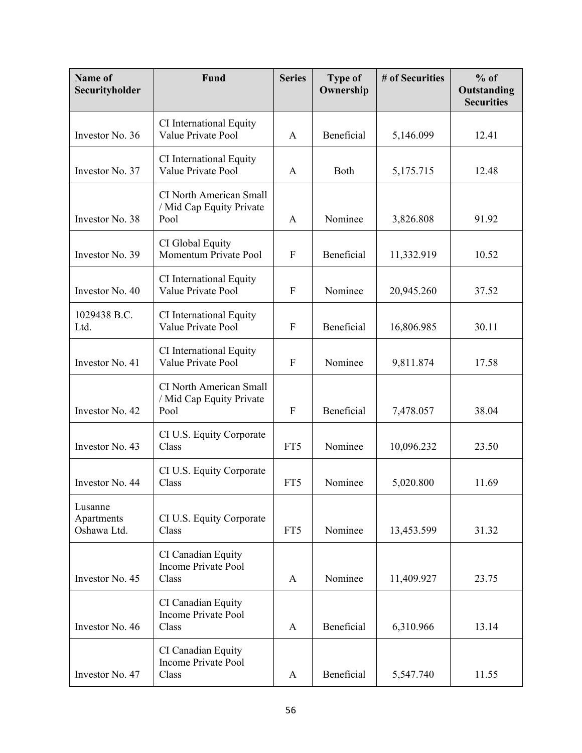| Name of<br>Securityholder            | Fund                                                               | <b>Series</b> | <b>Type of</b><br>Ownership | # of Securities | $%$ of<br>Outstanding<br><b>Securities</b> |
|--------------------------------------|--------------------------------------------------------------------|---------------|-----------------------------|-----------------|--------------------------------------------|
| Investor No. 36                      | CI International Equity<br>Value Private Pool                      | A             | Beneficial                  | 5,146.099       | 12.41                                      |
| Investor No. 37                      | CI International Equity<br>Value Private Pool                      | A             | Both                        | 5,175.715       | 12.48                                      |
| Investor No. 38                      | <b>CI North American Small</b><br>/ Mid Cap Equity Private<br>Pool | A             | Nominee                     | 3,826.808       | 91.92                                      |
| Investor No. 39                      | CI Global Equity<br>Momentum Private Pool                          | $\mathbf{F}$  | Beneficial                  | 11,332.919      | 10.52                                      |
| Investor No. 40                      | CI International Equity<br>Value Private Pool                      | $\mathbf{F}$  | Nominee                     | 20,945.260      | 37.52                                      |
| 1029438 B.C.<br>Ltd.                 | CI International Equity<br>Value Private Pool                      | $\mathbf{F}$  | Beneficial                  | 16,806.985      | 30.11                                      |
| Investor No. 41                      | CI International Equity<br>Value Private Pool                      | $\mathbf{F}$  | Nominee                     | 9,811.874       | 17.58                                      |
| Investor No. 42                      | <b>CI North American Small</b><br>/ Mid Cap Equity Private<br>Pool | $\mathbf F$   | Beneficial                  | 7,478.057       | 38.04                                      |
| Investor No. 43                      | CI U.S. Equity Corporate<br>Class                                  | FT5           | Nominee                     | 10,096.232      | 23.50                                      |
| Investor No. 44                      | CI U.S. Equity Corporate<br>Class                                  | FT5           | Nominee                     | 5,020.800       | 11.69                                      |
| Lusanne<br>Apartments<br>Oshawa Ltd. | CI U.S. Equity Corporate<br>Class                                  | FT5           | Nominee                     | 13,453.599      | 31.32                                      |
| Investor No. 45                      | CI Canadian Equity<br><b>Income Private Pool</b><br>Class          | A             | Nominee                     | 11,409.927      | 23.75                                      |
| Investor No. 46                      | CI Canadian Equity<br><b>Income Private Pool</b><br>Class          | A             | Beneficial                  | 6,310.966       | 13.14                                      |
| Investor No. 47                      | CI Canadian Equity<br><b>Income Private Pool</b><br>Class          | A             | Beneficial                  | 5,547.740       | 11.55                                      |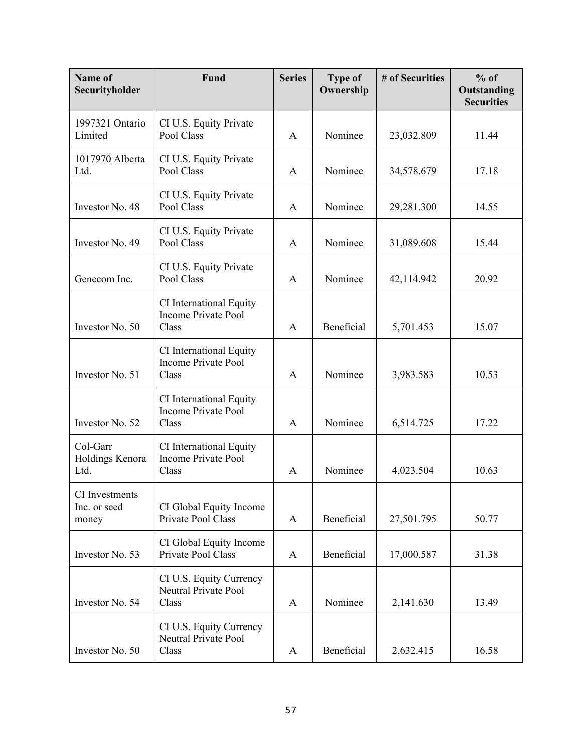| Name of<br>Securityholder               | Fund                                                           | <b>Series</b> | <b>Type of</b><br>Ownership | # of Securities | $%$ of<br>Outstanding<br><b>Securities</b> |
|-----------------------------------------|----------------------------------------------------------------|---------------|-----------------------------|-----------------|--------------------------------------------|
| 1997321 Ontario<br>Limited              | CI U.S. Equity Private<br>Pool Class                           | A             | Nominee                     | 23,032.809      | 11.44                                      |
| 1017970 Alberta<br>Ltd.                 | CI U.S. Equity Private<br>Pool Class                           | A             | Nominee                     | 34,578.679      | 17.18                                      |
| Investor No. 48                         | CI U.S. Equity Private<br>Pool Class                           | A             | Nominee                     | 29,281.300      | 14.55                                      |
| Investor No. 49                         | CI U.S. Equity Private<br>Pool Class                           | A             | Nominee                     | 31,089.608      | 15.44                                      |
| Genecom Inc.                            | CI U.S. Equity Private<br>Pool Class                           | A             | Nominee                     | 42,114.942      | 20.92                                      |
| Investor No. 50                         | CI International Equity<br><b>Income Private Pool</b><br>Class | A             | Beneficial                  | 5,701.453       | 15.07                                      |
| Investor No. 51                         | CI International Equity<br><b>Income Private Pool</b><br>Class | A             | Nominee                     | 3,983.583       | 10.53                                      |
| Investor No. 52                         | CI International Equity<br><b>Income Private Pool</b><br>Class | A             | Nominee                     | 6,514.725       | 17.22                                      |
| Col-Garr<br>Holdings Kenora<br>Ltd.     | CI International Equity<br><b>Income Private Pool</b><br>Class | A             | Nominee                     | 4,023.504       | 10.63                                      |
| CI Investments<br>Inc. or seed<br>money | CI Global Equity Income<br>Private Pool Class                  | A             | Beneficial                  | 27,501.795      | 50.77                                      |
| Investor No. 53                         | CI Global Equity Income<br>Private Pool Class                  | A             | Beneficial                  | 17,000.587      | 31.38                                      |
| Investor No. 54                         | CI U.S. Equity Currency<br>Neutral Private Pool<br>Class       | A             | Nominee                     | 2,141.630       | 13.49                                      |
| Investor No. 50                         | CI U.S. Equity Currency<br>Neutral Private Pool<br>Class       | A             | Beneficial                  | 2,632.415       | 16.58                                      |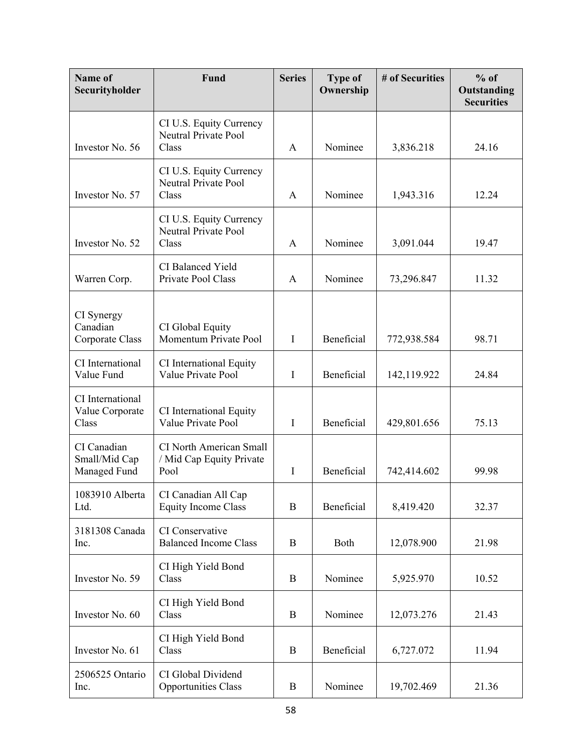| Name of<br>Securityholder                    | Fund                                                               | <b>Series</b> | <b>Type of</b><br>Ownership | # of Securities | $%$ of<br>Outstanding<br><b>Securities</b> |
|----------------------------------------------|--------------------------------------------------------------------|---------------|-----------------------------|-----------------|--------------------------------------------|
| Investor No. 56                              | CI U.S. Equity Currency<br>Neutral Private Pool<br>Class           | A             | Nominee                     | 3,836.218       | 24.16                                      |
| Investor No. 57                              | CI U.S. Equity Currency<br><b>Neutral Private Pool</b><br>Class    | A             | Nominee                     | 1,943.316       | 12.24                                      |
| Investor No. 52                              | CI U.S. Equity Currency<br><b>Neutral Private Pool</b><br>Class    | A             | Nominee                     | 3,091.044       | 19.47                                      |
| Warren Corp.                                 | CI Balanced Yield<br>Private Pool Class                            | $\mathbf{A}$  | Nominee                     | 73,296.847      | 11.32                                      |
| CI Synergy<br>Canadian<br>Corporate Class    | CI Global Equity<br>Momentum Private Pool                          | $\bf{I}$      | Beneficial                  | 772,938.584     | 98.71                                      |
| CI International<br>Value Fund               | CI International Equity<br>Value Private Pool                      | $\mathbf I$   | Beneficial                  | 142,119.922     | 24.84                                      |
| CI International<br>Value Corporate<br>Class | CI International Equity<br>Value Private Pool                      | I             | Beneficial                  | 429,801.656     | 75.13                                      |
| CI Canadian<br>Small/Mid Cap<br>Managed Fund | <b>CI North American Small</b><br>/ Mid Cap Equity Private<br>Pool | $\bf{I}$      | Beneficial                  | 742,414.602     | 99.98                                      |
| 1083910 Alberta<br>Ltd.                      | CI Canadian All Cap<br><b>Equity Income Class</b>                  | $\bf{B}$      | Beneficial                  | 8,419.420       | 32.37                                      |
| 3181308 Canada<br>Inc.                       | CI Conservative<br><b>Balanced Income Class</b>                    | B             | Both                        | 12,078.900      | 21.98                                      |
| Investor No. 59                              | CI High Yield Bond<br>Class                                        | $\mathbf B$   | Nominee                     | 5,925.970       | 10.52                                      |
| Investor No. 60                              | CI High Yield Bond<br>Class                                        | $\mathbf B$   | Nominee                     | 12,073.276      | 21.43                                      |
| Investor No. 61                              | CI High Yield Bond<br>Class                                        | B             | Beneficial                  | 6,727.072       | 11.94                                      |
| 2506525 Ontario<br>Inc.                      | CI Global Dividend<br><b>Opportunities Class</b>                   | $\bf{B}$      | Nominee                     | 19,702.469      | 21.36                                      |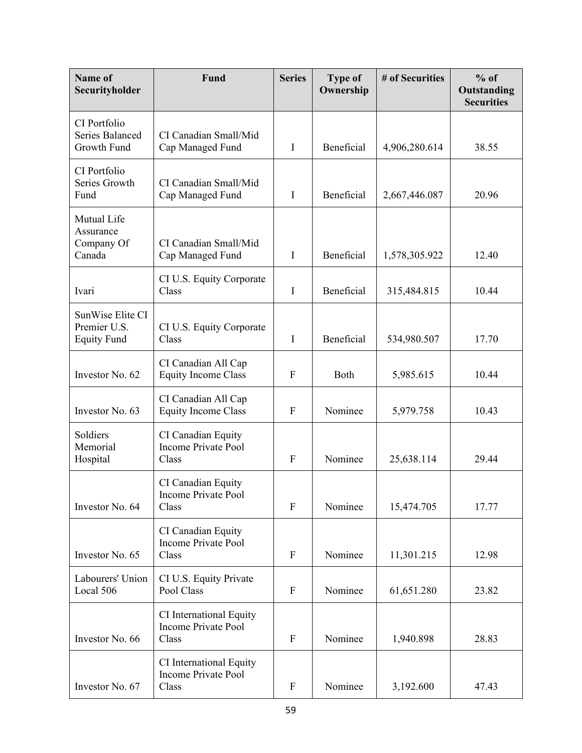| Name of<br>Securityholder                              | Fund                                                           | <b>Series</b>    | <b>Type of</b><br>Ownership | # of Securities | $%$ of<br>Outstanding<br><b>Securities</b> |
|--------------------------------------------------------|----------------------------------------------------------------|------------------|-----------------------------|-----------------|--------------------------------------------|
| CI Portfolio<br>Series Balanced<br>Growth Fund         | CI Canadian Small/Mid<br>Cap Managed Fund                      | $\bf{I}$         | Beneficial                  | 4,906,280.614   | 38.55                                      |
| CI Portfolio<br>Series Growth<br>Fund                  | CI Canadian Small/Mid<br>Cap Managed Fund                      | $\bf{I}$         | Beneficial                  | 2,667,446.087   | 20.96                                      |
| Mutual Life<br>Assurance<br>Company Of<br>Canada       | CI Canadian Small/Mid<br>Cap Managed Fund                      | $\bf{I}$         | Beneficial                  | 1,578,305.922   | 12.40                                      |
| Ivari                                                  | CI U.S. Equity Corporate<br>Class                              | $\mathbf I$      | Beneficial                  | 315,484.815     | 10.44                                      |
| SunWise Elite CI<br>Premier U.S.<br><b>Equity Fund</b> | CI U.S. Equity Corporate<br>Class                              | I                | Beneficial                  | 534,980.507     | 17.70                                      |
| Investor No. 62                                        | CI Canadian All Cap<br><b>Equity Income Class</b>              | F                | Both                        | 5,985.615       | 10.44                                      |
| Investor No. 63                                        | CI Canadian All Cap<br><b>Equity Income Class</b>              | F                | Nominee                     | 5,979.758       | 10.43                                      |
| Soldiers<br>Memorial<br>Hospital                       | CI Canadian Equity<br><b>Income Private Pool</b><br>Class      | F                | Nominee                     | 25,638.114      | 29.44                                      |
| Investor No. 64                                        | CI Canadian Equity<br>Income Private Pool<br>Class             | ${\bf F}$        | Nominee                     | 15,474.705      | 17.77                                      |
| Investor No. 65                                        | CI Canadian Equity<br><b>Income Private Pool</b><br>Class      | $\mathbf{F}$     | Nominee                     | 11,301.215      | 12.98                                      |
| Labourers' Union<br>Local 506                          | CI U.S. Equity Private<br>Pool Class                           | ${\bf F}$        | Nominee                     | 61,651.280      | 23.82                                      |
| Investor No. 66                                        | CI International Equity<br><b>Income Private Pool</b><br>Class | $\mathbf{F}$     | Nominee                     | 1,940.898       | 28.83                                      |
| Investor No. 67                                        | CI International Equity<br>Income Private Pool<br>Class        | $\boldsymbol{F}$ | Nominee                     | 3,192.600       | 47.43                                      |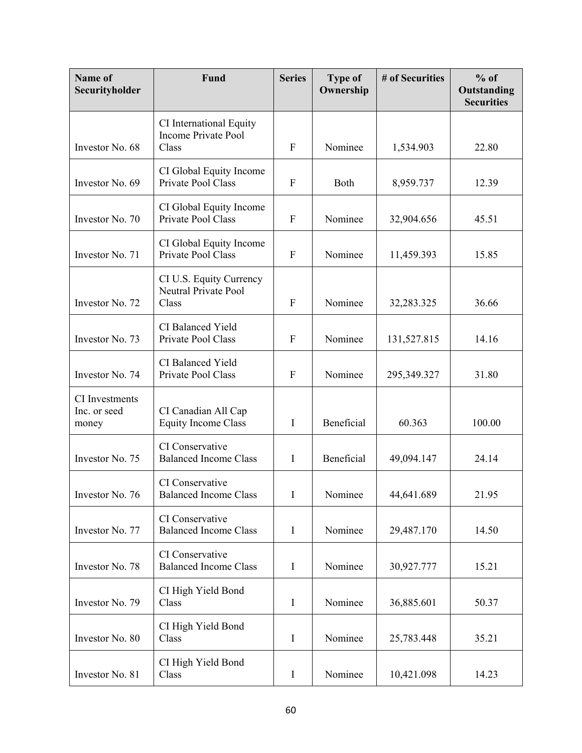| Name of<br>Securityholder               | Fund                                                           | <b>Series</b> | <b>Type of</b><br>Ownership | # of Securities | $%$ of<br>Outstanding<br><b>Securities</b> |
|-----------------------------------------|----------------------------------------------------------------|---------------|-----------------------------|-----------------|--------------------------------------------|
| Investor No. 68                         | CI International Equity<br><b>Income Private Pool</b><br>Class | ${\bf F}$     | Nominee                     | 1,534.903       | 22.80                                      |
| Investor No. 69                         | CI Global Equity Income<br>Private Pool Class                  | $\mathbf F$   | Both                        | 8,959.737       | 12.39                                      |
| Investor No. 70                         | CI Global Equity Income<br>Private Pool Class                  | $\mathbf{F}$  | Nominee                     | 32,904.656      | 45.51                                      |
| Investor No. 71                         | CI Global Equity Income<br>Private Pool Class                  | ${\bf F}$     | Nominee                     | 11,459.393      | 15.85                                      |
| Investor No. 72                         | CI U.S. Equity Currency<br>Neutral Private Pool<br>Class       | $\mathbf F$   | Nominee                     | 32,283.325      | 36.66                                      |
| Investor No. 73                         | CI Balanced Yield<br>Private Pool Class                        | $\mathbf{F}$  | Nominee                     | 131,527.815     | 14.16                                      |
| Investor No. 74                         | CI Balanced Yield<br>Private Pool Class                        | $\mathbf{F}$  | Nominee                     | 295,349.327     | 31.80                                      |
| CI Investments<br>Inc. or seed<br>money | CI Canadian All Cap<br><b>Equity Income Class</b>              | $\bf{I}$      | Beneficial                  | 60.363          | 100.00                                     |
| Investor No. 75                         | CI Conservative<br><b>Balanced Income Class</b>                | $\mathbf I$   | Beneficial                  | 49,094.147      | 24.14                                      |
| Investor No. 76                         | CI Conservative<br><b>Balanced Income Class</b>                | $\bf{I}$      | Nominee                     | 44,641.689      | 21.95                                      |
| Investor No. 77                         | CI Conservative<br><b>Balanced Income Class</b>                | $\mathbf I$   | Nominee                     | 29,487.170      | 14.50                                      |
| Investor No. 78                         | CI Conservative<br><b>Balanced Income Class</b>                | $\bf{I}$      | Nominee                     | 30,927.777      | 15.21                                      |
| Investor No. 79                         | CI High Yield Bond<br>Class                                    | $\mathbf I$   | Nominee                     | 36,885.601      | 50.37                                      |
| Investor No. 80                         | CI High Yield Bond<br>Class                                    | $\mathbf I$   | Nominee                     | 25,783.448      | 35.21                                      |
| Investor No. 81                         | CI High Yield Bond<br>Class                                    | $\bf{I}$      | Nominee                     | 10,421.098      | 14.23                                      |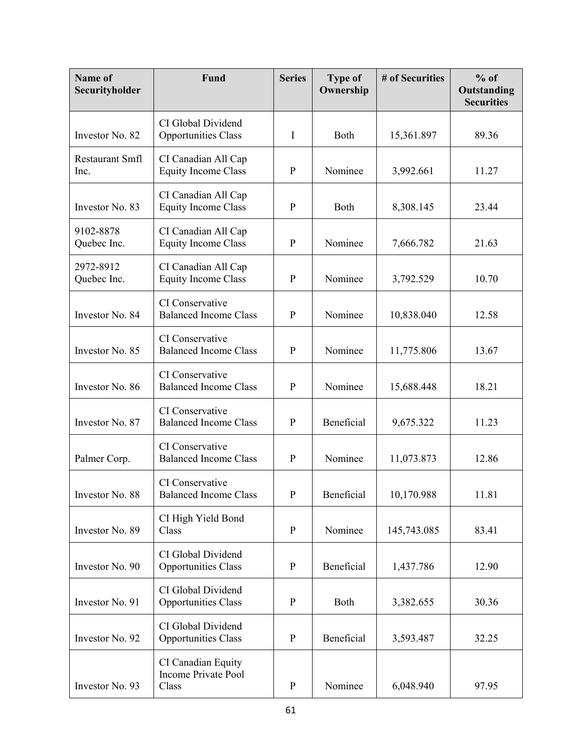| Name of<br>Securityholder | Fund                                               | <b>Series</b> | <b>Type of</b><br>Ownership | # of Securities | $%$ of<br>Outstanding<br><b>Securities</b> |
|---------------------------|----------------------------------------------------|---------------|-----------------------------|-----------------|--------------------------------------------|
| Investor No. 82           | CI Global Dividend<br><b>Opportunities Class</b>   | $\mathbf I$   | Both                        | 15,361.897      | 89.36                                      |
| Restaurant Smfl<br>Inc.   | CI Canadian All Cap<br><b>Equity Income Class</b>  | $\mathbf{P}$  | Nominee                     | 3,992.661       | 11.27                                      |
| Investor No. 83           | CI Canadian All Cap<br><b>Equity Income Class</b>  | $\mathbf{P}$  | Both                        | 8,308.145       | 23.44                                      |
| 9102-8878<br>Quebec Inc.  | CI Canadian All Cap<br><b>Equity Income Class</b>  | $\mathbf{P}$  | Nominee                     | 7,666.782       | 21.63                                      |
| 2972-8912<br>Quebec Inc.  | CI Canadian All Cap<br><b>Equity Income Class</b>  | $\mathbf{P}$  | Nominee                     | 3,792.529       | 10.70                                      |
| Investor No. 84           | CI Conservative<br><b>Balanced Income Class</b>    | $\mathbf{P}$  | Nominee                     | 10,838.040      | 12.58                                      |
| Investor No. 85           | CI Conservative<br><b>Balanced Income Class</b>    | P             | Nominee                     | 11,775.806      | 13.67                                      |
| Investor No. 86           | CI Conservative<br><b>Balanced Income Class</b>    | $\mathbf{P}$  | Nominee                     | 15,688.448      | 18.21                                      |
| Investor No. 87           | CI Conservative<br><b>Balanced Income Class</b>    | $\mathbf{P}$  | Beneficial                  | 9,675.322       | 11.23                                      |
| Palmer Corp.              | CI Conservative<br><b>Balanced Income Class</b>    | P             | Nominee                     | 11,073.873      | 12.86                                      |
| Investor No. 88           | CI Conservative<br><b>Balanced Income Class</b>    | ${\bf P}$     | Beneficial                  | 10,170.988      | 11.81                                      |
| Investor No. 89           | CI High Yield Bond<br>Class                        | $\mathbf{P}$  | Nominee                     | 145,743.085     | 83.41                                      |
| Investor No. 90           | CI Global Dividend<br><b>Opportunities Class</b>   | $\mathbf{P}$  | Beneficial                  | 1,437.786       | 12.90                                      |
| Investor No. 91           | CI Global Dividend<br><b>Opportunities Class</b>   | $\mathbf{P}$  | Both                        | 3,382.655       | 30.36                                      |
| Investor No. 92           | CI Global Dividend<br><b>Opportunities Class</b>   | $\mathbf{P}$  | Beneficial                  | 3,593.487       | 32.25                                      |
| Investor No. 93           | CI Canadian Equity<br>Income Private Pool<br>Class | $\mathbf{P}$  | Nominee                     | 6,048.940       | 97.95                                      |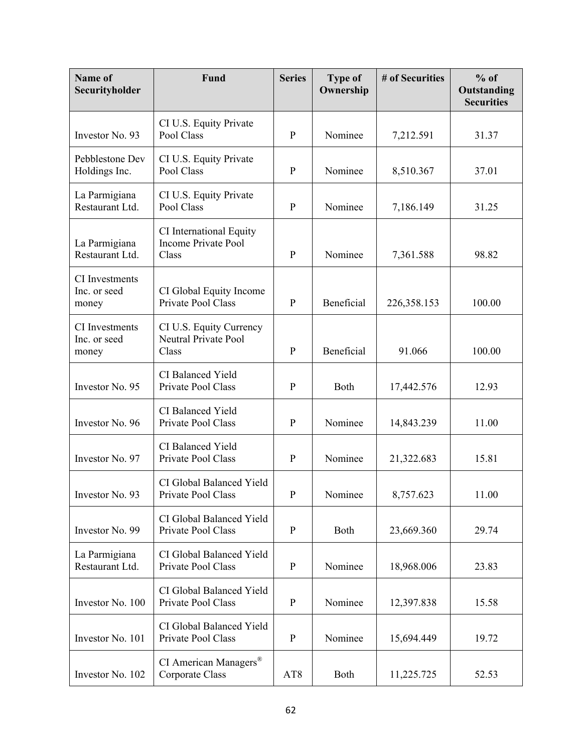| Name of<br>Securityholder                      | Fund                                                           | <b>Series</b>   | <b>Type of</b><br>Ownership | # of Securities | $%$ of<br>Outstanding<br><b>Securities</b> |
|------------------------------------------------|----------------------------------------------------------------|-----------------|-----------------------------|-----------------|--------------------------------------------|
| Investor No. 93                                | CI U.S. Equity Private<br>Pool Class                           | $\mathbf{P}$    | Nominee                     | 7,212.591       | 31.37                                      |
| Pebblestone Dev<br>Holdings Inc.               | CI U.S. Equity Private<br>Pool Class                           | $\mathbf{P}$    | Nominee                     | 8,510.367       | 37.01                                      |
| La Parmigiana<br>Restaurant Ltd.               | CI U.S. Equity Private<br>Pool Class                           | $\mathbf{P}$    | Nominee                     | 7,186.149       | 31.25                                      |
| La Parmigiana<br>Restaurant Ltd.               | CI International Equity<br><b>Income Private Pool</b><br>Class | $\mathbf{P}$    | Nominee                     | 7,361.588       | 98.82                                      |
| CI Investments<br>Inc. or seed<br>money        | CI Global Equity Income<br>Private Pool Class                  | $\mathbf{P}$    | Beneficial                  | 226,358.153     | 100.00                                     |
| <b>CI</b> Investments<br>Inc. or seed<br>money | CI U.S. Equity Currency<br>Neutral Private Pool<br>Class       | P               | Beneficial                  | 91.066          | 100.00                                     |
| Investor No. 95                                | CI Balanced Yield<br>Private Pool Class                        | $\mathbf P$     | Both                        | 17,442.576      | 12.93                                      |
| Investor No. 96                                | CI Balanced Yield<br>Private Pool Class                        | $\mathbf{P}$    | Nominee                     | 14,843.239      | 11.00                                      |
| Investor No. 97                                | CI Balanced Yield<br>Private Pool Class                        | P               | Nominee                     | 21,322.683      | 15.81                                      |
| Investor No. 93                                | CI Global Balanced Yield<br>Private Pool Class                 | $\mathbf{P}$    | Nominee                     | 8,757.623       | 11.00                                      |
| Investor No. 99                                | CI Global Balanced Yield<br>Private Pool Class                 | $\mathbf{P}$    | Both                        | 23,669.360      | 29.74                                      |
| La Parmigiana<br>Restaurant Ltd.               | CI Global Balanced Yield<br>Private Pool Class                 | $\mathbf{P}$    | Nominee                     | 18,968.006      | 23.83                                      |
| Investor No. 100                               | CI Global Balanced Yield<br>Private Pool Class                 | $\mathbf{P}$    | Nominee                     | 12,397.838      | 15.58                                      |
| Investor No. 101                               | CI Global Balanced Yield<br>Private Pool Class                 | $\mathbf{P}$    | Nominee                     | 15,694.449      | 19.72                                      |
| Investor No. 102                               | CI American Managers®<br>Corporate Class                       | AT <sub>8</sub> | Both                        | 11,225.725      | 52.53                                      |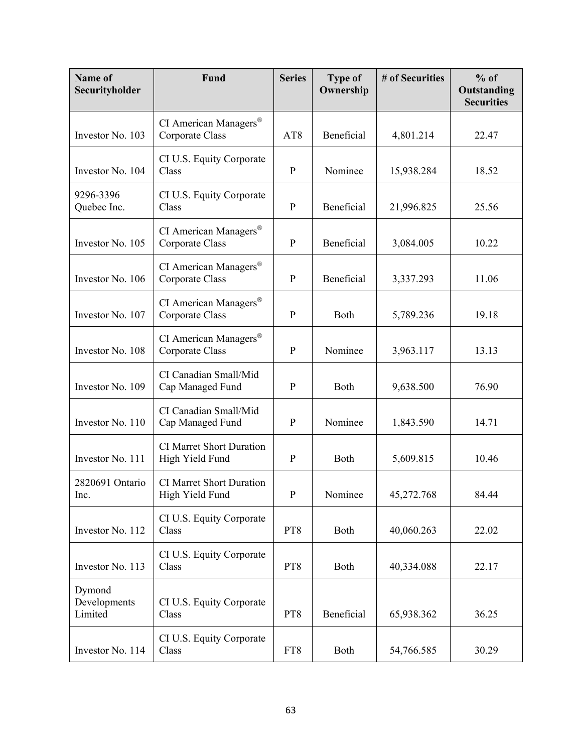| Name of<br>Securityholder         | Fund                                               | <b>Series</b>   | <b>Type of</b><br>Ownership | # of Securities | $%$ of<br>Outstanding<br><b>Securities</b> |
|-----------------------------------|----------------------------------------------------|-----------------|-----------------------------|-----------------|--------------------------------------------|
| Investor No. 103                  | CI American Managers®<br>Corporate Class           | AT <sub>8</sub> | Beneficial                  | 4,801.214       | 22.47                                      |
| Investor No. 104                  | CI U.S. Equity Corporate<br>Class                  | $\mathbf{P}$    | Nominee                     | 15,938.284      | 18.52                                      |
| 9296-3396<br>Quebec Inc.          | CI U.S. Equity Corporate<br>Class                  | $\mathbf{P}$    | Beneficial                  | 21,996.825      | 25.56                                      |
| Investor No. 105                  | CI American Managers®<br>Corporate Class           | $\mathbf P$     | Beneficial                  | 3,084.005       | 10.22                                      |
| Investor No. 106                  | CI American Managers®<br>Corporate Class           | $\mathbf{P}$    | Beneficial                  | 3,337.293       | 11.06                                      |
| Investor No. 107                  | CI American Managers®<br>Corporate Class           | $\mathbf{P}$    | Both                        | 5,789.236       | 19.18                                      |
| Investor No. 108                  | CI American Managers®<br>Corporate Class           | $\mathbf{P}$    | Nominee                     | 3,963.117       | 13.13                                      |
| Investor No. 109                  | CI Canadian Small/Mid<br>Cap Managed Fund          | P               | Both                        | 9,638.500       | 76.90                                      |
| Investor No. 110                  | CI Canadian Small/Mid<br>Cap Managed Fund          | $\mathbf{P}$    | Nominee                     | 1,843.590       | 14.71                                      |
| Investor No. 111                  | <b>CI Marret Short Duration</b><br>High Yield Fund | P               | Both                        | 5,609.815       | 10.46                                      |
| 2820691 Ontario<br>Inc.           | <b>CI Marret Short Duration</b><br>High Yield Fund | $\mathbf{P}$    | Nominee                     | 45,272.768      | 84.44                                      |
| Investor No. 112                  | CI U.S. Equity Corporate<br>Class                  | PT8             | Both                        | 40,060.263      | 22.02                                      |
| Investor No. 113                  | CI U.S. Equity Corporate<br>Class                  | PT8             | Both                        | 40,334.088      | 22.17                                      |
| Dymond<br>Developments<br>Limited | CI U.S. Equity Corporate<br>Class                  | PT <sub>8</sub> | Beneficial                  | 65,938.362      | 36.25                                      |
| Investor No. 114                  | CI U.S. Equity Corporate<br>Class                  | FT8             | Both                        | 54,766.585      | 30.29                                      |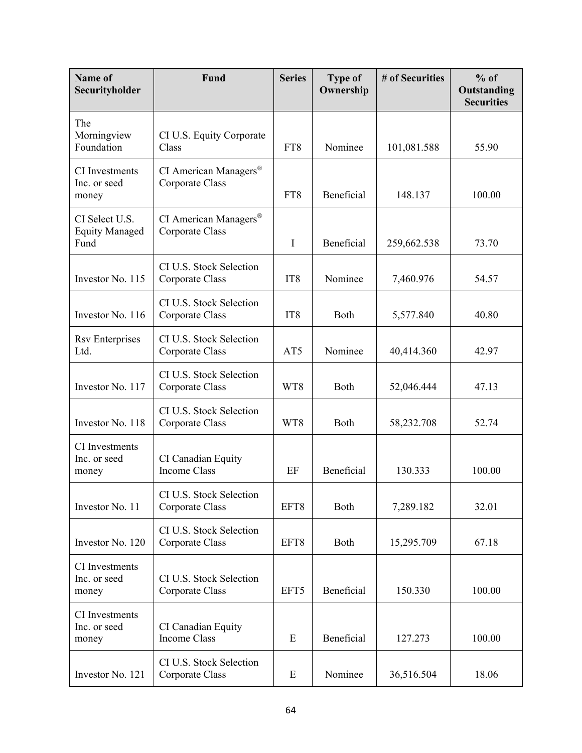| Name of<br>Securityholder                       | Fund                                       | <b>Series</b>   | <b>Type of</b><br>Ownership | # of Securities | $%$ of<br>Outstanding<br><b>Securities</b> |
|-------------------------------------------------|--------------------------------------------|-----------------|-----------------------------|-----------------|--------------------------------------------|
| The<br>Morningview<br>Foundation                | CI U.S. Equity Corporate<br>Class          | FT8             | Nominee                     | 101,081.588     | 55.90                                      |
| <b>CI</b> Investments<br>Inc. or seed<br>money  | CI American Managers®<br>Corporate Class   | FT8             | Beneficial                  | 148.137         | 100.00                                     |
| CI Select U.S.<br><b>Equity Managed</b><br>Fund | CI American Managers®<br>Corporate Class   | $\mathbf I$     | Beneficial                  | 259,662.538     | 73.70                                      |
| Investor No. 115                                | CI U.S. Stock Selection<br>Corporate Class | IT <sub>8</sub> | Nominee                     | 7,460.976       | 54.57                                      |
| Investor No. 116                                | CI U.S. Stock Selection<br>Corporate Class | IT <sub>8</sub> | Both                        | 5,577.840       | 40.80                                      |
| <b>Rsv Enterprises</b><br>Ltd.                  | CI U.S. Stock Selection<br>Corporate Class | AT5             | Nominee                     | 40,414.360      | 42.97                                      |
| Investor No. 117                                | CI U.S. Stock Selection<br>Corporate Class | WT8             | Both                        | 52,046.444      | 47.13                                      |
| Investor No. 118                                | CI U.S. Stock Selection<br>Corporate Class | WT8             | Both                        | 58,232.708      | 52.74                                      |
| CI Investments<br>Inc. or seed<br>money         | CI Canadian Equity<br>Income Class         | EF              | Beneficial                  | 130.333         | 100.00                                     |
| Investor No. 11                                 | CI U.S. Stock Selection<br>Corporate Class | EFT8            | Both                        | 7,289.182       | 32.01                                      |
| Investor No. 120                                | CI U.S. Stock Selection<br>Corporate Class | EFT8            | Both                        | 15,295.709      | 67.18                                      |
| CI Investments<br>Inc. or seed<br>money         | CI U.S. Stock Selection<br>Corporate Class | EFT5            | Beneficial                  | 150.330         | 100.00                                     |
| CI Investments<br>Inc. or seed<br>money         | CI Canadian Equity<br>Income Class         | E               | Beneficial                  | 127.273         | 100.00                                     |
| Investor No. 121                                | CI U.S. Stock Selection<br>Corporate Class | E               | Nominee                     | 36,516.504      | 18.06                                      |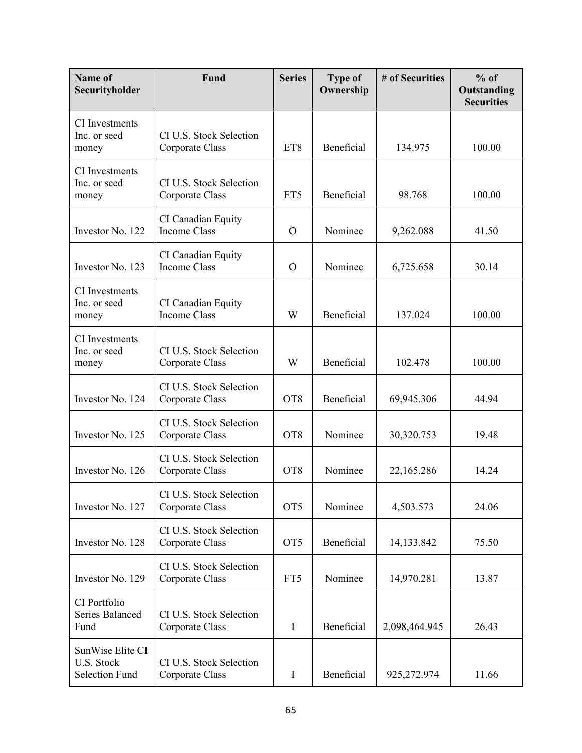| Name of<br>Securityholder                               | Fund                                       | <b>Series</b>   | <b>Type of</b><br>Ownership | # of Securities | $%$ of<br>Outstanding<br><b>Securities</b> |
|---------------------------------------------------------|--------------------------------------------|-----------------|-----------------------------|-----------------|--------------------------------------------|
| CI Investments<br>Inc. or seed<br>money                 | CI U.S. Stock Selection<br>Corporate Class | ET8             | Beneficial                  | 134.975         | 100.00                                     |
| CI Investments<br>Inc. or seed<br>money                 | CI U.S. Stock Selection<br>Corporate Class | ET5             | Beneficial                  | 98.768          | 100.00                                     |
| Investor No. 122                                        | CI Canadian Equity<br><b>Income Class</b>  | $\Omega$        | Nominee                     | 9,262.088       | 41.50                                      |
| Investor No. 123                                        | CI Canadian Equity<br><b>Income Class</b>  | $\mathcal{O}$   | Nominee                     | 6,725.658       | 30.14                                      |
| CI Investments<br>Inc. or seed<br>money                 | CI Canadian Equity<br><b>Income Class</b>  | W               | Beneficial                  | 137.024         | 100.00                                     |
| <b>CI</b> Investments<br>Inc. or seed<br>money          | CI U.S. Stock Selection<br>Corporate Class | W               | Beneficial                  | 102.478         | 100.00                                     |
| Investor No. 124                                        | CI U.S. Stock Selection<br>Corporate Class | OT <sub>8</sub> | Beneficial                  | 69,945.306      | 44.94                                      |
| Investor No. 125                                        | CI U.S. Stock Selection<br>Corporate Class | OT <sub>8</sub> | Nominee                     | 30,320.753      | 19.48                                      |
| Investor No. 126                                        | CI U.S. Stock Selection<br>Corporate Class | OT <sub>8</sub> | Nominee                     | 22,165.286      | 14.24                                      |
| Investor No. 127                                        | CI U.S. Stock Selection<br>Corporate Class | OT <sub>5</sub> | Nominee                     | 4,503.573       | 24.06                                      |
| Investor No. 128                                        | CI U.S. Stock Selection<br>Corporate Class | OT <sub>5</sub> | Beneficial                  | 14, 133. 842    | 75.50                                      |
| Investor No. 129                                        | CI U.S. Stock Selection<br>Corporate Class | FT5             | Nominee                     | 14,970.281      | 13.87                                      |
| CI Portfolio<br>Series Balanced<br>Fund                 | CI U.S. Stock Selection<br>Corporate Class | $\mathbf I$     | Beneficial                  | 2,098,464.945   | 26.43                                      |
| SunWise Elite CI<br>U.S. Stock<br><b>Selection Fund</b> | CI U.S. Stock Selection<br>Corporate Class | $\bf{I}$        | Beneficial                  | 925,272.974     | 11.66                                      |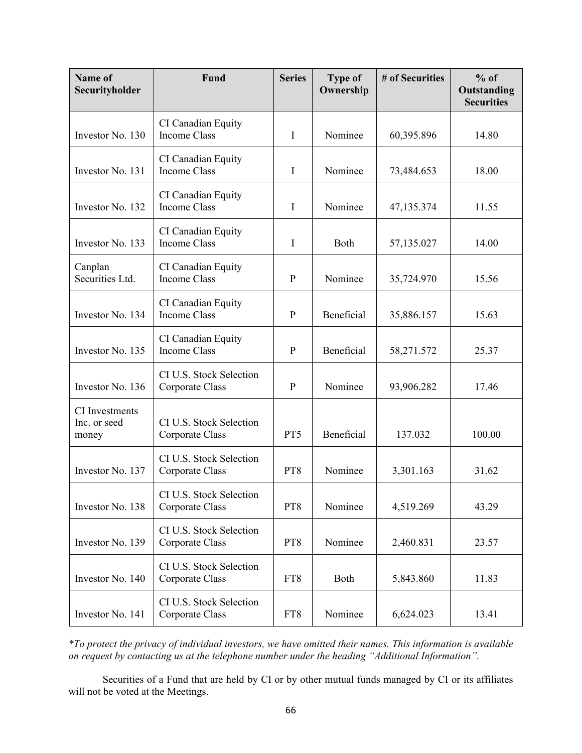| Name of<br>Securityholder               | <b>Fund</b>                                | <b>Series</b> | <b>Type of</b><br>Ownership | # of Securities | $%$ of<br>Outstanding<br><b>Securities</b> |
|-----------------------------------------|--------------------------------------------|---------------|-----------------------------|-----------------|--------------------------------------------|
| Investor No. 130                        | CI Canadian Equity<br><b>Income Class</b>  | $\mathbf I$   | Nominee                     | 60,395.896      | 14.80                                      |
| Investor No. 131                        | CI Canadian Equity<br><b>Income Class</b>  | $\bf{I}$      | Nominee                     | 73,484.653      | 18.00                                      |
| Investor No. 132                        | CI Canadian Equity<br><b>Income Class</b>  | $\mathbf I$   | Nominee                     | 47,135.374      | 11.55                                      |
| Investor No. 133                        | CI Canadian Equity<br><b>Income Class</b>  | $\mathbf I$   | Both                        | 57,135.027      | 14.00                                      |
| Canplan<br>Securities Ltd.              | CI Canadian Equity<br><b>Income Class</b>  | $\mathbf{P}$  | Nominee                     | 35,724.970      | 15.56                                      |
| Investor No. 134                        | CI Canadian Equity<br><b>Income Class</b>  | $\mathbf{P}$  | Beneficial                  | 35,886.157      | 15.63                                      |
| Investor No. 135                        | CI Canadian Equity<br><b>Income Class</b>  | $\mathbf{P}$  | Beneficial                  | 58,271.572      | 25.37                                      |
| Investor No. 136                        | CI U.S. Stock Selection<br>Corporate Class | P             | Nominee                     | 93,906.282      | 17.46                                      |
| CI Investments<br>Inc. or seed<br>money | CI U.S. Stock Selection<br>Corporate Class | PT5           | Beneficial                  | 137.032         | 100.00                                     |
| Investor No. 137                        | CI U.S. Stock Selection<br>Corporate Class | PT8           | Nominee                     | 3,301.163       | 31.62                                      |
| Investor No. 138                        | CI U.S. Stock Selection<br>Corporate Class | PT8           | Nominee                     | 4,519.269       | 43.29                                      |
| Investor No. 139                        | CI U.S. Stock Selection<br>Corporate Class | PT8           | Nominee                     | 2,460.831       | 23.57                                      |
| Investor No. 140                        | CI U.S. Stock Selection<br>Corporate Class | FT8           | Both                        | 5,843.860       | 11.83                                      |
| Investor No. 141                        | CI U.S. Stock Selection<br>Corporate Class | FT8           | Nominee                     | 6,624.023       | 13.41                                      |

*\*To protect the privacy of individual investors, we have omitted their names. This information is available on request by contacting us at the telephone number under the heading "Additional Information".*

Securities of a Fund that are held by CI or by other mutual funds managed by CI or its affiliates will not be voted at the Meetings.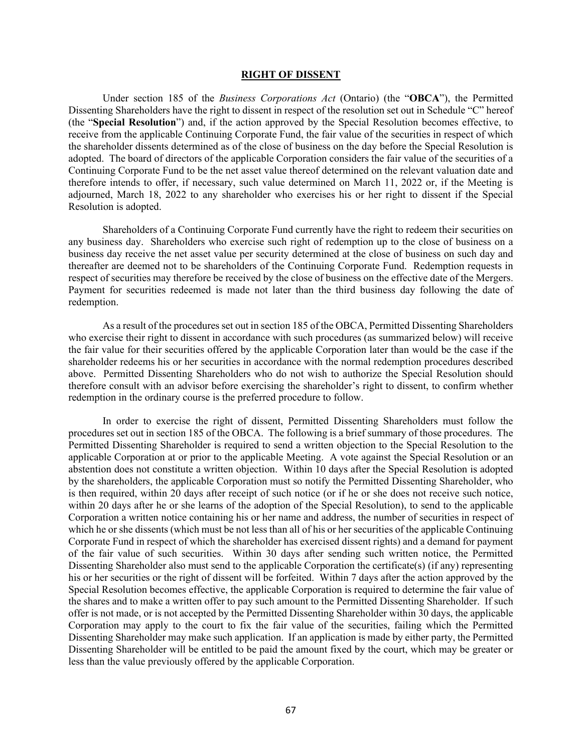#### **RIGHT OF DISSENT**

Under section 185 of the *Business Corporations Act* (Ontario) (the "**OBCA**"), the Permitted Dissenting Shareholders have the right to dissent in respect of the resolution set out in Schedule "C" hereof (the "**Special Resolution**") and, if the action approved by the Special Resolution becomes effective, to receive from the applicable Continuing Corporate Fund, the fair value of the securities in respect of which the shareholder dissents determined as of the close of business on the day before the Special Resolution is adopted. The board of directors of the applicable Corporation considers the fair value of the securities of a Continuing Corporate Fund to be the net asset value thereof determined on the relevant valuation date and therefore intends to offer, if necessary, such value determined on March 11, 2022 or, if the Meeting is adjourned, March 18, 2022 to any shareholder who exercises his or her right to dissent if the Special Resolution is adopted.

Shareholders of a Continuing Corporate Fund currently have the right to redeem their securities on any business day. Shareholders who exercise such right of redemption up to the close of business on a business day receive the net asset value per security determined at the close of business on such day and thereafter are deemed not to be shareholders of the Continuing Corporate Fund. Redemption requests in respect of securities may therefore be received by the close of business on the effective date of the Mergers. Payment for securities redeemed is made not later than the third business day following the date of redemption.

As a result of the procedures set out in section 185 of the OBCA, Permitted Dissenting Shareholders who exercise their right to dissent in accordance with such procedures (as summarized below) will receive the fair value for their securities offered by the applicable Corporation later than would be the case if the shareholder redeems his or her securities in accordance with the normal redemption procedures described above. Permitted Dissenting Shareholders who do not wish to authorize the Special Resolution should therefore consult with an advisor before exercising the shareholder's right to dissent, to confirm whether redemption in the ordinary course is the preferred procedure to follow.

In order to exercise the right of dissent, Permitted Dissenting Shareholders must follow the procedures set out in section 185 of the OBCA. The following is a brief summary of those procedures. The Permitted Dissenting Shareholder is required to send a written objection to the Special Resolution to the applicable Corporation at or prior to the applicable Meeting. A vote against the Special Resolution or an abstention does not constitute a written objection. Within 10 days after the Special Resolution is adopted by the shareholders, the applicable Corporation must so notify the Permitted Dissenting Shareholder, who is then required, within 20 days after receipt of such notice (or if he or she does not receive such notice, within 20 days after he or she learns of the adoption of the Special Resolution), to send to the applicable Corporation a written notice containing his or her name and address, the number of securities in respect of which he or she dissents (which must be not less than all of his or her securities of the applicable Continuing Corporate Fund in respect of which the shareholder has exercised dissent rights) and a demand for payment of the fair value of such securities. Within 30 days after sending such written notice, the Permitted Dissenting Shareholder also must send to the applicable Corporation the certificate(s) (if any) representing his or her securities or the right of dissent will be forfeited. Within 7 days after the action approved by the Special Resolution becomes effective, the applicable Corporation is required to determine the fair value of the shares and to make a written offer to pay such amount to the Permitted Dissenting Shareholder. If such offer is not made, or is not accepted by the Permitted Dissenting Shareholder within 30 days, the applicable Corporation may apply to the court to fix the fair value of the securities, failing which the Permitted Dissenting Shareholder may make such application. If an application is made by either party, the Permitted Dissenting Shareholder will be entitled to be paid the amount fixed by the court, which may be greater or less than the value previously offered by the applicable Corporation.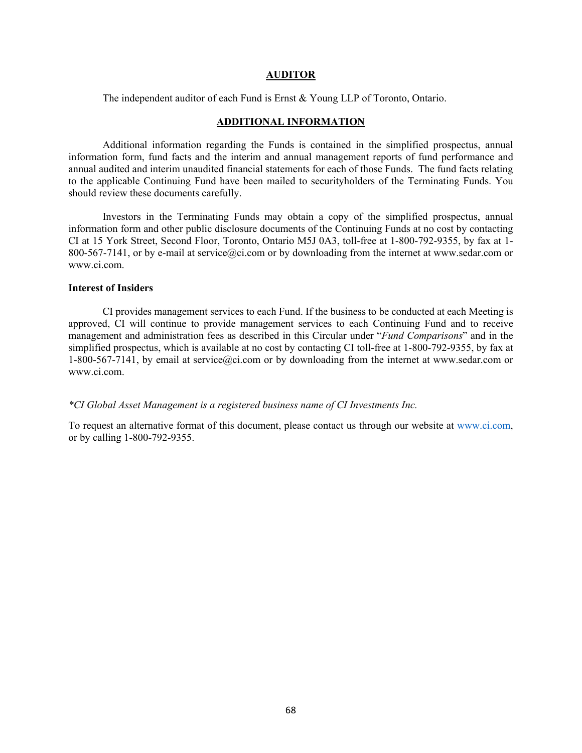#### **AUDITOR**

The independent auditor of each Fund is Ernst & Young LLP of Toronto, Ontario.

# **ADDITIONAL INFORMATION**

Additional information regarding the Funds is contained in the simplified prospectus, annual information form, fund facts and the interim and annual management reports of fund performance and annual audited and interim unaudited financial statements for each of those Funds. The fund facts relating to the applicable Continuing Fund have been mailed to securityholders of the Terminating Funds. You should review these documents carefully.

Investors in the Terminating Funds may obtain a copy of the simplified prospectus, annual information form and other public disclosure documents of the Continuing Funds at no cost by contacting CI at 15 York Street, Second Floor, Toronto, Ontario M5J 0A3, toll-free at 1-800-792-9355, by fax at 1- 800-567-7141, or by e-mail at service@ci.com or by downloading from the internet at www.sedar.com or www.ci.com.

#### **Interest of Insiders**

CI provides management services to each Fund. If the business to be conducted at each Meeting is approved, CI will continue to provide management services to each Continuing Fund and to receive management and administration fees as described in this Circular under "*Fund Comparisons*" and in the simplified prospectus, which is available at no cost by contacting CI toll-free at 1-800-792-9355, by fax at 1-800-567-7141, by email at service@ci.com or by downloading from the internet at www.sedar.com or www.ci.com.

#### *\*CI Global Asset Management is a registered business name of CI Investments Inc.*

To request an alternative format of this document, please contact us through our website at www.ci.com, or by calling 1-800-792-9355.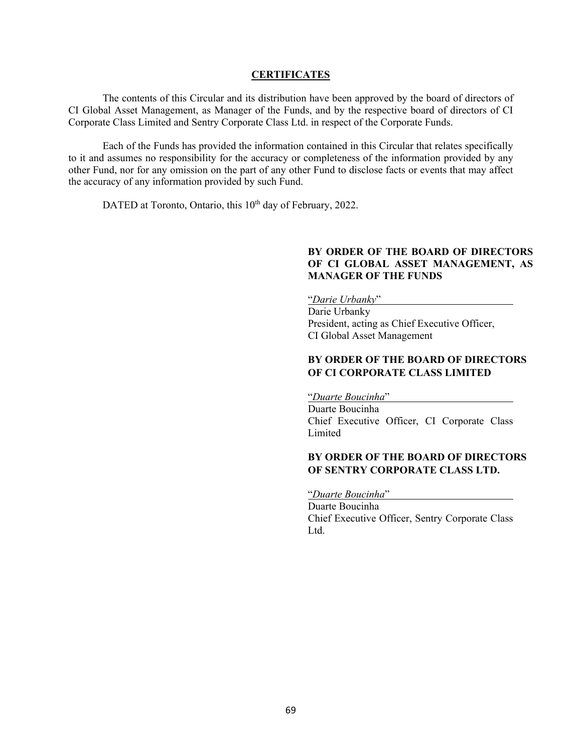#### **CERTIFICATES**

The contents of this Circular and its distribution have been approved by the board of directors of CI Global Asset Management, as Manager of the Funds, and by the respective board of directors of CI Corporate Class Limited and Sentry Corporate Class Ltd. in respect of the Corporate Funds.

Each of the Funds has provided the information contained in this Circular that relates specifically to it and assumes no responsibility for the accuracy or completeness of the information provided by any other Fund, nor for any omission on the part of any other Fund to disclose facts or events that may affect the accuracy of any information provided by such Fund.

DATED at Toronto, Ontario, this  $10<sup>th</sup>$  day of February, 2022.

### **BY ORDER OF THE BOARD OF DIRECTORS OF CI GLOBAL ASSET MANAGEMENT, AS MANAGER OF THE FUNDS**

"*Darie Urbanky*"

Darie Urbanky President, acting as Chief Executive Officer, CI Global Asset Management

# **BY ORDER OF THE BOARD OF DIRECTORS OF CI CORPORATE CLASS LIMITED**

"*Duarte Boucinha*" Duarte Boucinha Chief Executive Officer, CI Corporate Class Limited

# **BY ORDER OF THE BOARD OF DIRECTORS OF SENTRY CORPORATE CLASS LTD.**

"*Duarte Boucinha*" Duarte Boucinha Chief Executive Officer, Sentry Corporate Class Ltd.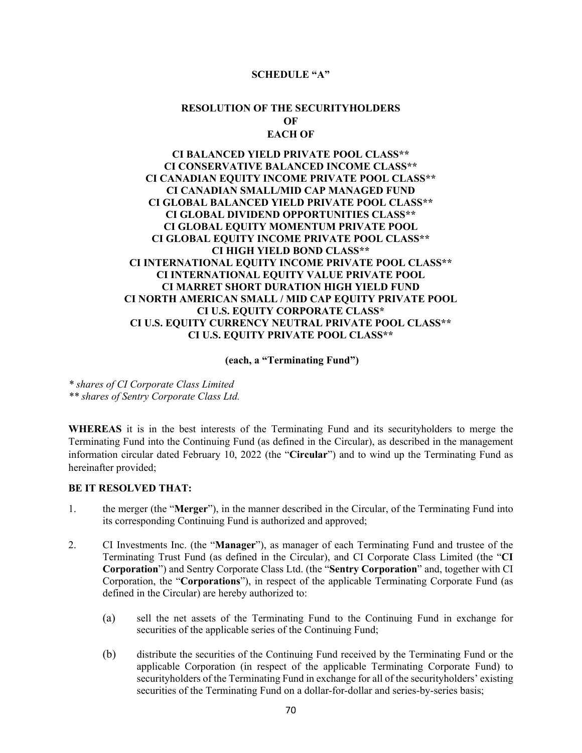#### **SCHEDULE "A"**

# **RESOLUTION OF THE SECURITYHOLDERS OF EACH OF**

# **CI BALANCED YIELD PRIVATE POOL CLASS\*\* CI CONSERVATIVE BALANCED INCOME CLASS\*\* CI CANADIAN EQUITY INCOME PRIVATE POOL CLASS\*\* CI CANADIAN SMALL/MID CAP MANAGED FUND CI GLOBAL BALANCED YIELD PRIVATE POOL CLASS\*\* CI GLOBAL DIVIDEND OPPORTUNITIES CLASS\*\* CI GLOBAL EQUITY MOMENTUM PRIVATE POOL CI GLOBAL EQUITY INCOME PRIVATE POOL CLASS\*\* CI HIGH YIELD BOND CLASS\*\* CI INTERNATIONAL EQUITY INCOME PRIVATE POOL CLASS\*\* CI INTERNATIONAL EQUITY VALUE PRIVATE POOL CI MARRET SHORT DURATION HIGH YIELD FUND CI NORTH AMERICAN SMALL / MID CAP EQUITY PRIVATE POOL CI U.S. EQUITY CORPORATE CLASS\* CI U.S. EQUITY CURRENCY NEUTRAL PRIVATE POOL CLASS\*\* CI U.S. EQUITY PRIVATE POOL CLASS\*\***

**(each, a "Terminating Fund")**

*\* shares of CI Corporate Class Limited \*\* shares of Sentry Corporate Class Ltd.*

**WHEREAS** it is in the best interests of the Terminating Fund and its securityholders to merge the Terminating Fund into the Continuing Fund (as defined in the Circular), as described in the management information circular dated February 10, 2022 (the "**Circular**") and to wind up the Terminating Fund as hereinafter provided;

### **BE IT RESOLVED THAT:**

- 1. the merger (the "**Merger**"), in the manner described in the Circular, of the Terminating Fund into its corresponding Continuing Fund is authorized and approved;
- 2. CI Investments Inc. (the "**Manager**"), as manager of each Terminating Fund and trustee of the Terminating Trust Fund (as defined in the Circular), and CI Corporate Class Limited (the "**CI Corporation**") and Sentry Corporate Class Ltd. (the "**Sentry Corporation**" and, together with CI Corporation, the "**Corporations**"), in respect of the applicable Terminating Corporate Fund (as defined in the Circular) are hereby authorized to:
	- (a) sell the net assets of the Terminating Fund to the Continuing Fund in exchange for securities of the applicable series of the Continuing Fund;
	- (b) distribute the securities of the Continuing Fund received by the Terminating Fund or the applicable Corporation (in respect of the applicable Terminating Corporate Fund) to securityholders of the Terminating Fund in exchange for all of the securityholders' existing securities of the Terminating Fund on a dollar-for-dollar and series-by-series basis;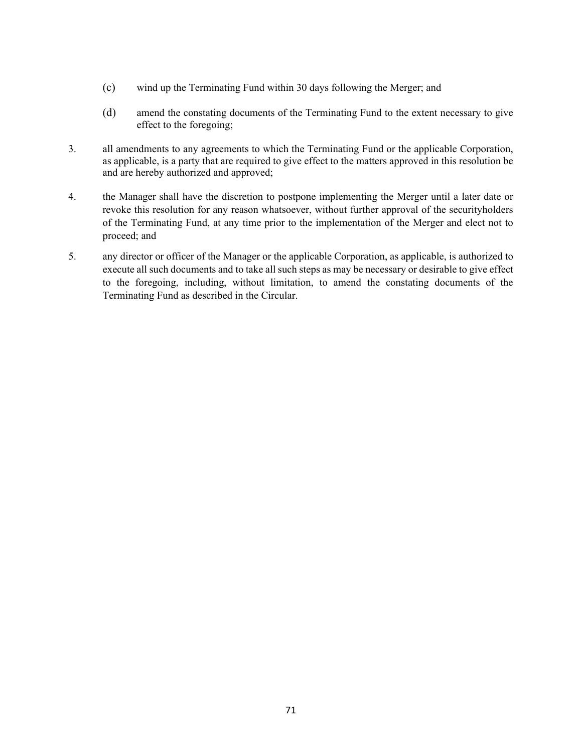- (c) wind up the Terminating Fund within 30 days following the Merger; and
- (d) amend the constating documents of the Terminating Fund to the extent necessary to give effect to the foregoing;
- 3. all amendments to any agreements to which the Terminating Fund or the applicable Corporation, as applicable, is a party that are required to give effect to the matters approved in this resolution be and are hereby authorized and approved;
- 4. the Manager shall have the discretion to postpone implementing the Merger until a later date or revoke this resolution for any reason whatsoever, without further approval of the securityholders of the Terminating Fund, at any time prior to the implementation of the Merger and elect not to proceed; and
- 5. any director or officer of the Manager or the applicable Corporation, as applicable, is authorized to execute all such documents and to take all such steps as may be necessary or desirable to give effect to the foregoing, including, without limitation, to amend the constating documents of the Terminating Fund as described in the Circular.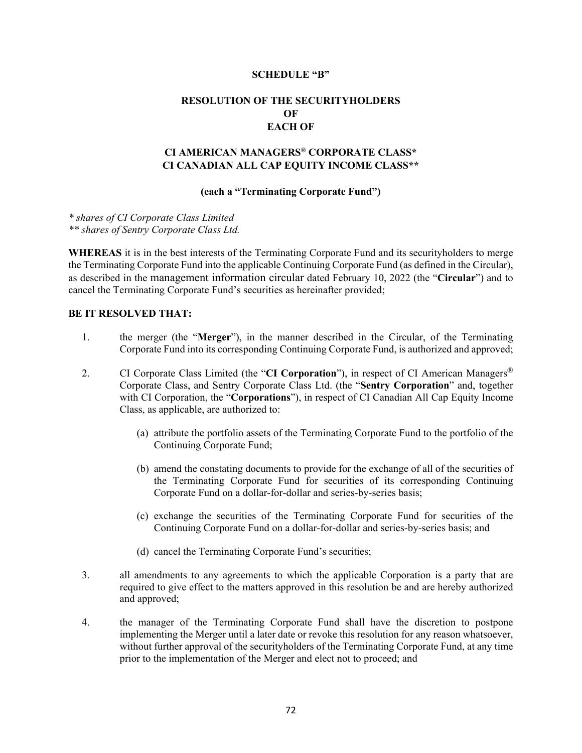#### **SCHEDULE "B"**

# **RESOLUTION OF THE SECURITYHOLDERS OF EACH OF**

# **CI AMERICAN MANAGERS® CORPORATE CLASS\* CI CANADIAN ALL CAP EQUITY INCOME CLASS\*\***

### **(each a "Terminating Corporate Fund")**

*\* shares of CI Corporate Class Limited \*\* shares of Sentry Corporate Class Ltd.*

**WHEREAS** it is in the best interests of the Terminating Corporate Fund and its securityholders to merge the Terminating Corporate Fund into the applicable Continuing Corporate Fund (as defined in the Circular), as described in the management information circular dated February 10, 2022 (the "**Circular**") and to cancel the Terminating Corporate Fund's securities as hereinafter provided;

# **BE IT RESOLVED THAT:**

- 1. the merger (the "**Merger**"), in the manner described in the Circular, of the Terminating Corporate Fund into its corresponding Continuing Corporate Fund, is authorized and approved;
- 2. CI Corporate Class Limited (the "**CI Corporation**"), in respect of CI American Managers® Corporate Class, and Sentry Corporate Class Ltd. (the "**Sentry Corporation**" and, together with CI Corporation, the "**Corporations**"), in respect of CI Canadian All Cap Equity Income Class, as applicable, are authorized to:
	- (a) attribute the portfolio assets of the Terminating Corporate Fund to the portfolio of the Continuing Corporate Fund;
	- (b) amend the constating documents to provide for the exchange of all of the securities of the Terminating Corporate Fund for securities of its corresponding Continuing Corporate Fund on a dollar-for-dollar and series-by-series basis;
	- (c) exchange the securities of the Terminating Corporate Fund for securities of the Continuing Corporate Fund on a dollar-for-dollar and series-by-series basis; and
	- (d) cancel the Terminating Corporate Fund's securities;
- 3. all amendments to any agreements to which the applicable Corporation is a party that are required to give effect to the matters approved in this resolution be and are hereby authorized and approved;
- 4. the manager of the Terminating Corporate Fund shall have the discretion to postpone implementing the Merger until a later date or revoke this resolution for any reason whatsoever, without further approval of the securityholders of the Terminating Corporate Fund, at any time prior to the implementation of the Merger and elect not to proceed; and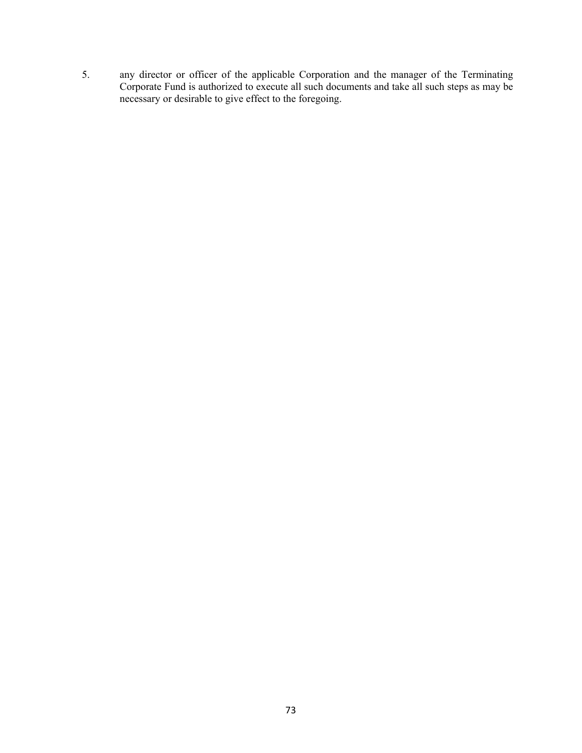5. any director or officer of the applicable Corporation and the manager of the Terminating Corporate Fund is authorized to execute all such documents and take all such steps as may be necessary or desirable to give effect to the foregoing.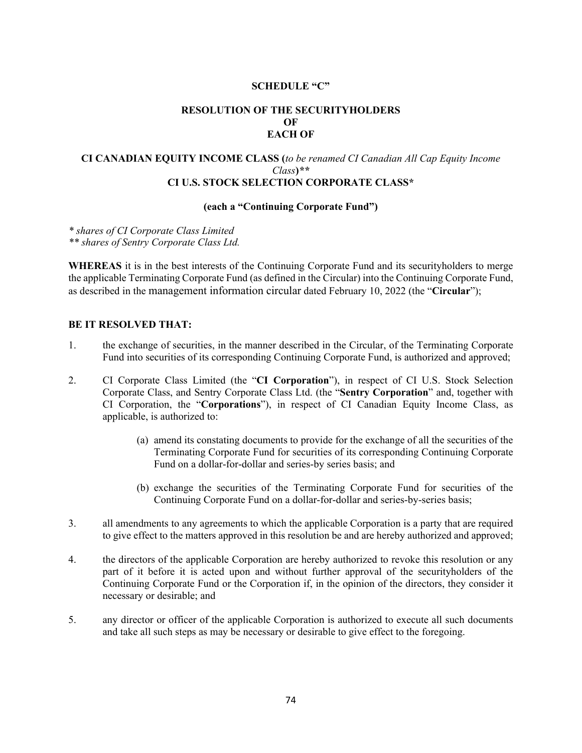## **SCHEDULE "C"**

# **RESOLUTION OF THE SECURITYHOLDERS OF EACH OF**

## **CI CANADIAN EQUITY INCOME CLASS (***to be renamed CI Canadian All Cap Equity Income Class***)***\*\** **CI U.S. STOCK SELECTION CORPORATE CLASS\***

## **(each a "Continuing Corporate Fund")**

*\* shares of CI Corporate Class Limited \*\* shares of Sentry Corporate Class Ltd.*

**WHEREAS** it is in the best interests of the Continuing Corporate Fund and its securityholders to merge the applicable Terminating Corporate Fund (as defined in the Circular) into the Continuing Corporate Fund, as described in the management information circular dated February 10, 2022 (the "**Circular**");

## **BE IT RESOLVED THAT:**

- 1. the exchange of securities, in the manner described in the Circular, of the Terminating Corporate Fund into securities of its corresponding Continuing Corporate Fund, is authorized and approved;
- 2. CI Corporate Class Limited (the "**CI Corporation**"), in respect of CI U.S. Stock Selection Corporate Class, and Sentry Corporate Class Ltd. (the "**Sentry Corporation**" and, together with CI Corporation, the "**Corporations**"), in respect of CI Canadian Equity Income Class, as applicable, is authorized to:
	- (a) amend its constating documents to provide for the exchange of all the securities of the Terminating Corporate Fund for securities of its corresponding Continuing Corporate Fund on a dollar-for-dollar and series-by series basis; and
	- (b) exchange the securities of the Terminating Corporate Fund for securities of the Continuing Corporate Fund on a dollar-for-dollar and series-by-series basis;
- 3. all amendments to any agreements to which the applicable Corporation is a party that are required to give effect to the matters approved in this resolution be and are hereby authorized and approved;
- 4. the directors of the applicable Corporation are hereby authorized to revoke this resolution or any part of it before it is acted upon and without further approval of the securityholders of the Continuing Corporate Fund or the Corporation if, in the opinion of the directors, they consider it necessary or desirable; and
- 5. any director or officer of the applicable Corporation is authorized to execute all such documents and take all such steps as may be necessary or desirable to give effect to the foregoing.